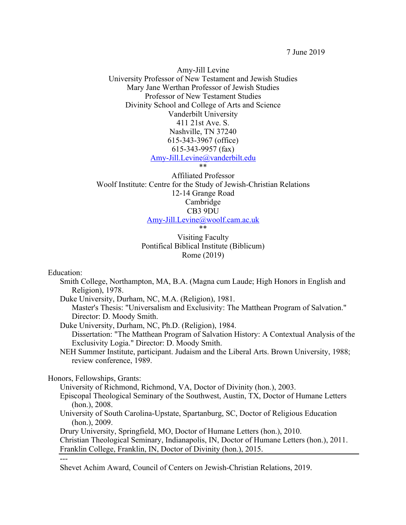7 June 2019

Amy-Jill Levine University Professor of New Testament and Jewish Studies Mary Jane Werthan Professor of Jewish Studies Professor of New Testament Studies Divinity School and College of Arts and Science Vanderbilt University 411 21st Ave. S. Nashville, TN 37240 615-343-3967 (office) 615-343-9957 (fax) Amy-Jill.Levine@vanderbilt.edu \*\*

Affiliated Professor Woolf Institute: Centre for the Study of Jewish-Christian Relations 12-14 Grange Road Cambridge CB3 9DU Amy-Jill.Levine@woolf.cam.ac.uk \*\*

Visiting Faculty Pontifical Biblical Institute (Biblicum) Rome (2019)

Education:

---

- Smith College, Northampton, MA, B.A. (Magna cum Laude; High Honors in English and Religion), 1978.
- Duke University, Durham, NC, M.A. (Religion), 1981. Master's Thesis: "Universalism and Exclusivity: The Matthean Program of Salvation." Director: D. Moody Smith.

Duke University, Durham, NC, Ph.D. (Religion), 1984.

Dissertation: "The Matthean Program of Salvation History: A Contextual Analysis of the Exclusivity Logia." Director: D. Moody Smith.

NEH Summer Institute, participant. Judaism and the Liberal Arts. Brown University, 1988; review conference, 1989.

Honors, Fellowships, Grants:

University of Richmond, Richmond, VA, Doctor of Divinity (hon.), 2003.

- Episcopal Theological Seminary of the Southwest, Austin, TX, Doctor of Humane Letters (hon.), 2008.
- University of South Carolina-Upstate, Spartanburg, SC, Doctor of Religious Education (hon.), 2009.

Drury University, Springfield, MO, Doctor of Humane Letters (hon.), 2010.

Christian Theological Seminary, Indianapolis, IN, Doctor of Humane Letters (hon.), 2011. Franklin College, Franklin, IN, Doctor of Divinity (hon.), 2015.

Shevet Achim Award, Council of Centers on Jewish-Christian Relations, 2019.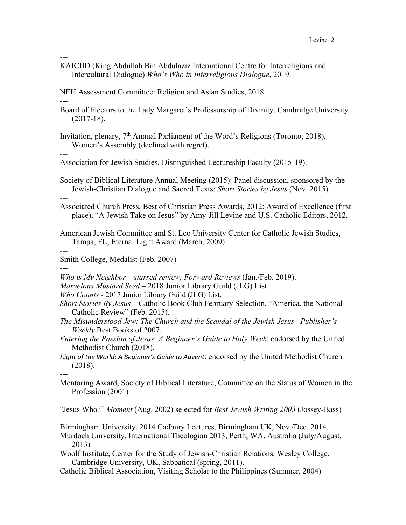- --- KAICIID (King Abdullah Bin Abdulaziz International Centre for Interreligious and Intercultural Dialogue) *Who's Who in Interreligious Dialogue*, 2019.
- --- NEH Assessment Committee: Religion and Asian Studies, 2018.
- --- Board of Electors to the Lady Margaret's Professorship of Divinity, Cambridge University (2017-18).
- --- Invitation, plenary, 7<sup>th</sup> Annual Parliament of the Word's Religions (Toronto, 2018), Women's Assembly (declined with regret).
- --- Association for Jewish Studies, Distinguished Lectureship Faculty (2015-19).
- --- Society of Biblical Literature Annual Meeting (2015): Panel discussion, sponsored by the Jewish-Christian Dialogue and Sacred Texts: *Short Stories by Jesus* (Nov. 2015).
- ---

---

---

---

- Associated Church Press, Best of Christian Press Awards, 2012: Award of Excellence (first place), "A Jewish Take on Jesus" by Amy-Jill Levine and U.S. Catholic Editors, 2012.
- --- American Jewish Committee and St. Leo University Center for Catholic Jewish Studies, Tampa, FL, Eternal Light Award (March, 2009)
- --- Smith College, Medalist (Feb. 2007)
- *Who is My Neighbor – starred review, Forward Reviews* (Jan./Feb. 2019).
- *Marvelous Mustard Seed*  2018 Junior Library Guild (JLG) List.
- *Who Counts* 2017 Junior Library Guild (JLG) List.
- *Short Stories By Jesus* Catholic Book Club February Selection, "America, the National Catholic Review" (Feb. 2015).
- *The Misunderstood Jew: The Church and the Scandal of the Jewish Jesus Publisher's Weekly* Best Books of 2007.
- *Entering the Passion of Jesus: A Beginner's Guide to Holy Week*: endorsed by the United Methodist Church (2018).
- *Light of the World: A Beginner's Guide to Advent*: endorsed by the United Methodist Church (2018).
- Mentoring Award, Society of Biblical Literature, Committee on the Status of Women in the Profession (2001)
- "Jesus Who?" *Moment* (Aug. 2002) selected for *Best Jewish Writing 2003* (Jossey-Bass) ---
- Birmingham University, 2014 Cadbury Lectures, Birmingham UK, Nov./Dec. 2014.
- Murdoch University, International Theologian 2013, Perth, WA, Australia (July/August, 2013)
- Woolf Institute, Center for the Study of Jewish-Christian Relations, Wesley College, Cambridge University, UK, Sabbatical (spring, 2011).
- Catholic Biblical Association, Visiting Scholar to the Philippines (Summer, 2004)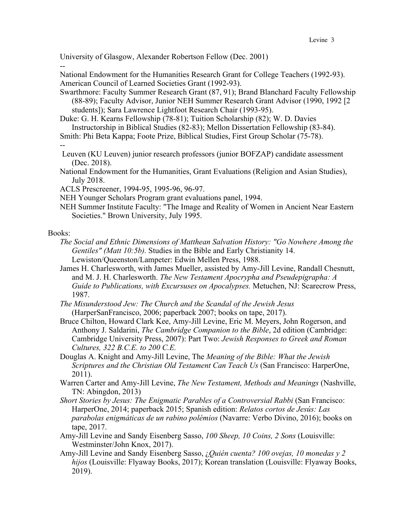University of Glasgow, Alexander Robertson Fellow (Dec. 2001)

National Endowment for the Humanities Research Grant for College Teachers (1992-93). American Council of Learned Societies Grant (1992-93).

Swarthmore: Faculty Summer Research Grant (87, 91); Brand Blanchard Faculty Fellowship (88-89); Faculty Advisor, Junior NEH Summer Research Grant Advisor (1990, 1992 [2 students]); Sara Lawrence Lightfoot Research Chair (1993-95).

Duke: G. H. Kearns Fellowship (78-81); Tuition Scholarship (82); W. D. Davies Instructorship in Biblical Studies (82-83); Mellon Dissertation Fellowship (83-84).

Smith: Phi Beta Kappa; Foote Prize, Biblical Studies, First Group Scholar (75-78).

--

--

- Leuven (KU Leuven) junior research professors (junior BOFZAP) candidate assessment (Dec. 2018).
- National Endowment for the Humanities, Grant Evaluations (Religion and Asian Studies), July 2018.
- ACLS Prescreener, 1994-95, 1995-96, 96-97.
- NEH Younger Scholars Program grant evaluations panel, 1994.
- NEH Summer Institute Faculty: "The Image and Reality of Women in Ancient Near Eastern Societies." Brown University, July 1995.

# Books:

- *The Social and Ethnic Dimensions of Matthean Salvation History: "Go Nowhere Among the Gentiles" (Matt 10:5b).* Studies in the Bible and Early Christianity 14. Lewiston/Queenston/Lampeter: Edwin Mellen Press, 1988.
- James H. Charlesworth, with James Mueller, assisted by Amy-Jill Levine, Randall Chesnutt, and M. J. H. Charlesworth. *The New Testament Apocrypha and Pseudepigrapha: A Guide to Publications, with Excursuses on Apocalypses.* Metuchen, NJ: Scarecrow Press, 1987.
- *The Misunderstood Jew: The Church and the Scandal of the Jewish Jesus* (HarperSanFrancisco, 2006; paperback 2007; books on tape, 2017).
- Bruce Chilton, Howard Clark Kee, Amy-Jill Levine, Eric M. Meyers, John Rogerson, and Anthony J. Saldarini, *The Cambridge Companion to the Bible*, 2d edition (Cambridge: Cambridge University Press, 2007): Part Two: *Jewish Responses to Greek and Roman Cultures, 322 B.C.E. to 200 C.E.*
- Douglas A. Knight and Amy-Jill Levine, The *Meaning of the Bible: What the Jewish Scriptures and the Christian Old Testament Can Teach Us* (San Francisco: HarperOne, 2011).
- Warren Carter and Amy-Jill Levine, *The New Testament, Methods and Meanings* (Nashville, TN: Abingdon, 2013)
- *Short Stories by Jesus: The Enigmatic Parables of a Controversial Rabbi* (San Francisco: HarperOne, 2014; paperback 2015; Spanish edition: *Relatos cortos de Jesús: Las parabolas enigmáticas de un rabino polémios* (Navarre: Verbo Divino, 2016); books on tape, 2017.
- Amy-Jill Levine and Sandy Eisenberg Sasso, *100 Sheep, 10 Coins, 2 Sons* (Louisville: Westminster/John Knox, 2017).
- Amy-Jill Levine and Sandy Eisenberg Sasso, ¿*Quién cuenta? 100 ovejas, 10 monedas y 2 hijos* (Louisville: Flyaway Books, 2017); Korean translation (Louisville: Flyaway Books, 2019).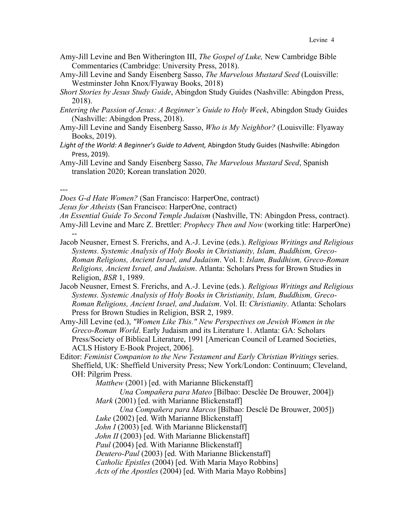- Amy-Jill Levine and Ben Witherington III, *The Gospel of Luke,* New Cambridge Bible Commentaries (Cambridge: University Press, 2018).
- Amy-Jill Levine and Sandy Eisenberg Sasso, *The Marvelous Mustard Seed* (Louisville: Westminster John Knox/Flyaway Books, 2018)
- *Short Stories by Jesus Study Guide*, Abingdon Study Guides (Nashville: Abingdon Press, 2018).
- *Entering the Passion of Jesus: A Beginner's Guide to Holy Week*, Abingdon Study Guides (Nashville: Abingdon Press, 2018).
- Amy-Jill Levine and Sandy Eisenberg Sasso, *Who is My Neighbor?* (Louisville: Flyaway Books, 2019).
- *Light of the World: A Beginner's Guide to Advent,* Abingdon Study Guides (Nashville: Abingdon Press, 2019).
- Amy-Jill Levine and Sandy Eisenberg Sasso, *The Marvelous Mustard Seed*, Spanish translation 2020; Korean translation 2020.

---

*Does G-d Hate Women?* (San Francisco: HarperOne, contract)

*Jesus for Atheists* (San Francisco: HarperOne, contract)

*An Essential Guide To Second Temple Judaism* (Nashville, TN: Abingdon Press, contract). Amy-Jill Levine and Marc Z. Brettler: *Prophecy Then and Now* (working title: HarperOne) --

- Jacob Neusner, Ernest S. Frerichs, and A.-J. Levine (eds.). *Religious Writings and Religious Systems. Systemic Analysis of Holy Books in Christianity, Islam, Buddhism, Greco-Roman Religions, Ancient Israel, and Judaism*. Vol. I: *Islam, Buddhism, Greco-Roman Religions, Ancient Israel, and Judaism*. Atlanta: Scholars Press for Brown Studies in Religion, *BSR* 1, 1989.
- Jacob Neusner, Ernest S. Frerichs, and A.-J. Levine (eds.). *Religious Writings and Religious Systems. Systemic Analysis of Holy Books in Christianity, Islam, Buddhism, Greco-Roman Religions, Ancient Israel, and Judaism*. Vol. II: *Christianity*. Atlanta: Scholars Press for Brown Studies in Religion, BSR 2, 1989.
- Amy-Jill Levine (ed.), *"Women Like This." New Perspectives on Jewish Women in the Greco-Roman World*. Early Judaism and its Literature 1. Atlanta: GA: Scholars Press/Society of Biblical Literature, 1991 [American Council of Learned Societies, ACLS History E-Book Project, 2006].
- Editor: *Feminist Companion to the New Testament and Early Christian Writings* series. Sheffield, UK: Sheffield University Press; New York/London: Continuum; Cleveland, OH: Pilgrim Press.

*Matthew* (2001) [ed. with Marianne Blickenstaff] *Una Compañera para Mateo* [Bilbao: Desclée De Brouwer, 2004]) *Mark* (2001) [ed. with Marianne Blickenstaff] *Una Compañera para Marcos* [Bilbao: Desclé De Brouwer, 2005]) *Luke* (2002) [ed. With Marianne Blickenstaff] *John I* (2003) [ed. With Marianne Blickenstaff] *John II* (2003) [ed. With Marianne Blickenstaff] *Paul* (2004) [ed. With Marianne Blickenstaff] *Deutero-Paul* (2003) [ed. With Marianne Blickenstaff] *Catholic Epistles* (2004) [ed. With Maria Mayo Robbins] *Acts of the Apostles* (2004) [ed. With Maria Mayo Robbins]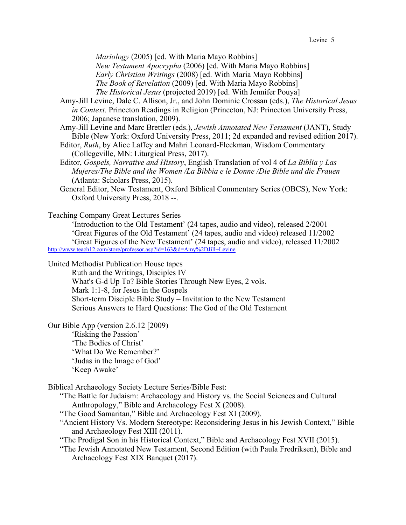*Mariology* (2005) [ed. With Maria Mayo Robbins]

*New Testament Apocrypha* (2006) [ed. With Maria Mayo Robbins] *Early Christian Writings* (2008) [ed. With Maria Mayo Robbins] *The Book of Revelation* (2009) [ed. With Maria Mayo Robbins] *The Historical Jesus* (projected 2019) [ed. With Jennifer Pouya]

Amy-Jill Levine, Dale C. Allison, Jr., and John Dominic Crossan (eds.), *The Historical Jesus in Context*. Princeton Readings in Religion (Princeton, NJ: Princeton University Press, 2006; Japanese translation, 2009).

Amy-Jill Levine and Marc Brettler (eds.), *Jewish Annotated New Testament* (JANT), Study Bible (New York: Oxford University Press, 2011; 2d expanded and revised edition 2017).

- Editor, *Ruth*, by Alice Laffey and Mahri Leonard-Fleckman, Wisdom Commentary (Collegeville, MN: Liturgical Press, 2017).
- Editor, *Gospels, Narrative and History*, English Translation of vol 4 of *La Biblia y Las Mujeres/The Bible and the Women /La Bibbia e le Donne /Die Bible und die Frauen* (Atlanta: Scholars Press, 2015).
- General Editor, New Testament, Oxford Biblical Commentary Series (OBCS), New York: Oxford University Press, 2018 --.

Teaching Company Great Lectures Series

'Introduction to the Old Testament' (24 tapes, audio and video), released 2/2001 'Great Figures of the Old Testament' (24 tapes, audio and video) released 11/2002 'Great Figures of the New Testament' (24 tapes, audio and video), released 11/2002 http://www.teach12.com/store/professor.asp?id=163&d=Amy%2DJill+Levine

United Methodist Publication House tapes

Ruth and the Writings, Disciples IV What's G-d Up To? Bible Stories Through New Eyes, 2 vols. Mark 1:1-8, for Jesus in the Gospels Short-term Disciple Bible Study – Invitation to the New Testament Serious Answers to Hard Questions: The God of the Old Testament

Our Bible App (version 2.6.12 [2009)

'Risking the Passion' 'The Bodies of Christ' 'What Do We Remember?' 'Judas in the Image of God' 'Keep Awake'

Biblical Archaeology Society Lecture Series/Bible Fest:

"The Battle for Judaism: Archaeology and History vs. the Social Sciences and Cultural Anthropology," Bible and Archaeology Fest X (2008).

- "The Good Samaritan," Bible and Archaeology Fest XI (2009).
- "Ancient History Vs. Modern Stereotype: Reconsidering Jesus in his Jewish Context," Bible and Archaeology Fest XIII (2011).
- "The Prodigal Son in his Historical Context," Bible and Archaeology Fest XVII (2015).
- "The Jewish Annotated New Testament, Second Edition (with Paula Fredriksen), Bible and Archaeology Fest XIX Banquet (2017).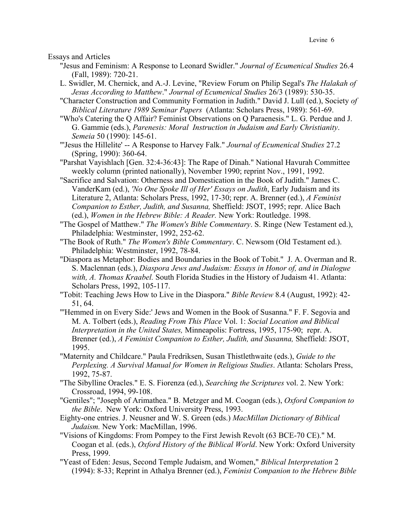Essays and Articles

- "Jesus and Feminism: A Response to Leonard Swidler." *Journal of Ecumenical Studies* 26.4 (Fall, 1989): 720-21.
- L. Swidler, M. Chernick, and A.-J. Levine, "Review Forum on Philip Segal's *The Halakah of Jesus According to Matthew*." *Journal of Ecumenical Studies* 26/3 (1989): 530-35.
- "Character Construction and Community Formation in Judith." David J. Lull (ed.), Society *of Biblical Literature 1989 Seminar Papers* (Atlanta: Scholars Press, 1989): 561-69.
- "Who's Catering the Q Affair? Feminist Observations on Q Paraenesis." L. G. Perdue and J. G. Gammie (eds.), *Parenesis: Moral Instruction in Judaism and Early Christianity*. *Semeia* 50 (1990): 145-61.
- "'Jesus the Hillelite' -- A Response to Harvey Falk." *Journal of Ecumenical Studies* 27.2 (Spring, 1990): 360-64.
- "Parshat Vayishlach [Gen. 32:4-36:43]: The Rape of Dinah." National Havurah Committee weekly column (printed nationally), November 1990; reprint Nov., 1991, 1992.
- "Sacrifice and Salvation: Otherness and Domestication in the Book of Judith." James C. VanderKam (ed.), *'No One Spoke Ill of Her' Essays on Judith*, Early Judaism and its Literature 2, Atlanta: Scholars Press, 1992, 17-30; repr. A. Brenner (ed.), *A Feminist Companion to Esther, Judith, and Susanna,* Sheffield: JSOT, 1995; repr. Alice Bach (ed.), *Women in the Hebrew Bible: A Reader.* New York: Routledge. 1998.
- "The Gospel of Matthew." *The Women's Bible Commentary*. S. Ringe (New Testament ed.), Philadelphia: Westminster, 1992, 252-62.
- "The Book of Ruth." *The Women's Bible Commentary*. C. Newsom (Old Testament ed.). Philadelphia: Westminster, 1992, 78-84.
- "Diaspora as Metaphor: Bodies and Boundaries in the Book of Tobit." J. A. Overman and R. S. Maclennan (eds.), *Diaspora Jews and Judaism: Essays in Honor of, and in Dialogue with, A. Thomas Kraabel.* South Florida Studies in the History of Judaism 41. Atlanta: Scholars Press, 1992, 105-117.
- "Tobit: Teaching Jews How to Live in the Diaspora." *Bible Review* 8.4 (August, 1992): 42- 51, 64.
- "'Hemmed in on Every Side:' Jews and Women in the Book of Susanna." F. F. Segovia and M. A. Tolbert (eds.), *Reading From This Place* Vol. 1: *Social Location and Biblical Interpretation in the United States,* Minneapolis: Fortress, 1995, 175-90; repr. A. Brenner (ed.), *A Feminist Companion to Esther, Judith, and Susanna,* Sheffield: JSOT, 1995.
- "Maternity and Childcare." Paula Fredriksen, Susan Thistlethwaite (eds.), *Guide to the Perplexing. A Survival Manual for Women in Religious Studies*. Atlanta: Scholars Press, 1992, 75-87.
- "The Sibylline Oracles." E. S. Fiorenza (ed.), *Searching the Scriptures* vol. 2. New York: Crossroad, 1994, 99-108.
- "Gentiles"; "Joseph of Arimathea." B. Metzger and M. Coogan (eds.), *Oxford Companion to the Bible*. New York: Oxford University Press, 1993.
- Eighty-one entries. J. Neusner and W. S. Green (eds.) *MacMillan Dictionary of Biblical Judaism.* New York: MacMillan, 1996.
- "Visions of Kingdoms: From Pompey to the First Jewish Revolt (63 BCE-70 CE)." M. Coogan et al. (eds.), *Oxford History of the Biblical World*. New York: Oxford University Press, 1999.
- "Yeast of Eden: Jesus, Second Temple Judaism, and Women," *Biblical Interpretation* 2 (1994): 8-33; Reprint in Athalya Brenner (ed.), *Feminist Companion to the Hebrew Bible*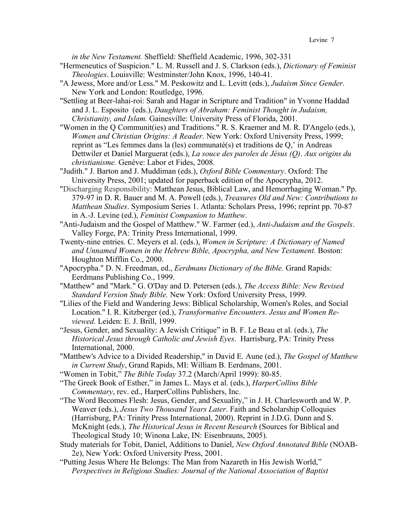*in the New Testament.* Sheffield: Sheffield Academic, 1996, 302-331

- "Hermeneutics of Suspicion." L. M. Russell and J. S. Clarkson (eds.), *Dictionary of Feminist Theologies*. Louisville: Westminster/John Knox, 1996, 140-41.
- "A Jewess, More and/or Less." M. Peskowitz and L. Levitt (eds.), *Judaism Since Gender*. New York and London: Routledge, 1996.
- "Settling at Beer-lahai-roi: Sarah and Hagar in Scripture and Tradition" in Yvonne Haddad and J. L. Esposito (eds.), *Daughters of Abraham: Feminist Thought in Judaism, Christianity, and Islam.* Gainesville: University Press of Florida, 2001.
- "Women in the Q Communit(ies) and Traditions." R. S. Kraemer and M. R. D'Angelo (eds.), *Women and Christian Origins: A Reader*. New York: Oxford University Press, 1999; reprint as "Les femmes dans la (les) communaté(s) et traditions de Q,' in Andreas Dettwiler et Daniel Marguerat (eds.), *La souce des paroles de Jésus (Q)*. *Aux origins du christianisme.* Genève: Labor et Fides, 2008.
- "Judith." J. Barton and J. Muddiman (eds.), *Oxford Bible Commentary*. Oxford: The University Press, 2001; updated for paperback edition of the Apocrypha, 2012.
- "Discharging Responsibility: Matthean Jesus, Biblical Law, and Hemorrhaging Woman." Pp. 379-97 in D. R. Bauer and M. A. Powell (eds.), *Treasures Old and New: Contributions to Matthean Studies*. Symposium Series 1. Atlanta: Scholars Press, 1996; reprint pp. 70-87 in A.-J. Levine (ed.), *Feminist Companion to Matthew*.
- "Anti-Judaism and the Gospel of Matthew." W. Farmer (ed.), *Anti-Judaism and the Gospels*. Valley Forge, PA: Trinity Press International, 1999.
- Twenty-nine entries. C. Meyers et al. (eds.), *Women in Scripture: A Dictionary of Named and Unnamed Women in the Hebrew Bible, Apocrypha, and New Testament*. Boston: Houghton Mifflin Co., 2000.
- "Apocrypha." D. N. Freedman, ed., *Eerdmans Dictionary of the Bible.* Grand Rapids: Eerdmans Publishing Co., 1999.
- "Matthew" and "Mark." G. O'Day and D. Petersen (eds.), *The Access Bible: New Revised Standard Version Study Bible.* New York: Oxford University Press, 1999.
- "Lilies of the Field and Wandering Jews: Biblical Scholarship, Women's Roles, and Social Location." I. R. Kitzberger (ed.), *Transformative Encounters. Jesus and Women Reviewed*. Leiden: E. J. Brill, 1999.
- "Jesus, Gender, and Sexuality: A Jewish Critique" in B. F. Le Beau et al. (eds.), *The Historical Jesus through Catholic and Jewish Eyes*. Harrisburg, PA: Trinity Press International, 2000.
- "Matthew's Advice to a Divided Readership," in David E. Aune (ed.), *The Gospel of Matthew in Current Study*, Grand Rapids, MI: William B. Eerdmans, 2001.
- "Women in Tobit," *The Bible Today* 37.2 (March/April 1999): 80-85.
- "The Greek Book of Esther," in James L. Mays et al. (eds.), *HarperCollins Bible Commentary*, rev. ed., HarperCollins Publishers, Inc.
- "The Word Becomes Flesh: Jesus, Gender, and Sexuality," in J. H. Charlesworth and W. P. Weaver (eds.), *Jesus Two Thousand Years Later*. Faith and Scholarship Colloquies (Harrisburg, PA: Trinity Press International, 2000). Reprint in J.D.G. Dunn and S. McKnight (eds.), *The Historical Jesus in Recent Research* (Sources for Biblical and Theological Study 10; Winona Lake, IN: Eisenbrauns, 2005).
- Study materials for Tobit, Daniel, Additions to Daniel, *New Oxford Annotated Bible* (NOAB-2e), New York: Oxford University Press, 2001.
- "Putting Jesus Where He Belongs: The Man from Nazareth in His Jewish World," *Perspectives in Religious Studies: Journal of the National Association of Baptist*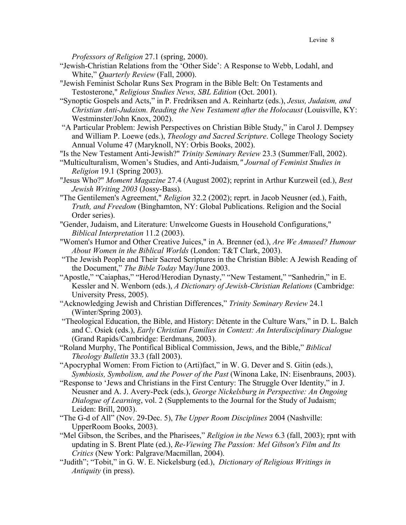*Professors of Religion* 27.1 (spring, 2000).

- "Jewish-Christian Relations from the 'Other Side': A Response to Webb, Lodahl, and White," *Quarterly Review* (Fall, 2000).
- "Jewish Feminist Scholar Runs Sex Program in the Bible Belt: On Testaments and Testosterone," *Religious Studies News, SBL Edition* (Oct. 2001).
- "Synoptic Gospels and Acts," in P. Fredriksen and A. Reinhartz (eds.), *Jesus, Judaism, and Christian Anti-Judaism. Reading the New Testament after the Holocaust* (Louisville, KY: Westminster/John Knox, 2002).
- "A Particular Problem: Jewish Perspectives on Christian Bible Study," in Carol J. Dempsey and William P. Loewe (eds.), *Theology and Sacred Scripture*. College Theology Society Annual Volume 47 (Maryknoll, NY: Orbis Books, 2002).

"Is the New Testament Anti-Jewish?" *Trinity Seminary Review* 23.3 (Summer/Fall, 2002).

- "Multiculturalism, Women's Studies, and Anti-Judaism*," Journal of Feminist Studies in Religion* 19.1 (Spring 2003).
- "Jesus Who?" *Moment Magazine* 27.4 (August 2002); reprint in Arthur Kurzweil (ed.), *Best Jewish Writing 2003* (Jossy-Bass).
- "The Gentilemen's Agreement," *Religion* 32.2 (2002); reprt. in Jacob Neusner (ed.), Faith, *Truth, and Freedom* (Binghamton, NY: Global Publications. Religion and the Social Order series).
- "Gender, Judaism, and Literature: Unwelcome Guests in Household Configurations," *Biblical Interpretation* 11.2 (2003).
- "Women's Humor and Other Creative Juices," in A. Brenner (ed.), *Are We Amused? Humour About Women in the Biblical Worlds* (London: T&T Clark, 2003).
- "The Jewish People and Their Sacred Scriptures in the Christian Bible: A Jewish Reading of the Document," *The Bible Today* May/June 2003.
- "Apostle," "Caiaphas," "Herod/Herodian Dynasty," "New Testament," "Sanhedrin," in E. Kessler and N. Wenborn (eds.), *A Dictionary of Jewish-Christian Relations* (Cambridge: University Press, 2005).
- "Acknowledging Jewish and Christian Differences," *Trinity Seminary Review* 24.1 (Winter/Spring 2003).
- "Theological Education, the Bible, and History: Détente in the Culture Wars," in D. L. Balch and C. Osiek (eds.), *Early Christian Families in Context: An Interdisciplinary Dialogue* (Grand Rapids/Cambridge: Eerdmans, 2003).
- "Roland Murphy, The Pontifical Biblical Commission, Jews, and the Bible," *Biblical Theology Bulletin* 33.3 (fall 2003).
- "Apocryphal Women: From Fiction to (Arti)fact," in W. G. Dever and S. Gitin (eds.), *Symbiosis, Symbolism, and the Power of the Past* (Winona Lake, IN: Eisenbrauns, 2003).
- "Response to 'Jews and Christians in the First Century: The Struggle Over Identity," in J. Neusner and A. J. Avery-Peck (eds.), *George Nickelsburg in Perspective: An Ongoing Dialogue of Learning*, vol. 2 (Supplements to the Journal for the Study of Judaism; Leiden: Brill, 2003).
- "The G-d of All" (Nov. 29-Dec. 5), *The Upper Room Disciplines* 2004 (Nashville: UpperRoom Books, 2003).
- "Mel Gibson, the Scribes, and the Pharisees," *Religion in the News* 6.3 (fall, 2003); rpnt with updating in S. Brent Plate (ed.), *Re-Viewing The Passion: Mel Gibson's Film and Its Critics* (New York: Palgrave/Macmillan, 2004).
- "Judith"; "Tobit," in G. W. E. Nickelsburg (ed.), *Dictionary of Religious Writings in Antiquity* (in press).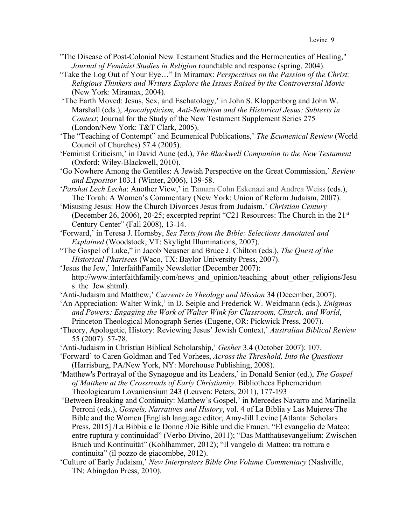- "The Disease of Post-Colonial New Testament Studies and the Hermeneutics of Healing," *Journal of Feminist Studies in Religion* roundtable and response (spring, 2004).
- "Take the Log Out of Your Eye…" In Miramax: *Perspectives on the Passion of the Christ: Religious Thinkers and Writers Explore the Issues Raised by the Controversial Movie* (New York: Miramax, 2004).
- 'The Earth Moved: Jesus, Sex, and Eschatology,' in John S. Kloppenborg and John W. Marshall (eds.), *Apocalypticism, Anti-Semitism and the Historical Jesus: Subtexts in Context*; Journal for the Study of the New Testament Supplement Series 275 (London/New York: T&T Clark, 2005).
- 'The "Teaching of Contempt" and Ecumenical Publications,' *The Ecumenical Review* (World Council of Churches) 57.4 (2005).
- 'Feminist Criticism,' in David Aune (ed.), *The Blackwell Companion to the New Testament* (Oxford: Wiley-Blackwell, 2010).
- 'Go Nowhere Among the Gentiles: A Jewish Perspective on the Great Commission,' *Review and Expositor* 103.1 (Winter, 2006), 139-58.
- '*Parshat Lech Lecha*: Another View,' in Tamara Cohn Eskenazi and Andrea Weiss (eds.), The Torah: A Women's Commentary (New York: Union of Reform Judaism, 2007).
- 'Misusing Jesus: How the Church Divorces Jesus from Judaism,' *Christian Century* (December 26, 2006), 20-25; excerpted reprint "C21 Resources: The Church in the 21st Century Center" (Fall 2008), 13-14.
- 'Forward,' in Teresa J. Hornsby, *Sex Texts from the Bible: Selections Annotated and Explained* (Woodstock, VT: Skylight Illuminations, 2007).
- "The Gospel of Luke," in Jacob Neusner and Bruce J. Chilton (eds.), *The Quest of the Historical Pharisees* (Waco, TX: Baylor University Press, 2007).
- 'Jesus the Jew,' InterfaithFamily Newsletter (December 2007): http://www.interfaithfamily.com/news\_and\_opinion/teaching\_about\_other\_religions/Jesu s the Jew.shtml).
- 'Anti-Judaism and Matthew,' *Currents in Theology and Mission* 34 (December, 2007).
- 'An Appreciation: Walter Wink,' in D. Seiple and Frederick W. Weidmann (eds.), *Enigmas and Powers: Engaging the Work of Walter Wink for Classroom, Church, and World*, Princeton Theological Monograph Series (Eugene, OR: Pickwick Press, 2007).
- 'Theory, Apologetic, History: Reviewing Jesus' Jewish Context,' *Australian Biblical Review* 55 (2007): 57-78.
- 'Anti-Judaism in Christian Biblical Scholarship,' *Gesher* 3.4 (October 2007): 107.
- 'Forward' to Caren Goldman and Ted Vorhees, *Across the Threshold, Into the Questions* (Harrisburg, PA/New York, NY: Morehouse Publishing, 2008).
- 'Matthew's Portrayal of the Synagogue and its Leaders,' in Donald Senior (ed.), *The Gospel of Matthew at the Crossroads of Early Christianity*. Bibliotheca Ephemeridum Theologicarum Lovaniensium 243 (Leuven: Peters, 2011), 177-193
- 'Between Breaking and Continuity: Matthew's Gospel,' in Mercedes Navarro and Marinella Perroni (eds.), *Gospels, Narratives and History*, vol. 4 of La Biblia y Las Mujeres/The Bible and the Women [English language editor, Amy-Jill Levine [Atlanta: Scholars Press, 2015] /La Bibbia e le Donne /Die Bible und die Frauen. "El evangelio de Mateo: entre ruptura y continuidad" (Verbo Divino, 2011); "Das Matthaüsevangelium: Zwischen Bruch und Kontinuität" (Kohlhammer, 2012); "Il vangelo di Matteo: tra rottura e continuita" (il pozzo de giacombbe, 2012).
- 'Culture of Early Judaism,' *New Interpreters Bible One Volume Commentary* (Nashville, TN: Abingdon Press, 2010).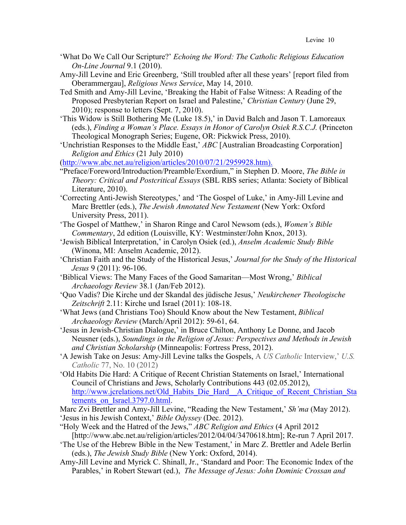- 'What Do We Call Our Scripture?' *Echoing the Word: The Catholic Religious Education On-Line Journal* 9.1 (2010).
- Amy-Jill Levine and Eric Greenberg, 'Still troubled after all these years' [report filed from Oberammergau], *Religious News Service*, May 14, 2010.
- Ted Smith and Amy-Jill Levine, 'Breaking the Habit of False Witness: A Reading of the Proposed Presbyterian Report on Israel and Palestine,' *Christian Century* (June 29, 2010); response to letters (Sept. 7, 2010).
- 'This Widow is Still Bothering Me (Luke 18.5),' in David Balch and Jason T. Lamoreaux (eds.), *Finding a Woman's Place. Essays in Honor of Carolyn Osiek R.S.C.J.* (Princeton Theological Monograph Series; Eugene, OR: Pickwick Press, 2010).
- 'Unchristian Responses to the Middle East,' *ABC* [Australian Broadcasting Corporation] *Religion and Ethics* (21 July 2010)

(http://www.abc.net.au/religion/articles/2010/07/21/2959928.htm).

- "Preface/Foreword/Introduction/Preamble/Exordium," in Stephen D. Moore, *The Bible in Theory: Critical and Postcritical Essays* (SBL RBS series; Atlanta: Society of Biblical Literature, 2010).
- 'Correcting Anti-Jewish Stereotypes,' and 'The Gospel of Luke,' in Amy-Jill Levine and Marc Brettler (eds.), *The Jewish Annotated New Testament* (New York: Oxford University Press, 2011).
- 'The Gospel of Matthew,' in Sharon Ringe and Carol Newsom (eds.), *Women's Bible Commentary*, 2d edition (Louisville, KY: Westminster/John Knox, 2013).
- 'Jewish Biblical Interpretation,' in Carolyn Osiek (ed.), *Anselm Academic Study Bible* (Winona, MI: Anselm Academic, 2012).
- 'Christian Faith and the Study of the Historical Jesus,' *Journal for the Study of the Historical Jesus* 9 (2011): 96-106.
- 'Biblical Views: The Many Faces of the Good Samaritan—Most Wrong,' *Biblical Archaeology Review* 38.1 (Jan/Feb 2012).
- 'Quo Vadis? Die Kirche und der Skandal des jüdische Jesus,' *Neukirchener Theologische Zeitschrift* 2.11: Kirche und Israel (2011): 108-18.
- 'What Jews (and Christians Too) Should Know about the New Testament, *Biblical Archaeology Review* (March/April 2012): 59-61, 64.
- 'Jesus in Jewish-Christian Dialogue,' in Bruce Chilton, Anthony Le Donne, and Jacob Neusner (eds.), *Soundings in the Religion of Jesus: Perspectives and Methods in Jewish and Christian Scholarship* (Minneapolis: Fortress Press, 2012).
- 'A Jewish Take on Jesus: Amy-Jill Levine talks the Gospels, A *US Catholic* Interview,' *U.S. Catholic* 77, No. 10 (2012)
- 'Old Habits Die Hard: A Critique of Recent Christian Statements on Israel,' International Council of Christians and Jews, Scholarly Contributions 443 (02.05.2012), http://www.jcrelations.net/Old\_Habits\_Die\_Hard\_\_A\_Critique\_of\_Recent\_Christian\_Sta tements on Israel.3797.0.html.
- Marc Zvi Brettler and Amy-Jill Levine, "Reading the New Testament,' *Sh'ma* (May 2012). 'Jesus in his Jewish Context,' *Bible Odyssey* (Dec. 2012).
- "Holy Week and the Hatred of the Jews," *ABC Religion and Ethics* (4 April 2012 [http://www.abc.net.au/religion/articles/2012/04/04/3470618.htm]; Re-run 7 April 2017.
- 'The Use of the Hebrew Bible in the New Testament,' in Marc Z. Brettler and Adele Berlin (eds.), *The Jewish Study Bible* (New York: Oxford, 2014).
- Amy-Jill Levine and Myrick C. Shinall, Jr., 'Standard and Poor: The Economic Index of the Parables,' in Robert Stewart (ed.), *The Message of Jesus: John Dominic Crossan and*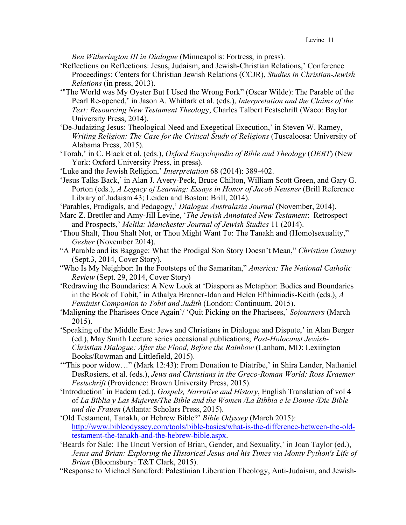*Ben Witherington III in Dialogue* (Minneapolis: Fortress, in press).

- 'Reflections on Reflections: Jesus, Judaism, and Jewish-Christian Relations,' Conference Proceedings: Centers for Christian Jewish Relations (CCJR), *Studies in Christian-Jewish Relations* (in press, 2013).
- '"The World was My Oyster But I Used the Wrong Fork" (Oscar Wilde): The Parable of the Pearl Re-opened,' in Jason A. Whitlark et al. (eds.), *Interpretation and the Claims of the Text: Resourcing New Testament Theolog*y, Charles Talbert Festschrift (Waco: Baylor University Press, 2014).
- 'De-Judaizing Jesus: Theological Need and Exegetical Execution,' in Steven W. Ramey, *Writing Religion: The Case for the Critical Study of Religions* (Tuscaloosa: University of Alabama Press, 2015).
- 'Torah,' in C. Black et al. (eds.), *Oxford Encyclopedia of Bible and Theology* (*OEBT*) (New York: Oxford University Press, in press).
- 'Luke and the Jewish Religion,' *Interpretation* 68 (2014): 389-402.
- 'Jesus Talks Back,' in Alan J. Avery-Peck, Bruce Chilton, William Scott Green, and Gary G. Porton (eds.), *A Legacy of Learning: Essays in Honor of Jacob Neusner* (Brill Reference Library of Judaism 43; Leiden and Boston: Brill, 2014).
- 'Parables, Prodigals, and Pedagogy,' *Dialogue Australasia Journal* (November, 2014).
- Marc Z. Brettler and Amy-Jill Levine, '*The Jewish Annotated New Testament*: Retrospect and Prospects,' *Melila: Manchester Journal of Jewish Studies* 11 (2014).
- 'Thou Shalt, Thou Shalt Not, or Thou Might Want To: The Tanakh and (Homo)sexuality," *Gesher* (November 2014).
- "A Parable and its Baggage: What the Prodigal Son Story Doesn't Mean," *Christian Century* (Sept.3, 2014, Cover Story).
- "Who Is My Neighbor: In the Footsteps of the Samaritan," *America: The National Catholic Review* (Sept. 29, 2014, Cover Story)
- 'Redrawing the Boundaries: A New Look at 'Diaspora as Metaphor: Bodies and Boundaries in the Book of Tobit,' in Athalya Brenner-Idan and Helen Efthimiadis-Keith (eds.), *A Feminist Companion to Tobit and Judith* (London: Continuum, 2015).
- 'Maligning the Pharisees Once Again'/ 'Quit Picking on the Pharisees,' *Sojourners* (March 2015).
- 'Speaking of the Middle East: Jews and Christians in Dialogue and Dispute,' in Alan Berger (ed.), May Smith Lecture series occasional publications; *Post-Holocaust Jewish-Christian Dialogue: After the Flood, Before the Rainbow* (Lanham, MD: Lexiington Books/Rowman and Littlefield, 2015).
- "This poor widow..." (Mark 12:43): From Donation to Diatribe,' in Shira Lander, Nathaniel DesRosiers, et al. (eds.), *Jews and Christians in the Greco-Roman World: Ross Kraemer Festschrift* (Providence: Brown University Press, 2015).
- 'Introduction' in Eadem (ed.), *Gospels, Narrative and History*, English Translation of vol 4 of *La Biblia y Las Mujeres/The Bible and the Women /La Bibbia e le Donne /Die Bible und die Frauen* (Atlanta: Scholars Press, 2015).
- 'Old Testament, Tanakh, or Hebrew Bible?' *Bible Odyssey* (March 2015): http://www.bibleodyssey.com/tools/bible-basics/what-is-the-difference-between-the-oldtestament-the-tanakh-and-the-hebrew-bible.aspx.
- 'Beards for Sale: The Uncut Version of Brian, Gender, and Sexuality,' in Joan Taylor (ed.), *Jesus and Brian: Exploring the Historical Jesus and his Times via Monty Python's Life of Brian* (Bloomsbury: T&T Clark, 2015).
- "Response to Michael Sandford: Palestinian Liberation Theology, Anti-Judaism, and Jewish-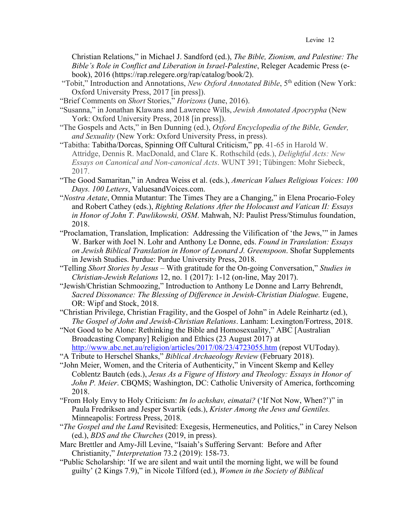Christian Relations," in Michael J. Sandford (ed.), *The Bible, Zionism, and Palestine: The Bible's Role in Conflict and Liberation in Israel-Palestine*, Releger Academic Press (ebook), 2016 (https://rap.relegere.org/rap/catalog/book/2).

- "Tobit," Introduction and Annotations, *New Oxford Annotated Bible*, 5<sup>th</sup> edition (New York: Oxford University Press, 2017 [in press]).
- "Brief Comments on *Short* Stories," *Horizons* (June, 2016).
- "Susanna," in Jonathan Klawans and Lawrence Wills, *Jewish Annotated Apocrypha* (New York: Oxford University Press, 2018 [in press]).
- "The Gospels and Acts," in Ben Dunning (ed.), *Oxford Encyclopedia of the Bible, Gender, and Sexuality* (New York: Oxford University Press, in press).
- "Tabitha: Tabitha/Dorcas, Spinning Off Cultural Criticism," pp. 41-65 in Harold W. Attridge, Dennis R. MacDonald, and Clare K. Rothschild (eds.), *Delightful Acts: New Essays on Canonical and Non-canonical Acts*. WUNT 391; Tübingen: Mohr Siebeck, 2017.
- "The Good Samaritan," in Andrea Weiss et al. (eds.), *American Values Religious Voices: 100 Days. 100 Letters*, ValuesandVoices.com.
- "*Nostra Aetate*, Omnia Mutantur: The Times They are a Changing," in Elena Procario-Foley and Robert Cathey (eds.), *Righting Relations After the Holocaust and Vatican II: Essays in Honor of John T. Pawlikowski, OSM*. Mahwah, NJ: Paulist Press/Stimulus foundation, 2018.
- "Proclamation, Translation, Implication: Addressing the Vilification of 'the Jews,'" in James W. Barker with Joel N. Lohr and Anthony Le Donne, eds. *Found in Translation: Essays on Jewish Biblical Translation in Honor of Leonard J. Greenspoon*. Shofar Supplements in Jewish Studies. Purdue: Purdue University Press, 2018.
- "Telling *Short Stories by Jesus* With gratitude for the On-going Conversation," *Studies in Christian-Jewish Relations* 12, no. 1 (2017): 1-12 (on-line, May 2017).
- "Jewish/Christian Schmoozing," Introduction to Anthony Le Donne and Larry Behrendt, *Sacred Dissonance: The Blessing of Difference in Jewish-Christian Dialogue.* Eugene, OR: Wipf and Stock, 2018.
- "Christian Privilege, Christian Fragility, and the Gospel of John" in Adele Reinhartz (ed.), *The Gospel of John and Jewish-Christian Relations*. Lanham: Lexington/Fortress, 2018.
- "Not Good to be Alone: Rethinking the Bible and Homosexuality," ABC [Australian Broadcasting Company] Religion and Ethics (23 August 2017) at http://www.abc.net.au/religion/articles/2017/08/23/4723055.htm (repost VUToday).
- "A Tribute to Herschel Shanks," *Biblical Archaeology Review* (February 2018).
- "John Meier, Women, and the Criteria of Authenticity," in Vincent Skemp and Kelley Coblentz Bautch (eds.), *Jesus As a Figure of History and Theology: Essays in Honor of John P. Meier*. CBQMS; Washington, DC: Catholic University of America, forthcoming 2018.
- "From Holy Envy to Holy Criticism: *Im lo achshav, eimatai?* ('If Not Now, When?')" in Paula Fredriksen and Jesper Svartik (eds.), *Krister Among the Jews and Gentiles.*  Minneapolis: Fortress Press, 2018.
- "*The Gospel and the Land* Revisited: Exegesis, Hermeneutics, and Politics," in Carey Nelson (ed.), *BDS and the Churches* (2019, in press).
- Marc Brettler and Amy-Jill Levine, "Isaiah's Suffering Servant: Before and After Christianity," *Interpretation* 73.2 (2019): 158-73.
- "Public Scholarship: 'If we are silent and wait until the morning light, we will be found guilty' (2 Kings 7.9)," in Nicole Tilford (ed.), *Women in the Society of Biblical*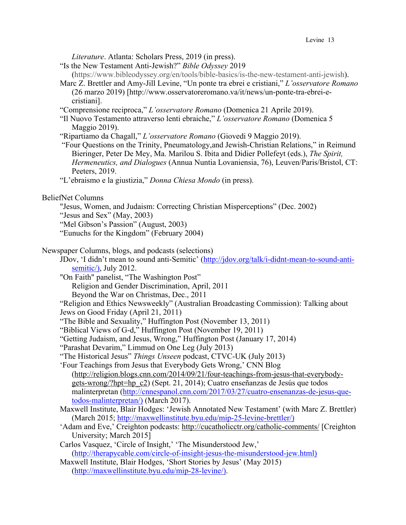*Literature*. Atlanta: Scholars Press, 2019 (in press).

- "Is the New Testament Anti-Jewish?" *Bible Odyssey* 2019
- (https://www.bibleodyssey.org/en/tools/bible-basics/is-the-new-testament-anti-jewish). Marc Z. Brettler and Amy-Jill Levine, "Un ponte tra ebrei e cristiani," *L'osservatore Romano*
- (26 marzo 2019) [http://www.osservatoreromano.va/it/news/un-ponte-tra-ebrei-ecristiani].
- "Comprensione reciproca," *L'osservatore Romano* (Domenica 21 Aprile 2019).
- "Il Nuovo Testamento attraverso lenti ebraiche," *L'osservatore Romano* (Domenica 5 Maggio 2019).
- "Ripartiamo da Chagall," *L'osservatore Romano* (Giovedi 9 Maggio 2019).
- "Four Questions on the Trinity, Pneumatology,and Jewish-Christian Relations," in Reimund Bieringer, Peter De Mey, Ma. Marilou S. Ibita and Didier Pollefeyt (eds.), *The Spirit, Hermeneutics, and Dialogues* (Annua Nuntia Lovaniensia, 76), Leuven/Paris/Bristol, CT: Peeters, 2019.
- "L'ebraismo e la giustizia," *Donna Chiesa Mondo* (in press).

## BeliefNet Columns

- "Jesus, Women, and Judaism: Correcting Christian Misperceptions" (Dec. 2002)
- "Jesus and Sex" (May, 2003)
- "Mel Gibson's Passion" (August, 2003)
- "Eunuchs for the Kingdom" (February 2004)

#### Newspaper Columns, blogs, and podcasts (selections)

- JDov, 'I didn't mean to sound anti-Semitic' (http://jdov.org/talk/i-didnt-mean-to-sound-antisemitic/), July 2012.
- "On Faith" panelist, "The Washington Post" Religion and Gender Discrimination, April, 2011 Beyond the War on Christmas, Dec., 2011
- "Religion and Ethics Newsweekly" (Australian Broadcasting Commission): Talking about Jews on Good Friday (April 21, 2011)
- "The Bible and Sexuality," Huffington Post (November 13, 2011)
- "Biblical Views of G-d," Huffington Post (November 19, 2011)
- "Getting Judaism, and Jesus, Wrong," Huffington Post (January 17, 2014)
- "Parashat Devarim," Limmud on One Leg (July 2013)
- "The Historical Jesus" *Things Unseen* podcast, CTVC-UK (July 2013)
- 'Four Teachings from Jesus that Everybody Gets Wrong,' CNN Blog (http://religion.blogs.cnn.com/2014/09/21/four-teachings-from-jesus-that-everybodygets-wrong/?hpt=hp\_c2) (Sept. 21, 2014); Cuatro enseñanzas de Jesús que todos malinterpretan (http://cnnespanol.cnn.com/2017/03/27/cuatro-ensenanzas-de-jesus-quetodos-malinterpretan/) (March 2017).
- Maxwell Institute, Blair Hodges: 'Jewish Annotated New Testament' (with Marc Z. Brettler) (March 2015; http://maxwellinstitute.byu.edu/mip-25-levine-brettler/)
- 'Adam and Eve,' Creighton podcasts: http://cucatholicctr.org/catholic-comments/ [Creighton University; March 2015]
- Carlos Vasquez, 'Circle of Insight,' 'The Misunderstood Jew,' (http://therapycable.com/circle-of-insight-jesus-the-misunderstood-jew.html)
- Maxwell Institute, Blair Hodges, 'Short Stories by Jesus' (May 2015) (http://maxwellinstitute.byu.edu/mip-28-levine/).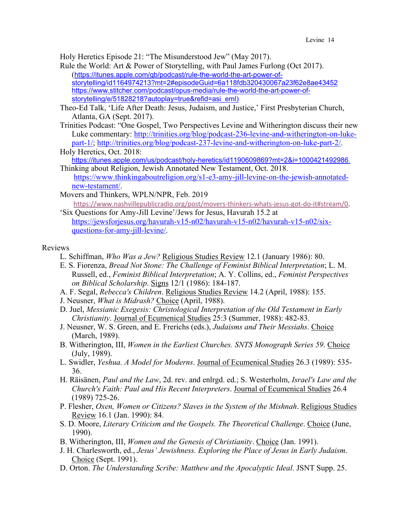Holy Heretics Episode 21: "The Misunderstood Jew" (May 2017).

- Rule the World: Art & Power of Storytelling, with Paul James Furlong (Oct 2017). (https://itunes.apple.com/gb/podcast/rule-the-world-the-art-power-ofstorytelling/id1164974213?mt=2#episodeGuid=6a118fdb320430067a23f62e8ae43452 https://www.stitcher.com/podcast/opus-media/rule-the-world-the-art-power-ofstorytelling/e/51828218?autoplay=true&refid=asi\_eml)
- Theo-Ed Talk, 'Life After Death: Jesus, Judaism, and Justice,' First Presbyterian Church, Atlanta, GA (Sept. 2017).
- Trinities Podcast: "One Gospel, Two Perspectives Levine and Witherington discuss their new Luke commentary: http://trinities.org/blog/podcast-236-levine-and-witherington-on-lukepart-1/; http://trinities.org/blog/podcast-237-levine-and-witherington-on-luke-part-2/. Holy Heretics, Oct. 2018:
- https://itunes.apple.com/us/podcast/holy-heretics/id1190609869?mt=2&i=1000421492986. Thinking about Religion, Jewish Annotated New Testament, Oct. 2018.
- https://www.thinkingaboutreligion.org/s1-e3-amy-jill-levine-on-the-jewish-annotatednew-testament/.
- Movers and Thinkers, WPLN/NPR, Feb. 2019

https://www.nashvillepublicradio.org/post/movers-thinkers-whats-jesus-got-do-it#stream/0. 'Six Questions for Amy-Jill Levine'/Jews for Jesus, Havurah 15.2 at

https://jewsforjesus.org/havurah-v15-n02/havurah-v15-n02/havurah-v15-n02/sixquestions-for-amy-jill-levine/.

# Reviews

- L. Schiffman, *Who Was a Jew?* Religious Studies Review 12.1 (January 1986): 80.
- E. S. Fiorenza, *Bread Not Stone: The Challenge of Feminist Biblical Interpretation*; L. M. Russell, ed., *Feminist Biblical Interpretation*; A. Y. Collins, ed., *Feminist Perspectives on Biblical Scholarship*. Signs 12/1 (1986): 184-187.
- A. F. Segal, *Rebecca's Children*. Religious Studies Review 14.2 (April, 1988): 155.
- J. Neusner, *What is Midrash?* Choice (April, 1988).
- D. Juel, *Messianic Exegesis: Christological Interpretation of the Old Testament in Early Christianity*. Journal of Ecumenical Studies 25:3 (Summer, 1988): 482-83.
- J. Neusner, W. S. Green, and E. Frerichs (eds.), *Judaisms and Their Messiahs*. Choice (March, 1989).
- B. Witherington, III, *Women in the Earliest Churches. SNTS Monograph Series 59*. Choice (July, 1989).
- L. Swidler, *Yeshua. A Model for Moderns*. Journal of Ecumenical Studies 26.3 (1989): 535- 36.
- H. Räisänen, *Paul and the Law*, 2d. rev. and enlrgd. ed.; S. Westerholm, *Israel's Law and the Church's Faith: Paul and His Recent Interpreters*. Journal of Ecumenical Studies 26.4 (1989) 725-26.
- P. Flesher, *Oxen, Women or Citizens? Slaves in the System of the Mishnah*. Religious Studies Review 16.1 (Jan. 1990): 84.
- S. D. Moore, *Literary Criticism and the Gospels. The Theoretical Challenge*. Choice (June, 1990).
- B. Witherington, III, *Women and the Genesis of Christianity*. Choice (Jan. 1991).
- J. H. Charlesworth, ed., *Jesus' Jewishness. Exploring the Place of Jesus in Early Judaism*. Choice (Sept. 1991).
- D. Orton. *The Understanding Scribe: Matthew and the Apocalyptic Ideal*. JSNT Supp. 25.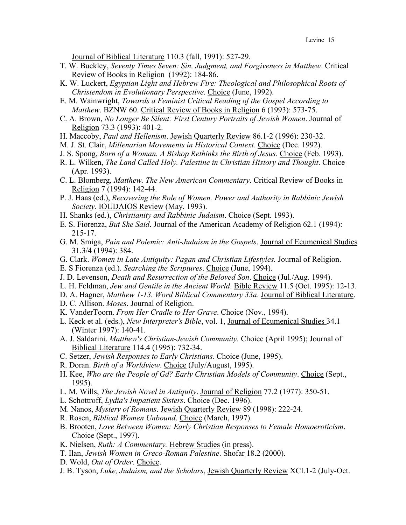Journal of Biblical Literature 110.3 (fall, 1991): 527-29.

- T. W. Buckley, *Seventy Times Seven: Sin, Judgment, and Forgiveness in Matthew*. Critical Review of Books in Religion (1992): 184-86.
- K. W. Luckert, *Egyptian Light and Hebrew Fire: Theological and Philosophical Roots of Christendom in Evolutionary Perspective*. Choice (June, 1992).
- E. M. Wainwright, *Towards a Feminist Critical Reading of the Gospel According to Matthew*. BZNW 60. Critical Review of Books in Religion 6 (1993): 573-75.
- C. A. Brown, *No Longer Be Silent: First Century Portraits of Jewish Women*. Journal of Religion 73.3 (1993): 401-2.
- H. Maccoby, *Paul and Hellenism*. Jewish Quarterly Review 86.1-2 (1996): 230-32.
- M. J. St. Clair, *Millenarian Movements in Historical Context*. Choice (Dec. 1992).
- J. S. Spong, *Born of a Woman. A Bishop Rethinks the Birth of Jesus*. Choice (Feb. 1993).
- R. L. Wilken, *The Land Called Holy. Palestine in Christian History and Thought*. Choice (Apr. 1993).
- C. L. Blomberg, *Matthew. The New American Commentary*. Critical Review of Books in Religion 7 (1994): 142-44.
- P. J. Haas (ed.), *Recovering the Role of Women. Power and Authority in Rabbinic Jewish Society*. IOUDAIOS Review (May, 1993).
- H. Shanks (ed.), *Christianity and Rabbinic Judaism*. Choice (Sept. 1993).
- E. S. Fiorenza, *But She Said*. Journal of the American Academy of Religion 62.1 (1994): 215-17.
- G. M. Smiga, *Pain and Polemic: Anti-Judaism in the Gospels*. Journal of Ecumenical Studies 31.3/4 (1994): 384.
- G. Clark. *Women in Late Antiquity: Pagan and Christian Lifestyles.* Journal of Religion.
- E. S Fiorenza (ed.). *Searching the Scriptures*. Choice (June, 1994).
- J. D. Levenson, *Death and Resurrection of the Beloved Son*. Choice (Jul./Aug. 1994).
- L. H. Feldman, *Jew and Gentile in the Ancient World*. Bible Review 11.5 (Oct. 1995): 12-13.
- D. A. Hagner, *Matthew 1-13. Word Biblical Commentary 33a*. Journal of Biblical Literature.
- D. C. Allison. *Moses*. Journal of Religion.
- K. VanderToorn. *From Her Cradle to Her Grave*. Choice (Nov., 1994).
- L. Keck et al. (eds.), *New Interpreter's Bible*, vol. 1, Journal of Ecumenical Studies 34.1 (Winter 1997): 140-41.
- A. J. Saldarini. *Matthew's Christian-Jewish Community.* Choice (April 1995); Journal of Biblical Literature 114.4 (1995): 732-34.
- C. Setzer, *Jewish Responses to Early Christians*. Choice (June, 1995).
- R. Doran. *Birth of a Worldview*. Choice (July/August, 1995).
- H. Kee, *Who are the People of Gd? Early Christian Models of Community*. Choice (Sept., 1995).
- L. M. Wills, *The Jewish Novel in Antiquity*. Journal of Religion 77.2 (1977): 350-51.
- L. Schottroff, *Lydia's Impatient Sisters*. Choice (Dec. 1996).
- M. Nanos, *Mystery of Romans*. Jewish Quarterly Review 89 (1998): 222-24.
- R. Rosen, *Biblical Women Unbound*. Choice (March, 1997).
- B. Brooten, *Love Between Women: Early Christian Responses to Female Homoeroticism*. Choice (Sept., 1997).
- K. Nielsen, *Ruth: A Commentary.* Hebrew Studies (in press).
- T. Ilan, *Jewish Women in Greco-Roman Palestine*. Shofar 18.2 (2000).
- D. Wold, *Out of Order*. Choice.
- J. B. Tyson, *Luke, Judaism, and the Scholars*, Jewish Quarterly Review XCI.1-2 (July-Oct.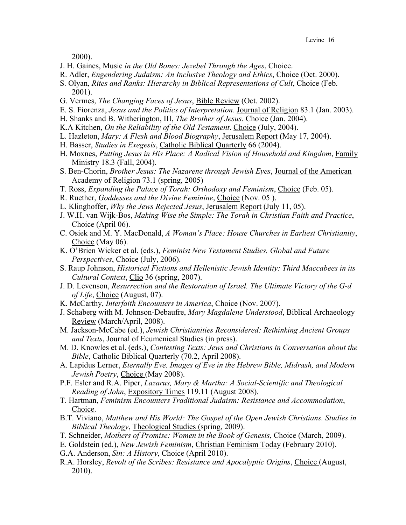2000).

- J. H. Gaines, Music *in the Old Bones: Jezebel Through the Ages*, Choice.
- R. Adler, *Engendering Judaism: An Inclusive Theology and Ethics*, Choice (Oct. 2000).
- S. Olyan, *Rites and Ranks: Hierarchy in Biblical Representations of Cult*, Choice (Feb. 2001).
- G. Vermes, *The Changing Faces of Jesus*, Bible Review (Oct. 2002).
- E. S. Fiorenza, *Jesus and the Politics of Interpretation*. Journal of Religion 83.1 (Jan. 2003).
- H. Shanks and B. Witherington, III, *The Brother of Jesus*. Choice (Jan. 2004).
- K.A Kitchen, *On the Reliability of the Old Testament*. Choice (July, 2004).
- L. Hazleton, *Mary: A Flesh and Blood Biography*, Jerusalem Report (May 17, 2004).
- H. Basser, *Studies in Exegesis*, Catholic Biblical Quarterly 66 (2004).
- H. Moxnes, *Putting Jesus in His Place: A Radical Vision of Household and Kingdom*, Family Ministry 18.3 (Fall, 2004).
- S. Ben-Chorin, *Brother Jesus: The Nazarene through Jewish Eyes*, Journal of the American Academy of Religion 73.1 (spring, 2005)
- T. Ross, *Expanding the Palace of Torah: Orthodoxy and Feminism*, Choice (Feb. 05).
- R. Ruether, *Goddesses and the Divine Feminine*, Choice (Nov. 05 ).
- L. Klinghoffer, *Why the Jews Rejected Jesus*, Jerusalem Report (July 11, 05).
- J. W.H. van Wijk-Bos, *Making Wise the Simple: The Torah in Christian Faith and Practice*, Choice (April 06).
- C. Osiek and M. Y. MacDonald, *A Woman's Place: House Churches in Earliest Christianity*, Choice (May 06).
- K. O'Brien Wicker et al. (eds.), *Feminist New Testament Studies. Global and Future Perspectives*, Choice (July, 2006).
- S. Raup Johnson, *Historical Fictions and Hellenistic Jewish Identity: Third Maccabees in its Cultural Context*, Clio 36 (spring, 2007).
- J. D. Levenson, *Resurrection and the Restoration of Israel. The Ultimate Victory of the G-d of Life*, Choice (August, 07).
- K. McCarthy, *Interfaith Encounters in America*, Choice (Nov. 2007).
- J. Schaberg with M. Johnson-Debaufre, *Mary Magdalene Understood*, Biblical Archaeology Review (March/April, 2008).
- M. Jackson-McCabe (ed.), *Jewish Christianities Reconsidered: Rethinking Ancient Groups and Texts*, Journal of Ecumenical Studies (in press).
- M. D. Knowles et al. (eds.), *Contesting Texts: Jews and Christians in Conversation about the Bible*, Catholic Biblical Quarterly (70.2, April 2008).
- A. Lapidus Lerner, *Eternally Eve. Images of Eve in the Hebrew Bible, Midrash, and Modern Jewish Poetry*, Choice (May 2008).
- P.F. Esler and R.A. Piper, *Lazarus, Mary & Martha: A Social-Scientific and Theological Reading of John*, Expository Times 119.11 (August 2008).
- T. Hartman, *Feminism Encounters Traditional Judaism: Resistance and Accommodation*, Choice.
- B.T. Viviano, *Matthew and His World: The Gospel of the Open Jewish Christians. Studies in Biblical Theology*, Theological Studies (spring, 2009).
- T. Schneider, *Mothers of Promise: Women in the Book of Genesis*, Choice (March, 2009).
- E. Goldstein (ed.), *New Jewish Feminism*, Christian Feminism Today (February 2010).
- G.A. Anderson, *Sin: A History*, Choice (April 2010).
- R.A. Horsley, *Revolt of the Scribes: Resistance and Apocalyptic Origins*, Choice (August, 2010).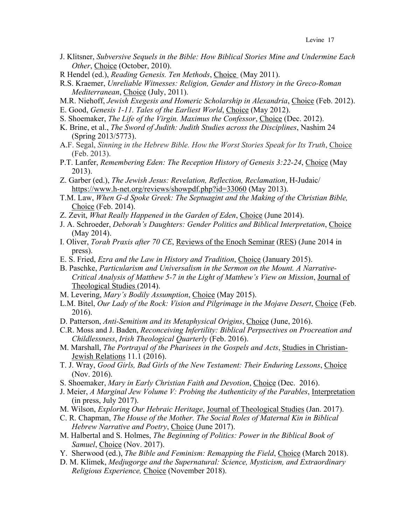- J. Klitsner, *Subversive Sequels in the Bible: How Biblical Stories Mine and Undermine Each Other*, Choice (October, 2010).
- R Hendel (ed.), *Reading Genesis. Ten Methods*, Choice (May 2011).
- R.S. Kraemer, *Unreliable Witnesses: Religion, Gender and History in the Greco-Roman Mediterranean*, Choice (July, 2011).
- M.R. Niehoff, *Jewish Exegesis and Homeric Scholarship in Alexandria*, Choice (Feb. 2012).
- E. Good, *Genesis 1-11. Tales of the Earliest World*, Choice (May 2012).
- S. Shoemaker, *The Life of the Virgin. Maximus the Confessor*, Choice (Dec. 2012).
- K. Brine, et al., *The Sword of Judith: Judith Studies across the Disciplines*, Nashim 24 (Spring 2013/5773).
- A.F. Segal, *Sinning in the Hebrew Bible. How the Worst Stories Speak for Its Truth*, Choice (Feb. 2013).
- P.T. Lanfer, *Remembering Eden: The Reception History of Genesis 3:22-24*, Choice (May 2013).
- Z. Garber (ed.), *The Jewish Jesus: Revelation, Reflection, Reclamation*, H-Judaic/ https://www.h-net.org/reviews/showpdf.php?id=33060 (May 2013).
- T.M. Law, *When G-d Spoke Greek: The Septuagint and the Making of the Christian Bible,*  Choice (Feb. 2014).
- Z. Zevit, *What Really Happened in the Garden of Eden*, Choice (June 2014).
- J. A. Schroeder, *Deborah's Daughters: Gender Politics and Biblical Interpretation*, Choice (May 2014).
- I. Oliver, *Torah Praxis after 70 CE*, Reviews of the Enoch Seminar (RES) (June 2014 in press).
- E. S. Fried, *Ezra and the Law in History and Tradition*, Choice (January 2015).
- B. Paschke, *Particularism and Universalism in the Sermon on the Mount. A Narrative-Critical Analysis of Matthew 5-7 in the Light of Matthew's View on Mission*, Journal of Theological Studies (2014).
- M. Levering, *Mary's Bodily Assumption*, Choice (May 2015).
- L.M. Bitel, *Our Lady of the Rock: Vision and Pilgrimage in the Mojave Desert*, Choice (Feb. 2016).
- D. Patterson, *Anti-Semitism and its Metaphysical Origins*, Choice (June, 2016).
- C.R. Moss and J. Baden, *Reconceiving Infertility: Biblical Perpsectives on Procreation and Childlessness*, *Irish Theological Quarterly* (Feb. 2016).
- M. Marshall, *The Portrayal of the Pharisees in the Gospels and Acts*, Studies in Christian-Jewish Relations 11.1 (2016).
- T. J. Wray, *Good Girls, Bad Girls of the New Testament: Their Enduring Lessons*, Choice (Nov. 2016).
- S. Shoemaker, *Mary in Early Christian Faith and Devotion*, Choice (Dec. 2016).
- J. Meier, *A Marginal Jew Volume V: Probing the Authenticity of the Parables*, Interpretation (in press, July 2017).
- M. Wilson, *Exploring Our Hebraic Heritage*, Journal of Theological Studies (Jan. 2017).
- C. R. Chapman, *The House of the Mother. The Social Roles of Maternal Kin in Biblical Hebrew Narrative and Poetry*, Choice (June 2017).
- M. Halbertal and S. Holmes, *The Beginning of Politics: Power in the Biblical Book of Samuel*, Choice (Nov. 2017).
- Y. Sherwood (ed.), *The Bible and Feminism: Remapping the Field*, Choice (March 2018).
- D. M. Klimek, *Medjugorge and the Supernatural: Science, Mysticism, and Extraordinary Religious Experience,* Choice (November 2018).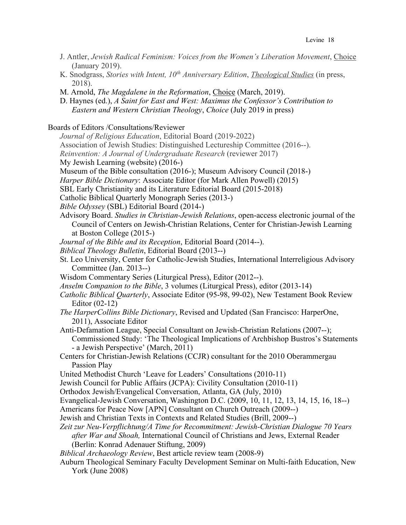- J. Antler, *Jewish Radical Feminism: Voices from the Women's Liberation Movement*, Choice (January 2019).
- K. Snodgrass, *Stories with Intent, 10th Anniversary Edition*, *Theological Studies* (in press, 2018).
- M. Arnold, *The Magdalene in the Reformation*, Choice (March, 2019).

D. Haynes (ed.), *A Saint for East and West: Maximus the Confessor's Contribution to Eastern and Western Christian Theology*, *Choice* (July 2019 in press)

Boards of Editors /Consultations/Reviewer

- *Journal of Religious Education*, Editorial Board (2019-2022) Association of Jewish Studies: Distinguished Lectureship Committee (2016--). *Reinvention: A Journal of Undergraduate Research* (reviewer 2017) My Jewish Learning (website) (2016-) Museum of the Bible consultation (2016-); Museum Advisory Council (2018-) *Harper Bible Dictionary*: Associate Editor (for Mark Allen Powell) (2015) SBL Early Christianity and its Literature Editorial Board (2015-2018) Catholic Biblical Quarterly Monograph Series (2013-) *Bible Odyssey* (SBL) Editorial Board (2014-) Advisory Board. *Studies in Christian-Jewish Relations*, open-access electronic journal of the Council of Centers on Jewish-Christian Relations, Center for Christian-Jewish Learning at Boston College (2015-)
- *Journal of the Bible and its Reception*, Editorial Board (2014--).
- *Biblical Theology Bulletin*, Editorial Board (2013--)
- St. Leo University, Center for Catholic-Jewish Studies, International Interreligious Advisory Committee (Jan. 2013--)
- Wisdom Commentary Series (Liturgical Press), Editor (2012--).
- *Anselm Companion to the Bible*, 3 volumes (Liturgical Press), editor (2013-14)
- *Catholic Biblical Quarterly*, Associate Editor (95-98, 99-02), New Testament Book Review Editor (02-12)
- *The HarperCollins Bible Dictionary*, Revised and Updated (San Francisco: HarperOne, 2011), Associate Editor
- Anti-Defamation League, Special Consultant on Jewish-Christian Relations (2007--); Commissioned Study: 'The Theological Implications of Archbishop Bustros's Statements - a Jewish Perspective' (March, 2011)
- Centers for Christian-Jewish Relations (CCJR) consultant for the 2010 Oberammergau Passion Play
- United Methodist Church 'Leave for Leaders' Consultations (2010-11)
- Jewish Council for Public Affairs (JCPA): Civility Consultation (2010-11)
- Orthodox Jewish/Evangelical Conversation, Atlanta, GA (July, 2010)
- Evangelical-Jewish Conversation, Washington D.C. (2009, 10, 11, 12, 13, 14, 15, 16, 18--)
- Americans for Peace Now [APN] Consultant on Church Outreach (2009--)
- Jewish and Christian Texts in Contexts and Related Studies (Brill, 2009--)
- *Zeit zur Neu-Verpflichtung/A Time for Recommitment: Jewish-Christian Dialogue 70 Years after War and Shoah,* International Council of Christians and Jews, External Reader (Berlin: Konrad Adenauer Stiftung, 2009)

*Biblical Archaeology Review*, Best article review team (2008-9)

Auburn Theological Seminary Faculty Development Seminar on Multi-faith Education, New York (June 2008)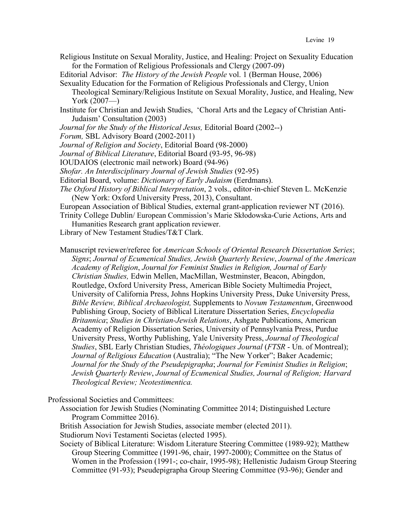Religious Institute on Sexual Morality, Justice, and Healing: Project on Sexuality Education for the Formation of Religious Professionals and Clergy (2007-09)

Editorial Advisor: *The History of the Jewish People* vol. 1 (Berman House, 2006)

- Sexuality Education for the Formation of Religious Professionals and Clergy, Union Theological Seminary/Religious Institute on Sexual Morality, Justice, and Healing, New York  $(2007)$
- Institute for Christian and Jewish Studies, 'Choral Arts and the Legacy of Christian Anti-Judaism' Consultation (2003)
- *Journal for the Study of the Historical Jesus,* Editorial Board (2002--)
- *Forum,* SBL Advisory Board (2002-2011)
- *Journal of Religion and Society*, Editorial Board (98-2000)
- *Journal of Biblical Literature*, Editorial Board (93-95, 96-98)
- IOUDAIOS (electronic mail network) Board (94-96)
- *Shofar. An Interdisciplinary Journal of Jewish Studies* (92-95)
- Editorial Board, volume: *Dictionary of Early Judaism* (Eerdmans).
- *The Oxford History of Biblical Interpretation*, 2 vols., editor-in-chief Steven L. McKenzie (New York: Oxford University Press, 2013), Consultant.

European Association of Biblical Studies, external grant-application reviewer NT (2016).

Trinity College Dublin/ European Commission's Marie Skłodowska-Curie Actions, Arts and Humanities Research grant application reviewer.

Library of New Testament Studies/T&T Clark.

Manuscript reviewer/referee for *American Schools of Oriental Research Dissertation Series*; *Signs*; *Journal of Ecumenical Studies, Jewish Quarterly Review*, *Journal of the American Academy of Religion*, *Journal for Feminist Studies in Religion, Journal of Early Christian Studies,* Edwin Mellen, MacMillan, Westminster, Beacon, Abingdon, Routledge, Oxford University Press, American Bible Society Multimedia Project, University of California Press, Johns Hopkins University Press, Duke University Press, *Bible Review, Biblical Archaeologist,* Supplements to *Novum Testamentum*, Greenwood Publishing Group, Society of Biblical Literature Dissertation Series, *Encyclopedia Britannica*; *Studies in Christian-Jewish Relations*, Ashgate Publications, American Academy of Religion Dissertation Series, University of Pennsylvania Press, Purdue University Press, Worthy Publishing, Yale University Press, *Journal of Theological Studies*, SBL Early Christian Studies, *Théologiques Journal* (*FTSR* - Un. of Montreal); *Journal of Religious Education* (Australia); "The New Yorker"; Baker Academic; *Journal for the Study of the Pseudepigrapha*; *Journal for Feminist Studies in Religion*; *Jewish Quarterly Review*, *Journal of Ecumenical Studies, Journal of Religion; Harvard Theological Review; Neotestimentica.* 

Professional Societies and Committees:

Association for Jewish Studies (Nominating Committee 2014; Distinguished Lecture Program Committee 2016).

British Association for Jewish Studies, associate member (elected 2011).

Studiorum Novi Testamenti Societas (elected 1995).

Society of Biblical Literature: Wisdom Literature Steering Committee (1989-92); Matthew Group Steering Committee (1991-96, chair, 1997-2000); Committee on the Status of Women in the Profession (1991-; co-chair, 1995-98); Hellenistic Judaism Group Steering Committee (91-93); Pseudepigrapha Group Steering Committee (93-96); Gender and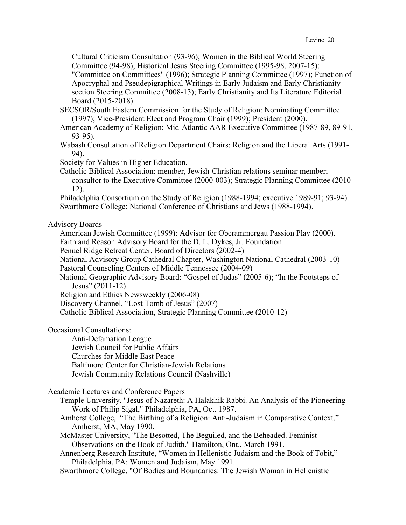Cultural Criticism Consultation (93-96); Women in the Biblical World Steering Committee (94-98); Historical Jesus Steering Committee (1995-98, 2007-15); "Committee on Committees" (1996); Strategic Planning Committee (1997); Function of Apocryphal and Pseudepigraphical Writings in Early Judaism and Early Christianity section Steering Committee (2008-13); Early Christianity and Its Literature Editorial Board (2015-2018).

SECSOR/South Eastern Commission for the Study of Religion: Nominating Committee (1997); Vice-President Elect and Program Chair (1999); President (2000).

American Academy of Religion; Mid-Atlantic AAR Executive Committee (1987-89, 89-91, 93-95).

- Wabash Consultation of Religion Department Chairs: Religion and the Liberal Arts (1991- 94).
- Society for Values in Higher Education.
- Catholic Biblical Association: member, Jewish-Christian relations seminar member; consultor to the Executive Committee (2000-003); Strategic Planning Committee (2010- 12).

Philadelphia Consortium on the Study of Religion (1988-1994; executive 1989-91; 93-94). Swarthmore College: National Conference of Christians and Jews (1988-1994).

Advisory Boards

American Jewish Committee (1999): Advisor for Oberammergau Passion Play (2000).

Faith and Reason Advisory Board for the D. L. Dykes, Jr. Foundation

Penuel Ridge Retreat Center, Board of Directors (2002-4)

National Advisory Group Cathedral Chapter, Washington National Cathedral (2003-10) Pastoral Counseling Centers of Middle Tennessee (2004-09)

National Geographic Advisory Board: "Gospel of Judas" (2005-6); "In the Footsteps of Jesus" (2011-12).

Religion and Ethics Newsweekly (2006-08)

Discovery Channel, "Lost Tomb of Jesus" (2007)

Catholic Biblical Association, Strategic Planning Committee (2010-12)

Occasional Consultations:

Anti-Defamation League Jewish Council for Public Affairs Churches for Middle East Peace Baltimore Center for Christian-Jewish Relations Jewish Community Relations Council (Nashville)

### Academic Lectures and Conference Papers

- Temple University, "Jesus of Nazareth: A Halakhik Rabbi. An Analysis of the Pioneering Work of Philip Sigal," Philadelphia, PA, Oct. 1987.
- Amherst College, "The Birthing of a Religion: Anti-Judaism in Comparative Context," Amherst, MA, May 1990.

McMaster University, "The Besotted, The Beguiled, and the Beheaded. Feminist Observations on the Book of Judith." Hamilton, Ont., March 1991.

- Annenberg Research Institute, "Women in Hellenistic Judaism and the Book of Tobit," Philadelphia, PA: Women and Judaism, May 1991.
- Swarthmore College, "Of Bodies and Boundaries: The Jewish Woman in Hellenistic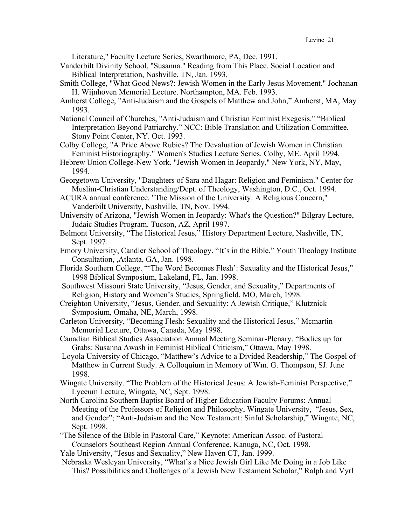Literature," Faculty Lecture Series, Swarthmore, PA, Dec. 1991.

- Vanderbilt Divinity School, "Susanna." Reading from This Place. Social Location and Biblical Interpretation, Nashville, TN, Jan. 1993.
- Smith College, "What Good News?: Jewish Women in the Early Jesus Movement." Jochanan H. Wijnhoven Memorial Lecture. Northampton, MA. Feb. 1993.
- Amherst College, "Anti-Judaism and the Gospels of Matthew and John," Amherst, MA, May 1993.
- National Council of Churches, "Anti-Judaism and Christian Feminist Exegesis." "Biblical Interpretation Beyond Patriarchy." NCC: Bible Translation and Utilization Committee, Stony Point Center, NY. Oct. 1993.
- Colby College, "A Price Above Rubies? The Devaluation of Jewish Women in Christian Feminist Historiography." Women's Studies Lecture Series. Colby, ME. April 1994.
- Hebrew Union College-New York. "Jewish Women in Jeopardy," New York, NY, May, 1994.
- Georgetown University, "Daughters of Sara and Hagar: Religion and Feminism." Center for Muslim-Christian Understanding/Dept. of Theology, Washington, D.C., Oct. 1994.
- ACURA annual conference. "The Mission of the University: A Religious Concern," Vanderbilt University, Nashville, TN, Nov. 1994.
- University of Arizona, "Jewish Women in Jeopardy: What's the Question?" Bilgray Lecture, Judaic Studies Program. Tucson, AZ, April 1997.
- Belmont University, "The Historical Jesus," History Department Lecture, Nashville, TN, Sept. 1997.
- Emory University, Candler School of Theology. "It's in the Bible." Youth Theology Institute Consultation, ,Atlanta, GA, Jan. 1998.
- Florida Southern College. "'The Word Becomes Flesh': Sexuality and the Historical Jesus," 1998 Biblical Symposium, Lakeland, FL, Jan. 1998.
- Southwest Missouri State University, "Jesus, Gender, and Sexuality," Departments of Religion, History and Women's Studies, Springfield, MO, March, 1998.
- Creighton University, "Jesus, Gender, and Sexuality: A Jewish Critique," Klutznick Symposium, Omaha, NE, March, 1998.
- Carleton University, "Becoming Flesh: Sexuality and the Historical Jesus," Mcmartin Memorial Lecture, Ottawa, Canada, May 1998.
- Canadian Biblical Studies Association Annual Meeting Seminar-Plenary. "Bodies up for Grabs: Susanna Awash in Feminist Biblical Criticism," Ottawa, May 1998.
- Loyola University of Chicago, "Matthew's Advice to a Divided Readership," The Gospel of Matthew in Current Study. A Colloquium in Memory of Wm. G. Thompson, SJ. June 1998.
- Wingate University. "The Problem of the Historical Jesus: A Jewish-Feminist Perspective," Lyceum Lecture, Wingate, NC, Sept. 1998.
- North Carolina Southern Baptist Board of Higher Education Faculty Forums: Annual Meeting of the Professors of Religion and Philosophy, Wingate University, "Jesus, Sex, and Gender"; "Anti-Judaism and the New Testament: Sinful Scholarship," Wingate, NC, Sept. 1998.
- "The Silence of the Bible in Pastoral Care," Keynote: American Assoc. of Pastoral Counselors Southeast Region Annual Conference, Kanuga, NC, Oct. 1998.

Yale University, "Jesus and Sexuality," New Haven CT, Jan. 1999.

Nebraska Wesleyan University, "What's a Nice Jewish Girl Like Me Doing in a Job Like This? Possibilities and Challenges of a Jewish New Testament Scholar," Ralph and Vyrl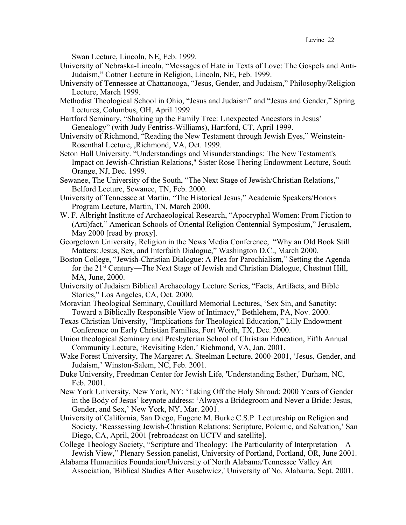Swan Lecture, Lincoln, NE, Feb. 1999.

- University of Nebraska-Lincoln, "Messages of Hate in Texts of Love: The Gospels and Anti-Judaism," Cotner Lecture in Religion, Lincoln, NE, Feb. 1999.
- University of Tennessee at Chattanooga, "Jesus, Gender, and Judaism," Philosophy/Religion Lecture, March 1999.
- Methodist Theological School in Ohio, "Jesus and Judaism" and "Jesus and Gender," Spring Lectures, Columbus, OH, April 1999.
- Hartford Seminary, "Shaking up the Family Tree: Unexpected Ancestors in Jesus' Genealogy" (with Judy Fentriss-Williams), Hartford, CT, April 1999.
- University of Richmond, "Reading the New Testament through Jewish Eyes," Weinstein-Rosenthal Lecture, ,Richmond, VA, Oct. 1999.
- Seton Hall University. "Understandings and Misunderstandings: The New Testament's Impact on Jewish-Christian Relations," Sister Rose Thering Endowment Lecture, South Orange, NJ, Dec. 1999.
- Sewanee, The University of the South, "The Next Stage of Jewish/Christian Relations," Belford Lecture, Sewanee, TN, Feb. 2000.
- University of Tennessee at Martin. "The Historical Jesus," Academic Speakers/Honors Program Lecture, Martin, TN, March 2000.
- W. F. Albright Institute of Archaeological Research, "Apocryphal Women: From Fiction to (Arti)fact," American Schools of Oriental Religion Centennial Symposium," Jerusalem, May 2000 [read by proxy].
- Georgetown University, Religion in the News Media Conference, "Why an Old Book Still Matters: Jesus, Sex, and Interfaith Dialogue," Washington D.C., March 2000.
- Boston College, "Jewish-Christian Dialogue: A Plea for Parochialism," Setting the Agenda for the 21st Century—The Next Stage of Jewish and Christian Dialogue, Chestnut Hill, MA, June, 2000.
- University of Judaism Biblical Archaeology Lecture Series, "Facts, Artifacts, and Bible Stories," Los Angeles, CA, Oct. 2000.
- Moravian Theological Seminary, Couillard Memorial Lectures, 'Sex Sin, and Sanctity: Toward a Biblically Responsible View of Intimacy," Bethlehem, PA, Nov. 2000.
- Texas Christian University, "Implications for Theological Education," Lilly Endowment Conference on Early Christian Families, Fort Worth, TX, Dec. 2000.
- Union theological Seminary and Presbyterian School of Christian Education, Fifth Annual Community Lecture, 'Revisiting Eden,' Richmond, VA, Jan. 2001.
- Wake Forest University, The Margaret A. Steelman Lecture, 2000-2001, 'Jesus, Gender, and Judaism,' Winston-Salem, NC, Feb. 2001.
- Duke University, Freedman Center for Jewish Life, 'Understanding Esther,' Durham, NC, Feb. 2001.
- New York University, New York, NY: 'Taking Off the Holy Shroud: 2000 Years of Gender in the Body of Jesus' keynote address: 'Always a Bridegroom and Never a Bride: Jesus, Gender, and Sex,' New York, NY, Mar. 2001.
- University of California, San Diego, Eugene M. Burke C.S.P. Lectureship on Religion and Society, 'Reassessing Jewish-Christian Relations: Scripture, Polemic, and Salvation,' San Diego, CA, April, 2001 [rebroadcast on UCTV and satellite].
- College Theology Society, "Scripture and Theology: The Particularity of Interpretation A Jewish View," Plenary Session panelist, University of Portland, Portland, OR, June 2001.
- Alabama Humanities Foundation/University of North Alabama/Tennessee Valley Art Association, 'Biblical Studies After Auschwicz,' University of No. Alabama, Sept. 2001.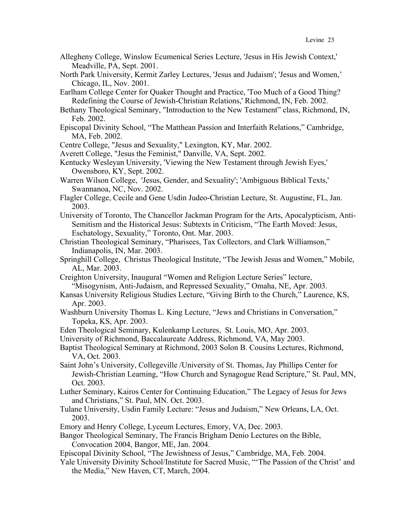- Allegheny College, Winslow Ecumenical Series Lecture, 'Jesus in His Jewish Context,' Meadville, PA, Sept. 2001.
- North Park University, Kermit Zarley Lectures, 'Jesus and Judaism'; 'Jesus and Women,' Chicago, IL, Nov. 2001.
- Earlham College Center for Quaker Thought and Practice, 'Too Much of a Good Thing? Redefining the Course of Jewish-Christian Relations,' Richmond, IN, Feb. 2002.
- Bethany Theological Seminary, "Introduction to the New Testament" class, Richmond, IN, Feb. 2002.
- Episcopal Divinity School, "The Matthean Passion and Interfaith Relations," Cambridge, MA, Feb. 2002.
- Centre College, "Jesus and Sexuality," Lexington, KY, Mar. 2002.
- Averett College, "Jesus the Feminist," Danville, VA, Sept. 2002.
- Kentucky Wesleyan University, 'Viewing the New Testament through Jewish Eyes,' Owensboro, KY, Sept. 2002.
- Warren Wilson College, 'Jesus, Gender, and Sexuality'; 'Ambiguous Biblical Texts,' Swannanoa, NC, Nov. 2002.
- Flagler College, Cecile and Gene Usdin Judeo-Christian Lecture, St. Augustine, FL, Jan. 2003.
- University of Toronto, The Chancellor Jackman Program for the Arts, Apocalypticism, Anti-Semitism and the Historical Jesus: Subtexts in Criticism, "The Earth Moved: Jesus, Eschatology, Sexuality," Toronto, Ont. Mar. 2003.
- Christian Theological Seminary, "Pharisees, Tax Collectors, and Clark Williamson," Indianapolis, IN, Mar. 2003.
- Springhill College, Christus Theological Institute, "The Jewish Jesus and Women," Mobile, AL, Mar. 2003.
- Creighton University, Inaugural "Women and Religion Lecture Series" lecture, "Misogynism, Anti-Judaism, and Repressed Sexuality," Omaha, NE, Apr. 2003.
- Kansas University Religious Studies Lecture, "Giving Birth to the Church," Laurence, KS, Apr. 2003.
- Washburn University Thomas L. King Lecture, "Jews and Christians in Conversation," Topeka, KS, Apr. 2003.
- Eden Theological Seminary, Kulenkamp Lectures, St. Louis, MO, Apr. 2003.
- University of Richmond, Baccalaureate Address, Richmond, VA, May 2003.
- Baptist Theological Seminary at Richmond, 2003 Solon B. Cousins Lectures, Richmond, VA, Oct. 2003.
- Saint John's University, Collegeville /University of St. Thomas, Jay Phillips Center for Jewish-Christian Learning, "How Church and Synagogue Read Scripture," St. Paul, MN, Oct. 2003.
- Luther Seminary, Kairos Center for Continuing Education," The Legacy of Jesus for Jews and Christians," St. Paul, MN. Oct. 2003.
- Tulane University, Usdin Family Lecture: "Jesus and Judaism," New Orleans, LA, Oct. 2003.
- Emory and Henry College, Lyceum Lectures, Emory, VA, Dec. 2003.
- Bangor Theological Seminary, The Francis Brigham Denio Lectures on the Bible, Convocation 2004, Bangor, ME, Jan. 2004.
- Episcopal Divinity School, "The Jewishness of Jesus," Cambridge, MA, Feb. 2004.
- Yale University Divinity School/Institute for Sacred Music, "'The Passion of the Christ' and the Media," New Haven, CT, March, 2004.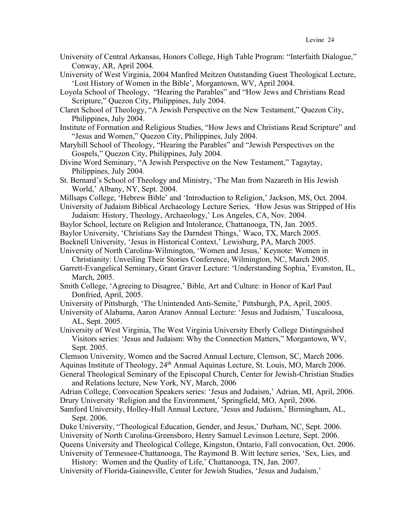- University of Central Arkansas, Honors College, High Table Program: "Interfaith Dialogue," Conway, AR, April 2004.
- University of West Virginia, 2004 Manfred Meitzen Outstanding Guest Theological Lecture, 'Lost History of Women in the Bible', Morgantown, WV, April 2004.
- Loyola School of Theology, "Hearing the Parables" and "How Jews and Christians Read Scripture," Quezon City, Philippines, July 2004.
- Claret School of Theology, "A Jewish Perspective on the New Testament," Quezon City, Philippines, July 2004.
- Institute of Formation and Religious Studies, "How Jews and Christians Read Scripture" and "Jesus and Women," Quezon City, Philippines, July 2004.
- Maryhill School of Theology, "Hearing the Parables" and "Jewish Perspectives on the Gospels," Quezon City, Philippines, July 2004.
- Divine Word Seminary, "A Jewish Perspective on the New Testament," Tagaytay, Philippines, July 2004.
- St. Bernard's School of Theology and Ministry, 'The Man from Nazareth in His Jewish World,' Albany, NY, Sept. 2004.
- Millsaps College, 'Hebrew Bible' and 'Introduction to Religion,' Jackson, MS, Oct. 2004.

University of Judaism Biblical Archaeology Lecture Series, 'How Jesus was Stripped of His Judaism: History, Theology, Archaeology,' Los Angeles, CA, Nov. 2004.

- Baylor School, lecture on Religion and Intolerance, Chattanooga, TN, Jan. 2005.
- Baylor University, 'Christians Say the Darndest Things,' Waco, TX, March 2005.
- Bucknell University, 'Jesus in Historical Context,' Lewisburg, PA, March 2005.

University of North Carolina-Wilmington, 'Women and Jesus,' Keynote: Women in Christianity: Unveiling Their Stories Conference, Wilmington, NC, March 2005.

- Garrett-Evangelical Seminary, Grant Graver Lecture: 'Understanding Sophia,' Evanston, IL, March, 2005.
- Smith College, 'Agreeing to Disagree,' Bible, Art and Culture: in Honor of Karl Paul Donfried, April, 2005.
- University of Pittsburgh, 'The Unintended Anti-Semite,' Pittsburgh, PA, April, 2005.

University of Alabama, Aaron Aranov Annual Lecture: 'Jesus and Judaism,' Tuscaloosa, AL, Sept. 2005.

University of West Virginia, The West Virginia University Eberly College Distinguished Visitors series: 'Jesus and Judaism: Why the Connection Matters," Morgantown, WV, Sept. 2005.

Clemson University, Women and the Sacred Annual Lecture, Clemson, SC, March 2006. Aquinas Institute of Theology, 24th Annual Aquinas Lecture, St. Louis, MO, March 2006.

General Theological Seminary of the Episcopal Church, Center for Jewish-Christian Studies and Relations lecture, New York, NY, March, 2006

Adrian College, Convocation Speakers series: 'Jesus and Judaism,' Adrian, MI, April, 2006. Drury University 'Religion and the Environment,' Springfield, MO, April, 2006.

Samford University, Holley-Hull Annual Lecture, 'Jesus and Judaism,' Birmingham, AL, Sept. 2006.

Duke University, "Theological Education, Gender, and Jesus,' Durham, NC, Sept. 2006. University of North Carolina-Greensboro, Henry Samuel Levinson Lecture, Sept. 2006. Queens University and Theological College, Kingston, Ontario, Fall convocation, Oct. 2006. University of Tennessee-Chattanooga, The Raymond B. Witt lecture series, 'Sex, Lies, and

History: Women and the Quality of Life,' Chattanooga, TN, Jan. 2007. University of Florida-Gainesville, Center for Jewish Studies, 'Jesus and Judaism,'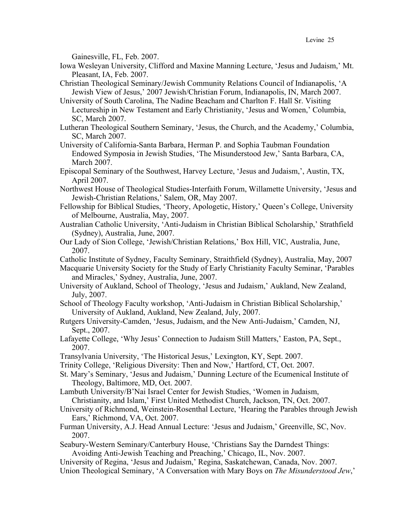Gainesville, FL, Feb. 2007.

- Iowa Wesleyan University, Clifford and Maxine Manning Lecture, 'Jesus and Judaism,' Mt. Pleasant, IA, Feb. 2007.
- Christian Theological Seminary/Jewish Community Relations Council of Indianapolis, 'A Jewish View of Jesus,' 2007 Jewish/Christian Forum, Indianapolis, IN, March 2007.
- University of South Carolina, The Nadine Beacham and Charlton F. Hall Sr. Visiting Lectureship in New Testament and Early Christianity, 'Jesus and Women,' Columbia, SC, March 2007.
- Lutheran Theological Southern Seminary, 'Jesus, the Church, and the Academy,' Columbia, SC, March 2007.
- University of California-Santa Barbara, Herman P. and Sophia Taubman Foundation Endowed Symposia in Jewish Studies, 'The Misunderstood Jew,' Santa Barbara, CA, March 2007.
- Episcopal Seminary of the Southwest, Harvey Lecture, 'Jesus and Judaism,', Austin, TX, April 2007.
- Northwest House of Theological Studies-Interfaith Forum, Willamette University, 'Jesus and Jewish-Christian Relations,' Salem, OR, May 2007.
- Fellowship for Biblical Studies, 'Theory, Apologetic, History,' Queen's College, University of Melbourne, Australia, May, 2007.
- Australian Catholic University, 'Anti-Judaism in Christian Biblical Scholarship,' Strathfield (Sydney), Australia, June, 2007.
- Our Lady of Sion College, 'Jewish/Christian Relations,' Box Hill, VIC, Australia, June, 2007.
- Catholic Institute of Sydney, Faculty Seminary, Straithfield (Sydney), Australia, May, 2007
- Macquarie University Society for the Study of Early Christianity Faculty Seminar, 'Parables and Miracles,' Sydney, Australia, June, 2007.
- University of Aukland, School of Theology, 'Jesus and Judaism,' Aukland, New Zealand, July, 2007.
- School of Theology Faculty workshop, 'Anti-Judaism in Christian Biblical Scholarship,' University of Aukland, Aukland, New Zealand, July, 2007.
- Rutgers University-Camden, 'Jesus, Judaism, and the New Anti-Judaism,' Camden, NJ, Sept., 2007.
- Lafayette College, 'Why Jesus' Connection to Judaism Still Matters,' Easton, PA, Sept., 2007.
- Transylvania University, 'The Historical Jesus,' Lexington, KY, Sept. 2007.
- Trinity College, 'Religious Diversity: Then and Now,' Hartford, CT, Oct. 2007.
- St. Mary's Seminary, 'Jesus and Judaism,' Dunning Lecture of the Ecumenical Institute of Theology, Baltimore, MD, Oct. 2007.
- Lambuth University/B'Nai Israel Center for Jewish Studies, 'Women in Judaism, Christianity, and Islam,' First United Methodist Church, Jackson, TN, Oct. 2007.
- University of Richmond, Weinstein-Rosenthal Lecture, 'Hearing the Parables through Jewish Ears,' Richmond, VA, Oct. 2007.
- Furman University, A.J. Head Annual Lecture: 'Jesus and Judaism,' Greenville, SC, Nov. 2007.
- Seabury-Western Seminary/Canterbury House, 'Christians Say the Darndest Things: Avoiding Anti-Jewish Teaching and Preaching,' Chicago, IL, Nov. 2007.
- University of Regina, 'Jesus and Judaism,' Regina, Saskatchewan, Canada, Nov. 2007. Union Theological Seminary, 'A Conversation with Mary Boys on *The Misunderstood Jew*,'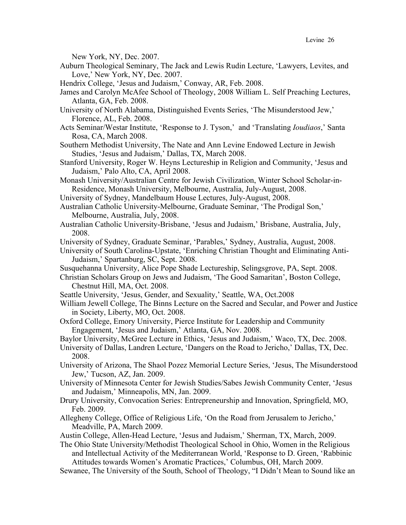New York, NY, Dec. 2007.

- Auburn Theological Seminary, The Jack and Lewis Rudin Lecture, 'Lawyers, Levites, and Love,' New York, NY, Dec. 2007.
- Hendrix College, 'Jesus and Judaism,' Conway, AR, Feb. 2008.
- James and Carolyn McAfee School of Theology, 2008 William L. Self Preaching Lectures, Atlanta, GA, Feb. 2008.
- University of North Alabama, Distinguished Events Series, 'The Misunderstood Jew,' Florence, AL, Feb. 2008.
- Acts Seminar/Westar Institute, 'Response to J. Tyson,' and 'Translating *Ioudiaos*,' Santa Rosa, CA, March 2008.
- Southern Methodist University, The Nate and Ann Levine Endowed Lecture in Jewish Studies, 'Jesus and Judaism,' Dallas, TX, March 2008.
- Stanford University, Roger W. Heyns Lectureship in Religion and Community, 'Jesus and Judaism,' Palo Alto, CA, April 2008.
- Monash University/Australian Centre for Jewish Civilization, Winter School Scholar-in-Residence, Monash University, Melbourne, Australia, July-August, 2008.
- University of Sydney, Mandelbaum House Lectures, July-August, 2008.
- Australian Catholic University-Melbourne, Graduate Seminar, 'The Prodigal Son,' Melbourne, Australia, July, 2008.
- Australian Catholic University-Brisbane, 'Jesus and Judaism,' Brisbane, Australia, July, 2008.
- University of Sydney, Graduate Seminar, 'Parables,' Sydney, Australia, August, 2008.
- University of South Carolina-Upstate, 'Enriching Christian Thought and Eliminating Anti-Judaism,' Spartanburg, SC, Sept. 2008.
- Susquehanna University, Alice Pope Shade Lectureship, Selingsgrove, PA, Sept. 2008.
- Christian Scholars Group on Jews and Judaism, 'The Good Samaritan', Boston College, Chestnut Hill, MA, Oct. 2008.
- Seattle University, 'Jesus, Gender, and Sexuality,' Seattle, WA, Oct.2008
- William Jewell College, The Binns Lecture on the Sacred and Secular, and Power and Justice in Society, Liberty, MO, Oct. 2008.
- Oxford College, Emory University, Pierce Institute for Leadership and Community Engagement, 'Jesus and Judaism,' Atlanta, GA, Nov. 2008.
- Baylor University, McGree Lecture in Ethics, 'Jesus and Judaism,' Waco, TX, Dec. 2008.
- University of Dallas, Landren Lecture, 'Dangers on the Road to Jericho,' Dallas, TX, Dec. 2008.
- University of Arizona, The Shaol Pozez Memorial Lecture Series, 'Jesus, The Misunderstood Jew,' Tucson, AZ, Jan. 2009.
- University of Minnesota Center for Jewish Studies/Sabes Jewish Community Center, 'Jesus and Judaism,' Minneapolis, MN, Jan. 2009.
- Drury University, Convocation Series: Entrepreneurship and Innovation, Springfield, MO, Feb. 2009.
- Allegheny College, Office of Religious Life, 'On the Road from Jerusalem to Jericho,' Meadville, PA, March 2009.
- Austin College, Allen-Head Lecture, 'Jesus and Judaism,' Sherman, TX, March, 2009.
- The Ohio State University/Methodist Theological School in Ohio, Women in the Religious and Intellectual Activity of the Mediterranean World, 'Response to D. Green, 'Rabbinic Attitudes towards Women's Aromatic Practices,' Columbus, OH, March 2009.
- Sewanee, The University of the South, School of Theology, "I Didn't Mean to Sound like an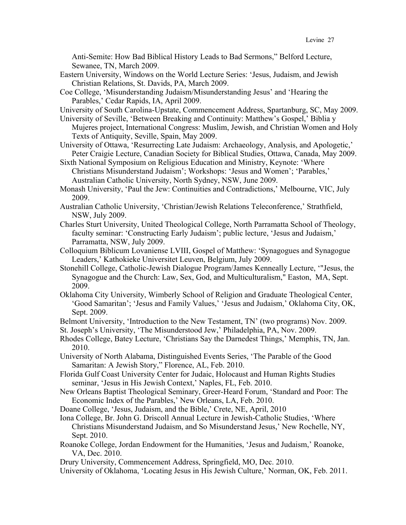Anti-Semite: How Bad Biblical History Leads to Bad Sermons," Belford Lecture, Sewanee, TN, March 2009.

- Eastern University, Windows on the World Lecture Series: 'Jesus, Judaism, and Jewish Christian Relations, St. Davids, PA, March 2009.
- Coe College, 'Misunderstanding Judaism/Misunderstanding Jesus' and 'Hearing the Parables,' Cedar Rapids, IA, April 2009.

University of South Carolina-Upstate, Commencement Address, Spartanburg, SC, May 2009.

University of Seville, 'Between Breaking and Continuity: Matthew's Gospel,' Biblia y Mujeres project, International Congress: Muslim, Jewish, and Christian Women and Holy Texts of Antiquity, Seville, Spain, May 2009.

- University of Ottawa, 'Resurrecting Late Judaism: Archaeology, Analysis, and Apologetic,' Peter Craigie Lecture, Canadian Society for Biblical Studies, Ottawa, Canada, May 2009.
- Sixth National Symposium on Religious Education and Ministry, Keynote: 'Where Christians Misunderstand Judaism'; Workshops: 'Jesus and Women'; 'Parables,' Australian Catholic University, North Sydney, NSW, June 2009.
- Monash University, 'Paul the Jew: Continuities and Contradictions,' Melbourne, VIC, July 2009.
- Australian Catholic University, 'Christian/Jewish Relations Teleconference,' Strathfield, NSW, July 2009.
- Charles Sturt University, United Theological College, North Parramatta School of Theology, faculty seminar: 'Constructing Early Judaism'; public lecture, 'Jesus and Judaism,' Parramatta, NSW, July 2009.
- Colloquium Biblicum Lovaniense LVIII, Gospel of Matthew: 'Synagogues and Synagogue Leaders,' Kathokieke Universitet Leuven, Belgium, July 2009.
- Stonehill College, Catholic-Jewish Dialogue Program/James Kenneally Lecture, '"Jesus, the Synagogue and the Church: Law, Sex, God, and Multiculturalism," Easton, MA, Sept. 2009.
- Oklahoma City University, Wimberly School of Religion and Graduate Theological Center, 'Good Samaritan'; 'Jesus and Family Values,' 'Jesus and Judaism,' Oklahoma City, OK, Sept. 2009.

Belmont University, 'Introduction to the New Testament, TN' (two programs) Nov. 2009.

St. Joseph's University, 'The Misunderstood Jew,' Philadelphia, PA, Nov. 2009.

Rhodes College, Batey Lecture, 'Christians Say the Darnedest Things,' Memphis, TN, Jan. 2010.

University of North Alabama, Distinguished Events Series, 'The Parable of the Good Samaritan: A Jewish Story," Florence, AL, Feb. 2010.

- Florida Gulf Coast University Center for Judaic, Holocaust and Human Rights Studies seminar, 'Jesus in His Jewish Context,' Naples, FL, Feb. 2010.
- New Orleans Baptist Theological Seminary, Greer-Heard Forum, 'Standard and Poor: The Economic Index of the Parables,' New Orleans, LA, Feb. 2010.
- Doane College, 'Jesus, Judaism, and the Bible,' Crete, NE, April, 2010
- Iona College, Br. John G. Driscoll Annual Lecture in Jewish-Catholic Studies, 'Where Christians Misunderstand Judaism, and So Misunderstand Jesus,' New Rochelle, NY, Sept. 2010.
- Roanoke College, Jordan Endowment for the Humanities, 'Jesus and Judaism,' Roanoke, VA, Dec. 2010.

Drury University, Commencement Address, Springfield, MO, Dec. 2010.

University of Oklahoma, 'Locating Jesus in His Jewish Culture,' Norman, OK, Feb. 2011.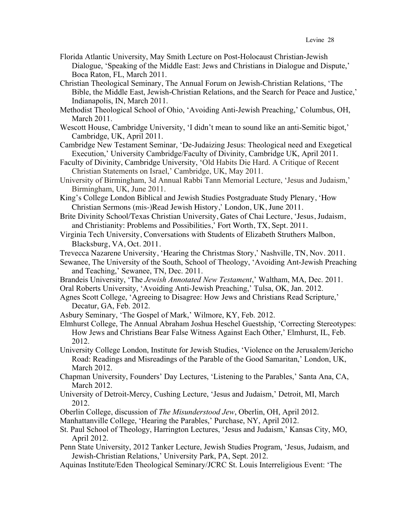- Florida Atlantic University, May Smith Lecture on Post-Holocaust Christian-Jewish Dialogue, 'Speaking of the Middle East: Jews and Christians in Dialogue and Dispute,' Boca Raton, FL, March 2011.
- Christian Theological Seminary, The Annual Forum on Jewish-Christian Relations, 'The Bible, the Middle East, Jewish-Christian Relations, and the Search for Peace and Justice,' Indianapolis, IN, March 2011.
- Methodist Theological School of Ohio, 'Avoiding Anti-Jewish Preaching,' Columbus, OH, March 2011.
- Wescott House, Cambridge University, 'I didn't mean to sound like an anti-Semitic bigot,' Cambridge, UK, April 2011.
- Cambridge New Testament Seminar, 'De-Judaizing Jesus: Theological need and Exegetical Execution,' University Cambridge/Faculty of Divinity, Cambridge UK, April 2011.
- Faculty of Divinity, Cambridge University, 'Old Habits Die Hard. A Critique of Recent Christian Statements on Israel,' Cambridge, UK, May 2011.
- University of Birmingham, 3d Annual Rabbi Tann Memorial Lecture, 'Jesus and Judaism,' Birmingham, UK, June 2011.
- King's College London Biblical and Jewish Studies Postgraduate Study Plenary, 'How Christian Sermons (mis-)Read Jewish History,' London, UK, June 2011.
- Brite Divinity School/Texas Christian University, Gates of Chai Lecture, 'Jesus, Judaism, and Christianity: Problems and Possibilities,' Fort Worth, TX, Sept. 2011.
- Virginia Tech University, Conversations with Students of Elizabeth Struthers Malbon, Blacksburg, VA, Oct. 2011.
- Trevecca Nazarene University, 'Hearing the Christmas Story,' Nashville, TN, Nov. 2011.
- Sewanee, The University of the South, School of Theology, 'Avoiding Ant-Jewish Preaching and Teaching,' Sewanee, TN, Dec. 2011.
- Brandeis University, 'The *Jewish Annotated New Testament*,' Waltham, MA, Dec. 2011.
- Oral Roberts University, 'Avoiding Anti-Jewish Preaching,' Tulsa, OK, Jan. 2012.
- Agnes Scott College, 'Agreeing to Disagree: How Jews and Christians Read Scripture,' Decatur, GA, Feb. 2012.
- Asbury Seminary, 'The Gospel of Mark,' Wilmore, KY, Feb. 2012.
- Elmhurst College, The Annual Abraham Joshua Heschel Guestship, 'Correcting Stereotypes: How Jews and Christians Bear False Witness Against Each Other,' Elmhurst, IL, Feb. 2012.
- University College London, Institute for Jewish Studies, 'Violence on the Jerusalem/Jericho Road: Readings and Misreadings of the Parable of the Good Samaritan,' London, UK, March 2012.
- Chapman University, Founders' Day Lectures, 'Listening to the Parables,' Santa Ana, CA, March 2012.
- University of Detroit-Mercy, Cushing Lecture, 'Jesus and Judaism,' Detroit, MI, March 2012.
- Oberlin College, discussion of *The Misunderstood Jew*, Oberlin, OH, April 2012.
- Manhattanville College, 'Hearing the Parables,' Purchase, NY, April 2012.
- St. Paul School of Theology, Harrington Lectures, 'Jesus and Judaism,' Kansas City, MO, April 2012.
- Penn State University, 2012 Tanker Lecture, Jewish Studies Program, 'Jesus, Judaism, and Jewish-Christian Relations,' University Park, PA, Sept. 2012.
- Aquinas Institute/Eden Theological Seminary/JCRC St. Louis Interreligious Event: 'The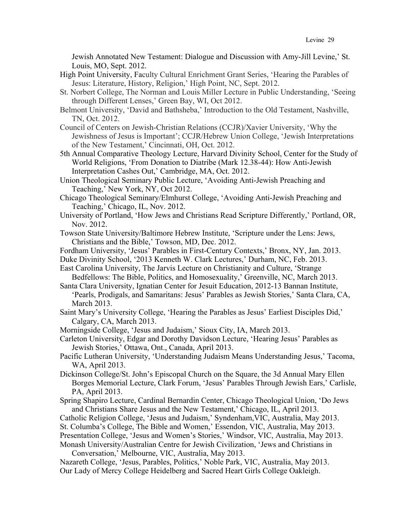Jewish Annotated New Testament: Dialogue and Discussion with Amy-Jill Levine,' St. Louis, MO, Sept. 2012.

- High Point University, Faculty Cultural Enrichment Grant Series, 'Hearing the Parables of Jesus: Literature, History, Religion,' High Point, NC, Sept. 2012.
- St. Norbert College, The Norman and Louis Miller Lecture in Public Understanding, 'Seeing through Different Lenses,' Green Bay, WI, Oct 2012.
- Belmont University, 'David and Bathsheba,' Introduction to the Old Testament, Nashville, TN, Oct. 2012.
- Council of Centers on Jewish-Christian Relations (CCJR)/Xavier University, 'Why the Jewishness of Jesus is Important'; CCJR/Hebrew Union College, 'Jewish Interpretations of the New Testament,' Cincinnati, OH, Oct. 2012.
- 5th Annual Comparative Theology Lecture, Harvard Divinity School, Center for the Study of World Religions, 'From Donation to Diatribe (Mark 12.38-44): How Anti-Jewish Interpretation Cashes Out,' Cambridge, MA, Oct. 2012.
- Union Theological Seminary Public Lecture, 'Avoiding Anti-Jewish Preaching and Teaching,' New York, NY, Oct 2012.
- Chicago Theological Seminary/Elmhurst College, 'Avoiding Anti-Jewish Preaching and Teaching,' Chicago, IL, Nov. 2012.
- University of Portland, 'How Jews and Christians Read Scripture Differently,' Portland, OR, Nov. 2012.
- Towson State University/Baltimore Hebrew Institute, 'Scripture under the Lens: Jews, Christians and the Bible,' Towson, MD, Dec. 2012.
- Fordham University, 'Jesus' Parables in First-Century Contexts,' Bronx, NY, Jan. 2013.
- Duke Divinity School, '2013 Kenneth W. Clark Lectures,' Durham, NC, Feb. 2013.
- East Carolina University, The Jarvis Lecture on Christianity and Culture, 'Strange Bedfellows: The Bible, Politics, and Homosexuality,' Greenville, NC, March 2013.
- Santa Clara University, Ignatian Center for Jesuit Education, 2012-13 Bannan Institute, 'Pearls, Prodigals, and Samaritans: Jesus' Parables as Jewish Stories,' Santa Clara, CA, March 2013.
- Saint Mary's University College, 'Hearing the Parables as Jesus' Earliest Disciples Did,' Calgary, CA, March 2013.
- Morningside College, 'Jesus and Judaism,' Sioux City, IA, March 2013.
- Carleton University, Edgar and Dorothy Davidson Lecture, 'Hearing Jesus' Parables as Jewish Stories,' Ottawa, Ont., Canada, April 2013.
- Pacific Lutheran University, 'Understanding Judaism Means Understanding Jesus,' Tacoma, WA, April 2013.
- Dickinson College/St. John's Episcopal Church on the Square, the 3d Annual Mary Ellen Borges Memorial Lecture, Clark Forum, 'Jesus' Parables Through Jewish Ears,' Carlisle, PA, April 2013.
- Spring Shapiro Lecture, Cardinal Bernardin Center, Chicago Theological Union, 'Do Jews and Christians Share Jesus and the New Testament,' Chicago, IL, April 2013.
- Catholic Religion College, 'Jesus and Judaism,' Syndenham,VIC, Australia, May 2013.
- St. Columba's College, The Bible and Women,' Essendon, VIC, Australia, May 2013.
- Presentation College, 'Jesus and Women's Stories,' Windsor, VIC, Australia, May 2013.

Monash University/Australian Centre for Jewish Civilization, 'Jews and Christians in Conversation,' Melbourne, VIC, Australia, May 2013.

Nazareth College, 'Jesus, Parables, Politics,' Noble Park, VIC, Australia, May 2013. Our Lady of Mercy College Heidelberg and Sacred Heart Girls College Oakleigh.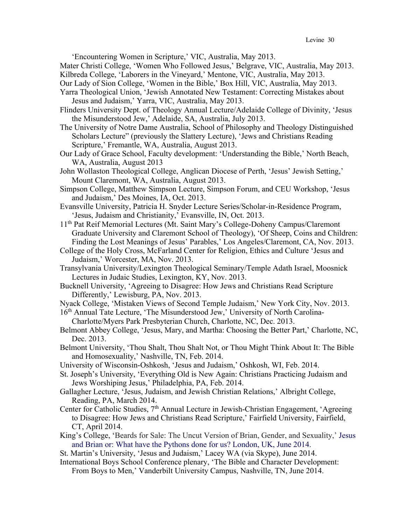'Encountering Women in Scripture,' VIC, Australia, May 2013.

Mater Christi College, 'Women Who Followed Jesus,' Belgrave, VIC, Australia, May 2013. Kilbreda College, 'Laborers in the Vineyard,' Mentone, VIC, Australia, May 2013.

Our Lady of Sion College, 'Women in the Bible,' Box Hill, VIC, Australia, May 2013.

- Yarra Theological Union, 'Jewish Annotated New Testament: Correcting Mistakes about Jesus and Judaism,' Yarra, VIC, Australia, May 2013.
- Flinders University Dept. of Theology Annual Lecture/Adelaide College of Divinity, 'Jesus the Misunderstood Jew,' Adelaide, SA, Australia, July 2013.
- The University of Notre Dame Australia, School of Philosophy and Theology Distinguished Scholars Lecture" (previously the Slattery Lecture), 'Jews and Christians Reading Scripture,' Fremantle, WA, Australia, August 2013.
- Our Lady of Grace School, Faculty development: 'Understanding the Bible,' North Beach, WA, Australia, August 2013
- John Wollaston Theological College, Anglican Diocese of Perth, 'Jesus' Jewish Setting,' Mount Claremont, WA, Australia, August 2013.
- Simpson College, Matthew Simpson Lecture, Simpson Forum, and CEU Workshop, 'Jesus and Judaism,' Des Moines, IA, Oct. 2013.
- Evansville University, Patricia H. Snyder Lecture Series/Scholar-in-Residence Program, 'Jesus, Judaism and Christianity,' Evansville, IN, Oct. 2013.
- 11th Pat Reif Memorial Lectures (Mt. Saint Mary's College-Doheny Campus/Claremont Graduate University and Claremont School of Theology), 'Of Sheep, Coins and Children: Finding the Lost Meanings of Jesus' Parables,' Los Angeles/Claremont, CA, Nov. 2013.
- College of the Holy Cross, McFarland Center for Religion, Ethics and Culture 'Jesus and Judaism,' Worcester, MA, Nov. 2013.
- Transylvania University/Lexington Theological Seminary/Temple Adath Israel, Moosnick Lectures in Judaic Studies, Lexington, KY, Nov. 2013.
- Bucknell University, 'Agreeing to Disagree: How Jews and Christians Read Scripture Differently,' Lewisburg, PA, Nov. 2013.
- Nyack College, 'Mistaken Views of Second Temple Judaism,' New York City, Nov. 2013.
- 16<sup>th</sup> Annual Tate Lecture, 'The Misunderstood Jew,' University of North Carolina-Charlotte/Myers Park Presbyterian Church, Charlotte, NC, Dec. 2013.
- Belmont Abbey College, 'Jesus, Mary, and Martha: Choosing the Better Part,' Charlotte, NC, Dec. 2013.
- Belmont University, 'Thou Shalt, Thou Shalt Not, or Thou Might Think About It: The Bible and Homosexuality,' Nashville, TN, Feb. 2014.
- University of Wisconsin-Oshkosh, 'Jesus and Judaism,' Oshkosh, WI, Feb. 2014.
- St. Joseph's University, 'Everything Old is New Again: Christians Practicing Judaism and Jews Worshiping Jesus,' Philadelphia, PA, Feb. 2014.
- Gallagher Lecture, 'Jesus, Judaism, and Jewish Christian Relations,' Albright College, Reading, PA, March 2014.
- Center for Catholic Studies, 7<sup>th</sup> Annual Lecture in Jewish-Christian Engagement, 'Agreeing to Disagree: How Jews and Christians Read Scripture,' Fairfield University, Fairfield, CT, April 2014.
- King's College, 'Beards for Sale: The Uncut Version of Brian, Gender, and Sexuality,' Jesus and Brian or: What have the Pythons done for us? London, UK, June 2014.
- St. Martin's University, 'Jesus and Judaism,' Lacey WA (via Skype), June 2014.
- International Boys School Conference plenary, 'The Bible and Character Development: From Boys to Men,' Vanderbilt University Campus, Nashville, TN, June 2014.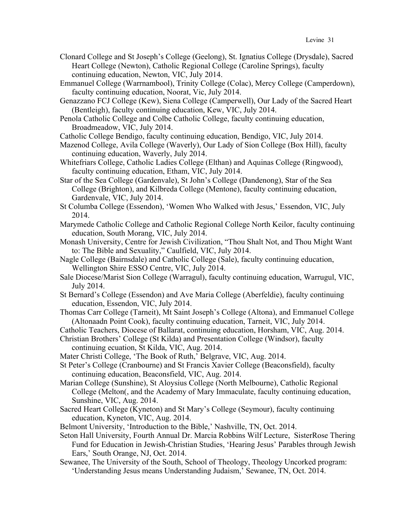- Clonard College and St Joseph's College (Geelong), St. Ignatius College (Drysdale), Sacred Heart College (Newton), Catholic Regional College (Caroline Springs), faculty continuing education, Newton, VIC, July 2014.
- Emmanuel College (Warrnambool), Trinity College (Colac), Mercy College (Camperdown), faculty continuing education, Noorat, Vic, July 2014.
- Genazzano FCJ College (Kew), Siena College (Camperwell), Our Lady of the Sacred Heart (Bentleigh), faculty continuing education, Kew, VIC, July 2014.
- Penola Catholic College and Colbe Catholic College, faculty continuing education, Broadmeadow, VIC, July 2014.
- Catholic College Bendigo, faculty continuing education, Bendigo, VIC, July 2014.
- Mazenod College, Avila College (Waverly), Our Lady of Sion College (Box Hill), faculty continuing education, Waverly, July 2014.
- Whitefriars College, Catholic Ladies College (Elthan) and Aquinas College (Ringwood), faculty continuing education, Etham, VIC, July 2014.
- Star of the Sea College (Gardenvale), St John's College (Dandenong), Star of the Sea College (Brighton), and Kilbreda College (Mentone), faculty continuing education, Gardenvale, VIC, July 2014.
- St Columba College (Essendon), 'Women Who Walked with Jesus,' Essendon, VIC, July 2014.
- Marymede Catholic College and Catholic Regional College North Keilor, faculty continuing education, South Morang, VIC, July 2014.
- Monash University, Centre for Jewish Civilization, "Thou Shalt Not, and Thou Might Want to: The Bible and Sexuality," Caulfield, VIC, July 2014.
- Nagle College (Bairnsdale) and Catholic College (Sale), faculty continuing education, Wellington Shire ESSO Centre, VIC, July 2014.
- Sale Diocese/Marist Sion College (Warragul), faculty continuing education, Warrugul, VIC, July 2014.
- St Bernard's College (Essendon) and Ave Maria College (Aberfeldie), faculty continuing education, Essendon, VIC, July 2014.
- Thomas Carr College (Tarneit), Mt Saint Joseph's College (Altona), and Emmanuel College (Altonaadn Point Cook), faculty continuing education, Tarneit, VIC, July 2014.
- Catholic Teachers, Diocese of Ballarat, continuing education, Horsham, VIC, Aug. 2014.
- Christian Brothers' College (St Kilda) and Presentation College (Windsor), faculty continuing ecuation, St Kilda, VIC, Aug. 2014.
- Mater Christi College, 'The Book of Ruth,' Belgrave, VIC, Aug. 2014.
- St Peter's College (Cranbourne) and St Francis Xavier College (Beaconsfield), faculty continuing education, Beaconsfield, VIC, Aug. 2014.
- Marian College (Sunshine), St Aloysius College (North Melbourne), Catholic Regional College (Melton(, and the Academy of Mary Immaculate, faculty continuing education, Sunshine, VIC, Aug. 2014.
- Sacred Heart College (Kyneton) and St Mary's College (Seymour), faculty continuing education, Kyneton, VIC, Aug. 2014.
- Belmont University, 'Introduction to the Bible,' Nashville, TN, Oct. 2014.
- Seton Hall University, Fourth Annual Dr. Marcia Robbins Wilf Lecture, SisterRose Thering Fund for Education in Jewish-Christian Studies, 'Hearing Jesus' Parables through Jewish Ears,' South Orange, NJ, Oct. 2014.
- Sewanee, The University of the South, School of Theology, Theology Uncorked program: 'Understanding Jesus means Understanding Judaism,' Sewanee, TN, Oct. 2014.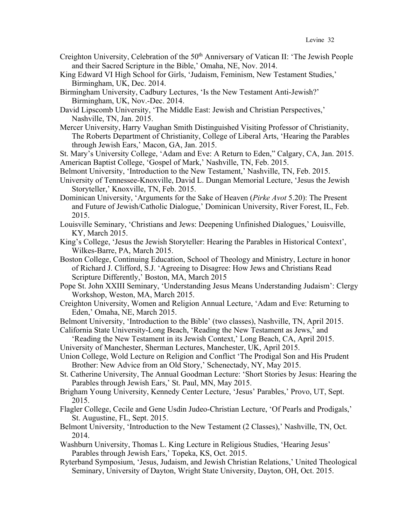- Creighton University, Celebration of the 50<sup>th</sup> Anniversary of Vatican II: 'The Jewish People and their Sacred Scripture in the Bible,' Omaha, NE, Nov. 2014.
- King Edward VI High School for Girls, 'Judaism, Feminism, New Testament Studies,' Birmingham, UK, Dec. 2014.
- Birmingham University, Cadbury Lectures, 'Is the New Testament Anti-Jewish?' Birmingham, UK, Nov.-Dec. 2014.
- David Lipscomb University, 'The Middle East: Jewish and Christian Perspectives,' Nashville, TN, Jan. 2015.
- Mercer University, Harry Vaughan Smith Distinguished Visiting Professor of Christianity, The Roberts Department of Christianity, College of Liberal Arts, 'Hearing the Parables through Jewish Ears,' Macon, GA, Jan. 2015.
- St. Mary's University College, 'Adam and Eve: A Return to Eden," Calgary, CA, Jan. 2015. American Baptist College, 'Gospel of Mark,' Nashville, TN, Feb. 2015.
- Belmont University, 'Introduction to the New Testament,' Nashville, TN, Feb. 2015.
- University of Tennessee-Knoxville, David L. Dungan Memorial Lecture, 'Jesus the Jewish Storyteller,' Knoxville, TN, Feb. 2015.
- Dominican University, 'Arguments for the Sake of Heaven (*Pirke Avot* 5.20): The Present and Future of Jewish/Catholic Dialogue,' Dominican University, River Forest, IL, Feb. 2015.
- Louisville Seminary, 'Christians and Jews: Deepening Unfinished Dialogues,' Louisville, KY, March 2015.
- King's College, 'Jesus the Jewish Storyteller: Hearing the Parables in Historical Context', Wilkes-Barre, PA, March 2015.
- Boston College, Continuing Education, School of Theology and Ministry, Lecture in honor of Richard J. Clifford, S.J. 'Agreeing to Disagree: How Jews and Christians Read Scripture Differently,' Boston, MA, March 2015
- Pope St. John XXIII Seminary, 'Understanding Jesus Means Understanding Judaism': Clergy Workshop, Weston, MA, March 2015.
- Creighton University, Women and Religion Annual Lecture, 'Adam and Eve: Returning to Eden,' Omaha, NE, March 2015.
- Belmont University, 'Introduction to the Bible' (two classes), Nashville, TN, April 2015.
- California State University-Long Beach, 'Reading the New Testament as Jews,' and
- 'Reading the New Testament in its Jewish Context,' Long Beach, CA, April 2015.
- University of Manchester, Sherman Lectures, Manchester, UK, April 2015.
- Union College, Wold Lecture on Religion and Conflict 'The Prodigal Son and His Prudent Brother: New Advice from an Old Story,' Schenectady, NY, May 2015.
- St. Catherine University, The Annual Goodman Lecture: 'Short Stories by Jesus: Hearing the Parables through Jewish Ears,' St. Paul, MN, May 2015.
- Brigham Young University, Kennedy Center Lecture, 'Jesus' Parables,' Provo, UT, Sept. 2015.
- Flagler College, Cecile and Gene Usdin Judeo-Christian Lecture, 'Of Pearls and Prodigals,' St. Augustine, FL, Sept. 2015.
- Belmont University, 'Introduction to the New Testament (2 Classes),' Nashville, TN, Oct. 2014.
- Washburn University, Thomas L. King Lecture in Religious Studies, 'Hearing Jesus' Parables through Jewish Ears,' Topeka, KS, Oct. 2015.
- Ryterband Symposium, 'Jesus, Judaism, and Jewish Christian Relations,' United Theological Seminary, University of Dayton, Wright State University, Dayton, OH, Oct. 2015.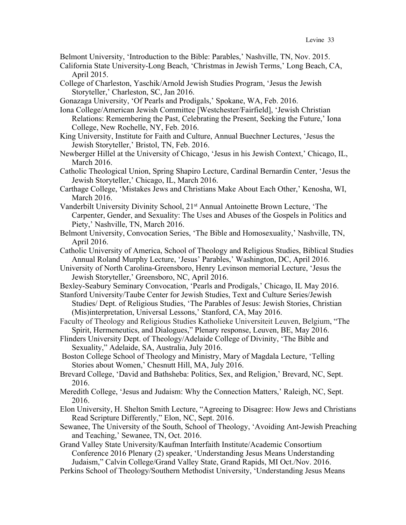Belmont University, 'Introduction to the Bible: Parables,' Nashville, TN, Nov. 2015.

- California State University-Long Beach, 'Christmas in Jewish Terms,' Long Beach, CA, April 2015.
- College of Charleston, Yaschik/Arnold Jewish Studies Program, 'Jesus the Jewish Storyteller,' Charleston, SC, Jan 2016.

Gonazaga University, 'Of Pearls and Prodigals,' Spokane, WA, Feb. 2016.

- Iona College/American Jewish Committee [Westchester/Fairfield], 'Jewish Christian Relations: Remembering the Past, Celebrating the Present, Seeking the Future,' Iona College, New Rochelle, NY, Feb. 2016.
- King University, Institute for Faith and Culture, Annual Buechner Lectures, 'Jesus the Jewish Storyteller,' Bristol, TN, Feb. 2016.
- Newberger Hillel at the University of Chicago, 'Jesus in his Jewish Context,' Chicago, IL, March 2016.
- Catholic Theological Union, Spring Shapiro Lecture, Cardinal Bernardin Center, 'Jesus the Jewish Storyteller,' Chicago, IL, March 2016.
- Carthage College, 'Mistakes Jews and Christians Make About Each Other,' Kenosha, WI, March 2016.
- Vanderbilt University Divinity School, 21st Annual Antoinette Brown Lecture, 'The Carpenter, Gender, and Sexuality: The Uses and Abuses of the Gospels in Politics and Piety,' Nashville, TN, March 2016.
- Belmont University, Convocation Series, 'The Bible and Homosexuality,' Nashville, TN, April 2016.
- Catholic University of America, School of Theology and Religious Studies, Biblical Studies Annual Roland Murphy Lecture, 'Jesus' Parables,' Washington, DC, April 2016.
- University of North Carolina-Greensboro, Henry Levinson memorial Lecture, 'Jesus the Jewish Storyteller,' Greensboro, NC, April 2016.
- Bexley-Seabury Seminary Convocation, 'Pearls and Prodigals,' Chicago, IL May 2016.
- Stanford University/Taube Center for Jewish Studies, Text and Culture Series/Jewish Studies/ Dept. of Religious Studies, 'The Parables of Jesus: Jewish Stories, Christian (Mis)interpretation, Universal Lessons,' Stanford, CA, May 2016.
- Faculty of Theology and Religious Studies Katholieke Universiteit Leuven, Belgium, "The Spirit, Hermeneutics, and Dialogues," Plenary response, Leuven, BE, May 2016.
- Flinders University Dept. of Theology/Adelaide College of Divinity, 'The Bible and Sexuality," Adelaide, SA, Australia, July 2016.
- Boston College School of Theology and Ministry, Mary of Magdala Lecture, 'Telling Stories about Women,' Chesnutt Hill, MA, July 2016.
- Brevard College, 'David and Bathsheba: Politics, Sex, and Religion,' Brevard, NC, Sept. 2016.
- Meredith College, 'Jesus and Judaism: Why the Connection Matters,' Raleigh, NC, Sept. 2016.
- Elon University, H. Shelton Smith Lecture, "Agreeing to Disagree: How Jews and Christians Read Scripture Differently," Elon, NC, Sept. 2016.
- Sewanee, The University of the South, School of Theology, 'Avoiding Ant-Jewish Preaching and Teaching,' Sewanee, TN, Oct. 2016.
- Grand Valley State University/Kaufman Interfaith Institute/Academic Consortium Conference 2016 Plenary (2) speaker, 'Understanding Jesus Means Understanding Judaism," Calvin College/Grand Valley State, Grand Rapids, MI Oct./Nov. 2016.
- Perkins School of Theology/Southern Methodist University, 'Understanding Jesus Means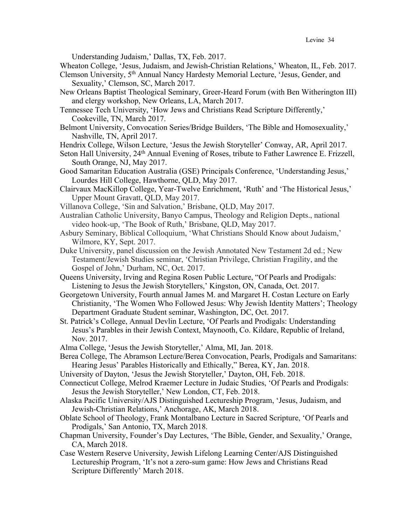Understanding Judaism,' Dallas, TX, Feb. 2017.

Wheaton College, 'Jesus, Judaism, and Jewish-Christian Relations,' Wheaton, IL, Feb. 2017.

Clemson University, 5th Annual Nancy Hardesty Memorial Lecture, 'Jesus, Gender, and Sexuality,' Clemson, SC, March 2017.

- New Orleans Baptist Theological Seminary, Greer-Heard Forum (with Ben Witherington III) and clergy workshop, New Orleans, LA, March 2017.
- Tennessee Tech University, 'How Jews and Christians Read Scripture Differently,' Cookeville, TN, March 2017.
- Belmont University, Convocation Series/Bridge Builders, 'The Bible and Homosexuality,' Nashville, TN, April 2017.
- Hendrix College, Wilson Lecture, 'Jesus the Jewish Storyteller' Conway, AR, April 2017.
- Seton Hall University, 24<sup>th</sup> Annual Evening of Roses, tribute to Father Lawrence E. Frizzell, South Orange, NJ, May 2017.
- Good Samaritan Education Australia (GSE) Principals Conference, 'Understanding Jesus,' Lourdes Hill College, Hawthorne, QLD, May 2017.
- Clairvaux MacKillop College, Year-Twelve Enrichment, 'Ruth' and 'The Historical Jesus,' Upper Mount Gravatt, QLD, May 2017.
- Villanova College, 'Sin and Salvation,' Brisbane, QLD, May 2017.
- Australian Catholic University, Banyo Campus, Theology and Religion Depts., national video hook-up, 'The Book of Ruth,' Brisbane, QLD, May 2017.
- Asbury Seminary, Biblical Colloquium, 'What Christians Should Know about Judaism,' Wilmore, KY, Sept. 2017.
- Duke University, panel discussion on the Jewish Annotated New Testament 2d ed.; New Testament/Jewish Studies seminar, 'Christian Privilege, Christian Fragility, and the Gospel of John,' Durham, NC, Oct. 2017.
- Queens University, Irving and Regina Rosen Public Lecture, "Of Pearls and Prodigals: Listening to Jesus the Jewish Storytellers,' Kingston, ON, Canada, Oct. 2017.
- Georgetown University, Fourth annual James M. and Margaret H. Costan Lecture on Early Christianity, 'The Women Who Followed Jesus: Why Jewish Identity Matters'; Theology Department Graduate Student seminar, Washington, DC, Oct. 2017.
- St. Patrick's College, Annual Devlin Lecture, 'Of Pearls and Prodigals: Understanding Jesus's Parables in their Jewish Context, Maynooth, Co. Kildare, Republic of Ireland, Nov. 2017.
- Alma College, 'Jesus the Jewish Storyteller,' Alma, MI, Jan. 2018.
- Berea College, The Abramson Lecture/Berea Convocation, Pearls, Prodigals and Samaritans: Hearing Jesus' Parables Historically and Ethically," Berea, KY, Jan. 2018.
- University of Dayton, 'Jesus the Jewish Storyteller,' Dayton, OH, Feb. 2018.
- Connecticut College, Melrod Kraemer Lecture in Judaic Studies, 'Of Pearls and Prodigals: Jesus the Jewish Storyteller,' New London, CT, Feb. 2018.
- Alaska Pacific University/AJS Distinguished Lectureship Program, 'Jesus, Judaism, and Jewish-Christian Relations,' Anchorage, AK, March 2018.
- Oblate School of Theology, Frank Montalbano Lecture in Sacred Scripture, 'Of Pearls and Prodigals,' San Antonio, TX, March 2018.
- Chapman University, Founder's Day Lectures, 'The Bible, Gender, and Sexuality,' Orange, CA, March 2018.
- Case Western Reserve University, Jewish Lifelong Learning Center/AJS Distinguished Lectureship Program, 'It's not a zero-sum game: How Jews and Christians Read Scripture Differently' March 2018.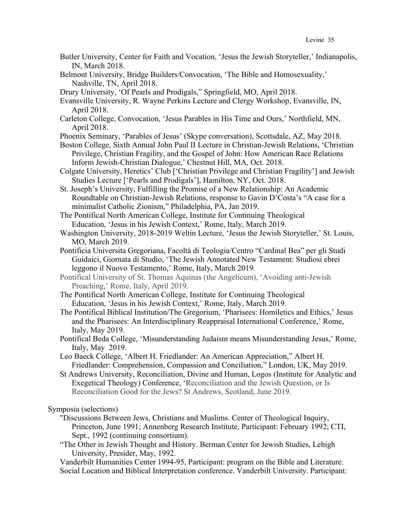- Butler University, Center for Faith and Vocation, 'Jesus the Jewish Storyteller,' Indianapolis, IN, March 2018.
- Belmont University, Bridge Builders/Convocation, 'The Bible and Homosexuality,' Nashville, TN, April 2018.
- Drury University, 'Of Pearls and Prodigals," Springfield, MO, April 2018.
- Evansville University, R. Wayne Perkins Lecture and Clergy Workshop, Evansville, IN, April 2018.
- Carleton College, Convocation, 'Jesus Parables in His Time and Ours,' Northfield, MN, April 2018.
- Phoenix Seminary, 'Parables of Jesus' (Skype conversation), Scottsdale, AZ, May 2018.
- Boston College, Sixth Annual John Paul II Lecture in Christian-Jewish Relations, 'Christian Privilege, Christian Fragility, and the Gospel of John: How American Race Relations Inform Jewish-Christian Dialogue,' Chestnut Hill, MA, Oct. 2018.
- Colgate University, Heretics' Club ['Christian Privilege and Christian Fragility'] and Jewish Studies Lecture ['Pearls and Prodigals'], Hamilton, NY, Oct. 2018.
- St. Joseph's University, Fulfilling the Promise of a New Relationship: An Academic Roundtable on Christian-Jewish Relations, response to Gavin D'Costa's "A case for a minimalist Catholic Zionism," Philadelphia, PA, Jan 2019.
- The Pontifical North American College, Institute for Continuing Theological Education, 'Jesus in his Jewish Context,' Rome, Italy, March 2019.
- Washington University, 2018-2019 Weltin Lecture, 'Jesus the Jewish Storyteller,' St. Louis, MO, March 2019.
- Pontificia Universita Gregoriana, Facoltà di Teologia/Centro "Cardinal Bea" per gli Studi Guidaici, Giornata di Studio, 'The Jewish Annotated New Testament: Studiosi ebrei leggono il Nuovo Testamento,' Rome, Italy, March 2019.
- Pontifical University of St. Thomas Aquinas (the Angelicum), 'Avoiding anti-Jewish Preaching,' Rome, Italy, April 2019.
- The Pontifical North American College, Institute for Continuing Theological Education, 'Jesus in his Jewish Context,' Rome, Italy, March 2019.
- The Pontifical Biblical Institution/The Gregorium, 'Pharisees: Homiletics and Ethics,' Jesus and the Pharisees: An Interdisciplinary Reappraisal International Conference,' Rome, Italy, May 2019.
- Pontifical Beda College, 'Misunderstanding Judaism means Misunderstanding Jesus,' Rome, Italy, May 2019.
- Leo Baeck College, 'Albert H. Friedlander: An American Appreciation," Albert H. Friedlander: Comprehension, Compassion and Conciliation," London, UK, May 2019.
- St Andrews University, Reconciliation, Divine and Human, Logos (Institute for Analytic and Exegetical Theology) Conference, 'Reconciliation and the Jewish Question, or Is Reconciliation Good for the Jews? St Andrews, Scotland, June 2019.

Symposia (selections)

- "Discussions Between Jews, Christians and Muslims. Center of Theological Inquiry, Princeton, June 1991; Annenberg Research Institute, Participant: February 1992; CTI, Sept., 1992 (continuing consortium).
- "The Other in Jewish Thought and History. Berman Center for Jewish Studies, Lehigh University, Presider, May, 1992.

Vanderbilt Humanities Center 1994-95, Participant: program on the Bible and Literature. Social Location and Biblical Interpretation conference. Vanderbilt University. Participant: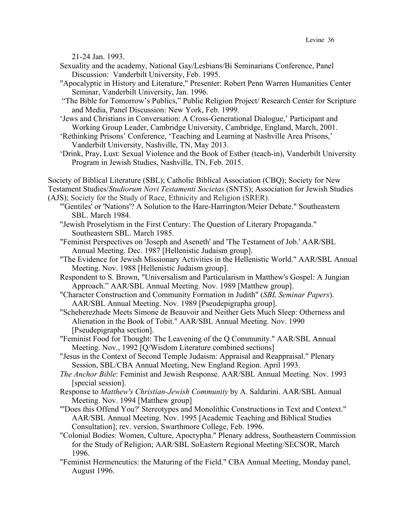21-24 Jan. 1993.

- Sexuality and the academy, National Gay/Lesbians/Bi Seminarians Conference, Panel Discussion: Vanderbilt University, Feb. 1995.
- "Apocalyptic in History and Literature," Presenter: Robert Penn Warren Humanities Center Seminar, Vanderbilt University, Jan. 1996.
- "The Bible for Tomorrow's Publics," Public Religion Project/ Research Center for Scripture and Media, Panel Discussion: New York, Feb. 1999.
- 'Jews and Christians in Conversation: A Cross-Generational Dialogue,' Participant and Working Group Leader, Cambridge University, Cambridge, England, March, 2001.
- 'Rethinking Prisons' Conference, 'Teaching and Learning at Nashville Area Prisons,' Vanderbilt University, Nashville, TN, May 2013.
- 'Drink, Pray, Lust: Sexual Violence and the Book of Esther (teach-in), Vanderbilt University Program in Jewish Studies, Nashville, TN, Feb. 2015.

Society of Biblical Literature (SBL); Catholic Biblical Association (CBQ); Society for New Testament Studies/*Studiorum Novi Testamenti Societas* (SNTS); Association for Jewish Studies

(AJS); Society for the Study of Race, Ethnicity and Religion (SRER).

- "'Gentiles' or 'Nations'? A Solution to the Hare-Harrington/Meier Debate." Southeastern SBL. March 1984.
- "Jewish Proselytism in the First Century: The Question of Literary Propaganda." Southeastern SBL. March 1985.
- "Feminist Perspectives on 'Joseph and Aseneth' and 'The Testament of Job.' AAR/SBL Annual Meeting. Dec. 1987 [Hellenistic Judaism group].
- "The Evidence for Jewish Missionary Activities in the Hellenistic World." AAR/SBL Annual Meeting. Nov. 1988 [Hellenistic Judaism group].
- Respondent to S. Brown, "Universalism and Particularism in Matthew's Gospel: A Jungian Approach." AAR/SBL Annual Meeting. Nov. 1989 [Matthew group].
- "Character Construction and Community Formation in Judith" (*SBL Seminar Papers*). AAR/SBL Annual Meeting. Nov. 1989 [Pseudepigrapha group].
- "Scheherezhade Meets Simone de Beauvoir and Neither Gets Much Sleep: Otherness and Alienation in the Book of Tobit." AAR/SBL Annual Meeting. Nov. 1990 [Pseudepigrapha section].
- "Feminist Food for Thought: The Leavening of the Q Community." AAR/SBL Annual Meeting. Nov., 1992 [Q/Wisdom Literature combined sections]
- "Jesus in the Context of Second Temple Judaism: Appraisal and Reappraisal." Plenary Session, SBL/CBA Annual Meeting, New England Region. April 1993.
- *The Anchor Bible*: Feminist and Jewish Response. AAR/SBL Annual Meeting. Nov. 1993 [special session].
- Response to *Matthew's Christian-Jewish Community* by A. Saldarini. AAR/SBL Annual Meeting. Nov. 1994 [Matthew group]
- "'Does this Offend You?' Stereotypes and Monolithic Constructions in Text and Context." AAR/SBL Annual Meeting. Nov. 1995 [Academic Teaching and Biblical Studies Consultation]; rev. version, Swarthmore College, Feb. 1996.
- "Colonial Bodies: Women, Culture, Apocrypha." Plenary address, Southeastern Commission for the Study of Religion; AAR/SBL SoEastern Regional Meeting/SECSOR, March 1996.
- "Feminist Hermeneutics: the Maturing of the Field." CBA Annual Meeting, Monday panel, August 1996.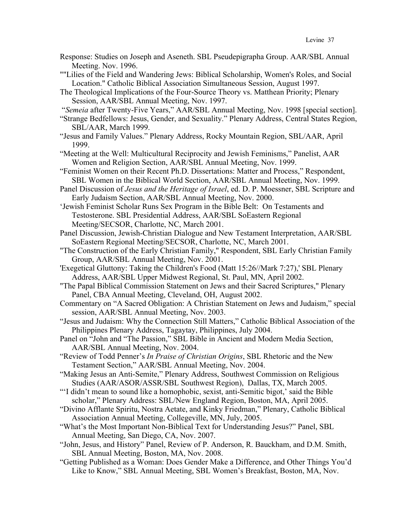- Response: Studies on Joseph and Aseneth. SBL Pseudepigrapha Group. AAR/SBL Annual Meeting. Nov. 1996.
- ""Lilies of the Field and Wandering Jews: Biblical Scholarship, Women's Roles, and Social Location." Catholic Biblical Association Simultaneous Session, August 1997.
- The Theological Implications of the Four-Source Theory vs. Matthean Priority; Plenary Session, AAR/SBL Annual Meeting, Nov. 1997.

"*Semeia* after Twenty-Five Years," AAR/SBL Annual Meeting, Nov. 1998 [special section].

- "Strange Bedfellows: Jesus, Gender, and Sexuality." Plenary Address, Central States Region, SBL/AAR, March 1999.
- "Jesus and Family Values." Plenary Address, Rocky Mountain Region, SBL/AAR, April 1999.
- "Meeting at the Well: Multicultural Reciprocity and Jewish Feminisms," Panelist, AAR Women and Religion Section, AAR/SBL Annual Meeting, Nov. 1999.
- "Feminist Women on their Recent Ph.D. Dissertations: Matter and Process," Respondent, SBL Women in the Biblical World Section, AAR/SBL Annual Meeting, Nov. 1999.
- Panel Discussion of *Jesus and the Heritage of Israel*, ed. D. P. Moessner, SBL Scripture and Early Judaism Section, AAR/SBL Annual Meeting, Nov. 2000.

'Jewish Feminist Scholar Runs Sex Program in the Bible Belt: On Testaments and Testosterone. SBL Presidential Address, AAR/SBL SoEastern Regional Meeting/SECSOR, Charlotte, NC, March 2001.

- Panel Discussion, Jewish-Christian Dialogue and New Testament Interpretation, AAR/SBL SoEastern Regional Meeting/SECSOR, Charlotte, NC, March 2001.
- "The Construction of the Early Christian Family," Respondent, SBL Early Christian Family Group, AAR/SBL Annual Meeting, Nov. 2001.
- 'Exegetical Gluttony: Taking the Children's Food (Matt 15:26//Mark 7:27),' SBL Plenary Address, AAR/SBL Upper Midwest Regional, St. Paul, MN, April 2002.
- "The Papal Biblical Commission Statement on Jews and their Sacred Scriptures," Plenary Panel, CBA Annual Meeting, Cleveland, OH, August 2002.
- Commentary on "A Sacred Obligation: A Christian Statement on Jews and Judaism," special session, AAR/SBL Annual Meeting, Nov. 2003.
- "Jesus and Judaism: Why the Connection Still Matters," Catholic Biblical Association of the Philippines Plenary Address, Tagaytay, Philippines, July 2004.
- Panel on "John and "The Passion," SBL Bible in Ancient and Modern Media Section, AAR/SBL Annual Meeting, Nov. 2004.
- "Review of Todd Penner's *In Praise of Christian Origins*, SBL Rhetoric and the New Testament Section," AAR/SBL Annual Meeting, Nov. 2004.
- "Making Jesus an Anti-Semite," Plenary Address, Southwest Commission on Religious Studies (AAR/ASOR/ASSR/SBL Southwest Region), Dallas, TX, March 2005.
- "'I didn't mean to sound like a homophobic, sexist, anti-Semitic bigot,' said the Bible scholar," Plenary Address: SBL/New England Region, Boston, MA, April 2005.
- "Divino Afflante Spiritu, Nostra Aetate, and Kinky Friedman," Plenary, Catholic Biblical Association Annual Meeting, Collegeville, MN, July, 2005.
- "What's the Most Important Non-Biblical Text for Understanding Jesus?" Panel, SBL Annual Meeting, San Diego, CA, Nov. 2007.
- "John, Jesus, and History" Panel, Review of P. Anderson, R. Bauckham, and D.M. Smith, SBL Annual Meeting, Boston, MA, Nov. 2008.
- "Getting Published as a Woman: Does Gender Make a Difference, and Other Things You'd Like to Know," SBL Annual Meeting, SBL Women's Breakfast, Boston, MA, Nov.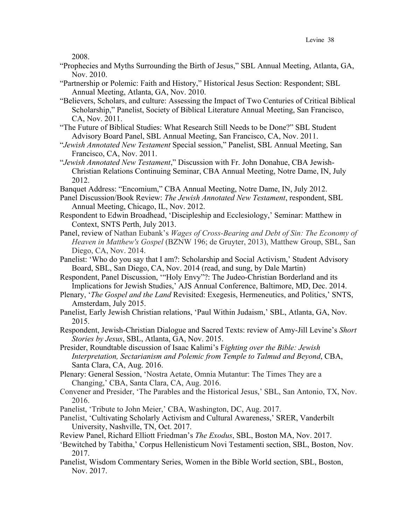2008.

- "Prophecies and Myths Surrounding the Birth of Jesus," SBL Annual Meeting, Atlanta, GA, Nov. 2010.
- "Partnership or Polemic: Faith and History," Historical Jesus Section: Respondent; SBL Annual Meeting, Atlanta, GA, Nov. 2010.
- "Believers, Scholars, and culture: Assessing the Impact of Two Centuries of Critical Biblical Scholarship," Panelist, Society of Biblical Literature Annual Meeting, San Francisco, CA, Nov. 2011.
- "The Future of Biblical Studies: What Research Still Needs to be Done?" SBL Student Advisory Board Panel, SBL Annual Meeting, San Francisco, CA, Nov. 2011.
- "*Jewish Annotated New Testament* Special session," Panelist, SBL Annual Meeting, San Francisco, CA, Nov. 2011.
- "*Jewish Annotated New Testament*," Discussion with Fr. John Donahue, CBA Jewish-Christian Relations Continuing Seminar, CBA Annual Meeting, Notre Dame, IN, July 2012.
- Banquet Address: "Encomium," CBA Annual Meeting, Notre Dame, IN, July 2012.
- Panel Discussion/Book Review: *The Jewish Annotated New Testament*, respondent, SBL Annual Meeting, Chicago, IL, Nov. 2012.
- Respondent to Edwin Broadhead, 'Discipleship and Ecclesiology,' Seminar: Matthew in Context, SNTS Perth, July 2013.
- Panel, review of Nathan Eubank's *Wages of Cross-Bearing and Debt of Sin: The Economy of Heaven in Matthew's Gospel* (BZNW 196; de Gruyter, 2013), Matthew Group, SBL, San Diego, CA, Nov. 2014.
- Panelist: 'Who do you say that I am?: Scholarship and Social Activism,' Student Advisory Board, SBL, San Diego, CA, Nov. 2014 (read, and sung, by Dale Martin)
- Respondent, Panel Discussion, '"Holy Envy"?: The Judeo-Christian Borderland and its Implications for Jewish Studies,' AJS Annual Conference, Baltimore, MD, Dec. 2014.
- Plenary, '*The Gospel and the Land* Revisited: Exegesis, Hermeneutics, and Politics,' SNTS, Amsterdam, July 2015.
- Panelist, Early Jewish Christian relations, 'Paul Within Judaism,' SBL, Atlanta, GA, Nov. 2015.
- Respondent, Jewish-Christian Dialogue and Sacred Texts: review of Amy-Jill Levine's *Short Stories by Jesus*, SBL, Atlanta, GA, Nov. 2015.
- Presider, Roundtable discussion of Isaac Kalimi's F*ighting over the Bible: Jewish Interpretation, Sectarianism and Polemic from Temple to Talmud and Beyond*, CBA, Santa Clara, CA, Aug. 2016.
- Plenary: General Session, 'Nostra Aetate, Omnia Mutantur: The Times They are a Changing,' CBA, Santa Clara, CA, Aug. 2016.
- Convener and Presider, 'The Parables and the Historical Jesus,' SBL, San Antonio, TX, Nov. 2016.
- Panelist, 'Tribute to John Meier,' CBA, Washington, DC, Aug. 2017.
- Panelist, 'Cultivating Scholarly Activism and Cultural Awareness,' SRER, Vanderbilt University, Nashville, TN, Oct. 2017.
- Review Panel, Richard Elliott Friedman's *The Exodus*, SBL, Boston MA, Nov. 2017.
- 'Bewitched by Tabitha,' Corpus Hellenisticum Novi Testamenti section, SBL, Boston, Nov. 2017.
- Panelist, Wisdom Commentary Series, Women in the Bible World section, SBL, Boston, Nov. 2017.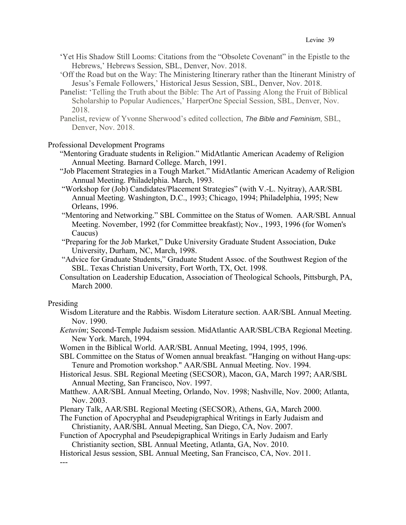- 'Yet His Shadow Still Looms: Citations from the "Obsolete Covenant" in the Epistle to the Hebrews,' Hebrews Session, SBL, Denver, Nov. 2018.
- 'Off the Road but on the Way: The Ministering Itinerary rather than the Itinerant Ministry of Jesus's Female Followers,' Historical Jesus Session, SBL, Denver, Nov. 2018.
- Panelist: 'Telling the Truth about the Bible: The Art of Passing Along the Fruit of Biblical Scholarship to Popular Audiences,' HarperOne Special Session, SBL, Denver, Nov. 2018.
- Panelist, review of Yvonne Sherwood's edited collection, *The Bible and Feminism*, SBL, Denver, Nov. 2018.

## Professional Development Programs

- "Mentoring Graduate students in Religion." MidAtlantic American Academy of Religion Annual Meeting. Barnard College. March, 1991.
- "Job Placement Strategies in a Tough Market." MidAtlantic American Academy of Religion Annual Meeting. Philadelphia. March, 1993.
- "Workshop for (Job) Candidates/Placement Strategies" (with V.-L. Nyitray), AAR/SBL Annual Meeting. Washington, D.C., 1993; Chicago, 1994; Philadelphia, 1995; New Orleans, 1996.
- "Mentoring and Networking." SBL Committee on the Status of Women. AAR/SBL Annual Meeting. November, 1992 (for Committee breakfast); Nov., 1993, 1996 (for Women's Caucus)
- "Preparing for the Job Market," Duke University Graduate Student Association, Duke University, Durham, NC, March, 1998.
- "Advice for Graduate Students," Graduate Student Assoc. of the Southwest Region of the SBL. Texas Christian University, Fort Worth, TX, Oct. 1998.
- Consultation on Leadership Education, Association of Theological Schools, Pittsburgh, PA, March 2000.

## Presiding

Wisdom Literature and the Rabbis. Wisdom Literature section. AAR/SBL Annual Meeting. Nov. 1990.

*Ketuvim*; Second-Temple Judaism session. MidAtlantic AAR/SBL/CBA Regional Meeting. New York. March, 1994.

- Women in the Biblical World. AAR/SBL Annual Meeting, 1994, 1995, 1996.
- SBL Committee on the Status of Women annual breakfast. "Hanging on without Hang-ups: Tenure and Promotion workshop." AAR/SBL Annual Meeting. Nov. 1994.
- Historical Jesus. SBL Regional Meeting (SECSOR), Macon, GA, March 1997; AAR/SBL Annual Meeting, San Francisco, Nov. 1997.
- Matthew. AAR/SBL Annual Meeting, Orlando, Nov. 1998; Nashville, Nov. 2000; Atlanta, Nov. 2003.
- Plenary Talk, AAR/SBL Regional Meeting (SECSOR), Athens, GA, March 2000.
- The Function of Apocryphal and Pseudepigraphical Writings in Early Judaism and Christianity, AAR/SBL Annual Meeting, San Diego, CA, Nov. 2007.
- Function of Apocryphal and Pseudepigraphical Writings in Early Judaism and Early Christianity section, SBL Annual Meeting, Atlanta, GA, Nov. 2010.
- Historical Jesus session, SBL Annual Meeting, San Francisco, CA, Nov. 2011.

---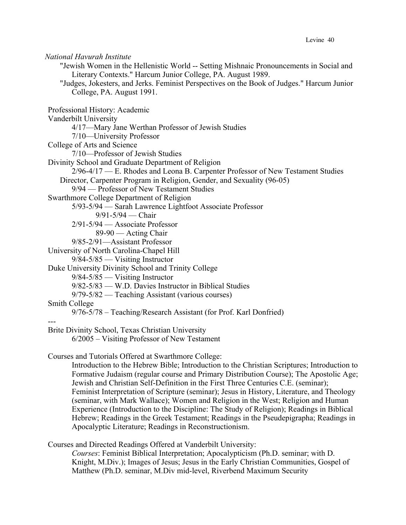## *National Havurah Institute*

"Jewish Women in the Hellenistic World -- Setting Mishnaic Pronouncements in Social and Literary Contexts." Harcum Junior College, PA. August 1989.

"Judges, Jokesters, and Jerks. Feminist Perspectives on the Book of Judges." Harcum Junior College, PA. August 1991.

Professional History: Academic

Vanderbilt University

4/17—Mary Jane Werthan Professor of Jewish Studies

7/10—University Professor

College of Arts and Science

7/10—Professor of Jewish Studies

Divinity School and Graduate Department of Religion

2/96-4/17 — E. Rhodes and Leona B. Carpenter Professor of New Testament Studies Director, Carpenter Program in Religion, Gender, and Sexuality (96-05)

9/94 — Professor of New Testament Studies

## Swarthmore College Department of Religion

5/93-5/94 — Sarah Lawrence Lightfoot Associate Professor

9/91-5/94 — Chair

2/91-5/94 — Associate Professor

89-90 — Acting Chair

9/85-2/91—Assistant Professor

University of North Carolina-Chapel Hill

9/84-5/85 — Visiting Instructor

Duke University Divinity School and Trinity College

9/84-5/85 — Visiting Instructor

9/82-5/83 — W.D. Davies Instructor in Biblical Studies

9/79-5/82 — Teaching Assistant (various courses)

## Smith College

9/76-5/78 – Teaching/Research Assistant (for Prof. Karl Donfried)

# ---

Brite Divinity School, Texas Christian University

6/2005 – Visiting Professor of New Testament

Courses and Tutorials Offered at Swarthmore College:

Introduction to the Hebrew Bible; Introduction to the Christian Scriptures; Introduction to Formative Judaism (regular course and Primary Distribution Course); The Apostolic Age; Jewish and Christian Self-Definition in the First Three Centuries C.E. (seminar); Feminist Interpretation of Scripture (seminar); Jesus in History, Literature, and Theology (seminar, with Mark Wallace); Women and Religion in the West; Religion and Human Experience (Introduction to the Discipline: The Study of Religion); Readings in Biblical Hebrew; Readings in the Greek Testament; Readings in the Pseudepigrapha; Readings in Apocalyptic Literature; Readings in Reconstructionism.

Courses and Directed Readings Offered at Vanderbilt University:

*Courses*: Feminist Biblical Interpretation; Apocalypticism (Ph.D. seminar; with D. Knight, M.Div.); Images of Jesus; Jesus in the Early Christian Communities, Gospel of Matthew (Ph.D. seminar, M.Div mid-level, Riverbend Maximum Security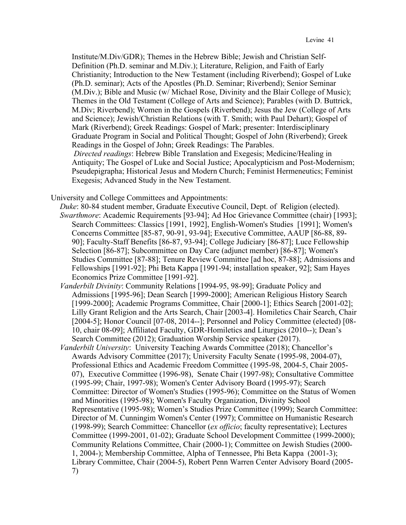Institute/M.Div/GDR); Themes in the Hebrew Bible; Jewish and Christian Self-Definition (Ph.D. seminar and M.Div.); Literature, Religion, and Faith of Early Christianity; Introduction to the New Testament (including Riverbend); Gospel of Luke (Ph.D. seminar); Acts of the Apostles (Ph.D. Seminar; Riverbend); Senior Seminar (M.Div.); Bible and Music (w/ Michael Rose, Divinity and the Blair College of Music); Themes in the Old Testament (College of Arts and Science); Parables (with D. Buttrick, M.Div; Riverbend); Women in the Gospels (Riverbend); Jesus the Jew (College of Arts and Science); Jewish/Christian Relations (with T. Smith; with Paul Dehart); Gospel of Mark (Riverbend); Greek Readings: Gospel of Mark; presenter: Interdisciplinary Graduate Program in Social and Political Thought; Gospel of John (Riverbend); Greek Readings in the Gospel of John; Greek Readings: The Parables. *Directed readings*: Hebrew Bible Translation and Exegesis; Medicine/Healing in Antiquity; The Gospel of Luke and Social Justice; Apocalypticism and Post-Modernism; Pseudepigrapha; Historical Jesus and Modern Church; Feminist Hermeneutics; Feminist Exegesis; Advanced Study in the New Testament.

University and College Committees and Appointments:

- *Duke*: 80-84 student member, Graduate Executive Council, Dept. of Religion (elected). *Swarthmore*: Academic Requirements [93-94]; Ad Hoc Grievance Committee (chair) [1993]; Search Committees: Classics [1991, 1992], English-Women's Studies [1991]; Women's Concerns Committee [85-87, 90-91, 93-94]; Executive Committee, AAUP [86-88, 89- 90]; Faculty-Staff Benefits [86-87, 93-94]; College Judiciary [86-87]; Luce Fellowship Selection [86-87]; Subcommittee on Day Care (adjunct member) [86-87]; Women's Studies Committee [87-88]; Tenure Review Committee [ad hoc, 87-88]; Admissions and Fellowships [1991-92]; Phi Beta Kappa [1991-94; installation speaker, 92]; Sam Hayes Economics Prize Committee [1991-92].
- *Vanderbilt Divinity*: Community Relations [1994-95, 98-99]; Graduate Policy and Admissions [1995-96]; Dean Search [1999-2000]; American Religious History Search [1999-2000]; Academic Programs Committee, Chair [2000-1]; Ethics Search [2001-02]; Lilly Grant Religion and the Arts Search, Chair [2003-4]. Homiletics Chair Search, Chair [2004-5]; Honor Council [07-08, 2014--]; Personnel and Policy Committee (elected) [08-10, chair 08-09]; Affiliated Faculty, GDR-Homiletics and Liturgics (2010--); Dean's Search Committee (2012); Graduation Worship Service speaker (2017).
- *Vanderbilt University*: University Teaching Awards Committee (2018); Chancellor's Awards Advisory Committee (2017); University Faculty Senate (1995-98, 2004-07), Professional Ethics and Academic Freedom Committee (1995-98, 2004-5, Chair 2005- 07), Executive Committee (1996-98), Senate Chair (1997-98); Consultative Committee (1995-99; Chair, 1997-98); Women's Center Advisory Board (1995-97); Search Committee: Director of Women's Studies (1995-96); Committee on the Status of Women and Minorities (1995-98); Women's Faculty Organization, Divinity School Representative (1995-98); Women's Studies Prize Committee (1999); Search Committee: Director of M. Cunningim Women's Center (1997); Committee on Humanistic Research (1998-99); Search Committee: Chancellor (*ex officio*; faculty representative); Lectures Committee (1999-2001, 01-02); Graduate School Development Committee (1999-2000); Community Relations Committee, Chair (2000-1); Committee on Jewish Studies (2000- 1, 2004-); Membership Committee, Alpha of Tennessee, Phi Beta Kappa (2001-3); Library Committee, Chair (2004-5), Robert Penn Warren Center Advisory Board (2005- 7)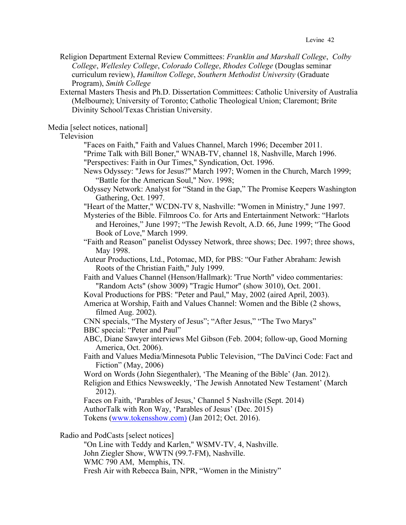Religion Department External Review Committees: *Franklin and Marshall College*, *Colby College*, *Wellesley College*, *Colorado College*, *Rhodes College* (Douglas seminar curriculum review), *Hamilton College*, *Southern Methodist University* (Graduate Program), *Smith College*

External Masters Thesis and Ph.D. Dissertation Committees: Catholic University of Australia (Melbourne); University of Toronto; Catholic Theological Union; Claremont; Brite Divinity School/Texas Christian University.

Media [select notices, national]

Television

"Faces on Faith," Faith and Values Channel, March 1996; December 2011.

"Prime Talk with Bill Boner," WNAB-TV, channel 18, Nashville, March 1996. "Perspectives: Faith in Our Times," Syndication, Oct. 1996.

News Odyssey: "Jews for Jesus?" March 1997; Women in the Church, March 1999; "Battle for the American Soul," Nov. 1998;

Odyssey Network: Analyst for "Stand in the Gap," The Promise Keepers Washington Gathering, Oct. 1997.

"Heart of the Matter," WCDN-TV 8, Nashville: "Women in Ministry," June 1997.

Mysteries of the Bible. Filmroos Co. for Arts and Entertainment Network: "Harlots and Heroines," June 1997; "The Jewish Revolt, A.D. 66, June 1999; "The Good Book of Love," March 1999.

"Faith and Reason" panelist Odyssey Network, three shows; Dec. 1997; three shows, May 1998.

Auteur Productions, Ltd., Potomac, MD, for PBS: "Our Father Abraham: Jewish Roots of the Christian Faith," July 1999.

Faith and Values Channel (Henson/Hallmark): 'True North" video commentaries: "Random Acts" (show 3009) "Tragic Humor" (show 3010), Oct. 2001.

Koval Productions for PBS: "Peter and Paul," May, 2002 (aired April, 2003).

America at Worship, Faith and Values Channel: Women and the Bible (2 shows, filmed Aug. 2002).

CNN specials, "The Mystery of Jesus"; "After Jesus," "The Two Marys"

BBC special: "Peter and Paul"

ABC, Diane Sawyer interviews Mel Gibson (Feb. 2004; follow-up, Good Morning America, Oct. 2006).

Faith and Values Media/Minnesota Public Television, "The DaVinci Code: Fact and Fiction" (May, 2006)

Word on Words (John Siegenthaler), 'The Meaning of the Bible' (Jan. 2012).

Religion and Ethics Newsweekly, 'The Jewish Annotated New Testament' (March 2012).

Faces on Faith, 'Parables of Jesus,' Channel 5 Nashville (Sept. 2014) AuthorTalk with Ron Way, 'Parables of Jesus' (Dec. 2015) Tokens (www.tokensshow.com) (Jan 2012; Oct. 2016).

Radio and PodCasts [select notices]

"On Line with Teddy and Karlen," WSMV-TV, 4, Nashville. John Ziegler Show, WWTN (99.7-FM), Nashville. WMC 790 AM, Memphis, TN. Fresh Air with Rebecca Bain, NPR, "Women in the Ministry"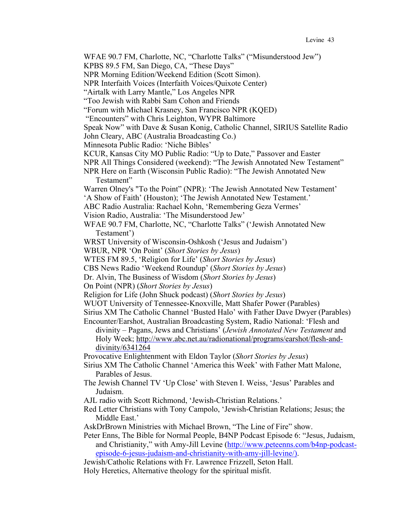WFAE 90.7 FM, Charlotte, NC, "Charlotte Talks" ("Misunderstood Jew")

KPBS 89.5 FM, San Diego, CA, "These Days"

NPR Morning Edition/Weekend Edition (Scott Simon).

NPR Interfaith Voices (Interfaith Voices/Quixote Center)

"Airtalk with Larry Mantle," Los Angeles NPR

"Too Jewish with Rabbi Sam Cohon and Friends

"Forum with Michael Krasney, San Francisco NPR (KQED)

"Encounters" with Chris Leighton, WYPR Baltimore

Speak Now" with Dave & Susan Konig, Catholic Channel, SIRIUS Satellite Radio

John Cleary, ABC (Australia Broadcasting Co.)

Minnesota Public Radio: 'Niche Bibles'

KCUR, Kansas City MO Public Radio: "Up to Date," Passover and Easter

NPR All Things Considered (weekend): "The Jewish Annotated New Testament"

NPR Here on Earth (Wisconsin Public Radio): "The Jewish Annotated New Testament"

Warren Olney's "To the Point" (NPR): 'The Jewish Annotated New Testament'

'A Show of Faith' (Houston); 'The Jewish Annotated New Testament.'

ABC Radio Australia: Rachael Kohn, 'Remembering Geza Vermes'

Vision Radio, Australia: 'The Misunderstood Jew'

WFAE 90.7 FM, Charlotte, NC, "Charlotte Talks" ('Jewish Annotated New Testament')

WRST University of Wisconsin-Oshkosh ('Jesus and Judaism')

WBUR, NPR 'On Point' (*Short Stories by Jesus*)

WTES FM 89.5, 'Religion for Life' (*Short Stories by Jesus*)

CBS News Radio 'Weekend Roundup' (*Short Stories by Jesus*)

Dr. Alvin, The Business of Wisdom (*Short Stories by Jesus*)

On Point (NPR) (*Short Stories by Jesus*)

Religion for Life (John Shuck podcast) (*Short Stories by Jesus*)

WUOT University of Tennessee-Knoxville, Matt Shafer Power (Parables)

Sirius XM The Catholic Channel 'Busted Halo' with Father Dave Dwyer (Parables)

Encounter/Earshot, Australian Broadcasting System, Radio National: 'Flesh and divinity – Pagans, Jews and Christians' (*Jewish Annotated New Testament* and Holy Week; http://www.abc.net.au/radionational/programs/earshot/flesh-anddivinity/6341264

Provocative Enlightenment with Eldon Taylor (*Short Stories by Jesus*)

Sirius XM The Catholic Channel 'America this Week' with Father Matt Malone, Parables of Jesus.

- The Jewish Channel TV 'Up Close' with Steven I. Weiss, 'Jesus' Parables and Judaism.
- AJL radio with Scott Richmond, 'Jewish-Christian Relations.'

Red Letter Christians with Tony Campolo, 'Jewish-Christian Relations; Jesus; the Middle East.'

AskDrBrown Ministries with Michael Brown, "The Line of Fire" show.

Peter Enns, The Bible for Normal People, B4NP Podcast Episode 6: "Jesus, Judaism, and Christianity," with Amy-Jill Levine (http://www.peteenns.com/b4np-podcastepisode-6-jesus-judaism-and-christianity-with-amy-jill-levine/).

Jewish/Catholic Relations with Fr. Lawrence Frizzell, Seton Hall.

Holy Heretics, Alternative theology for the spiritual misfit.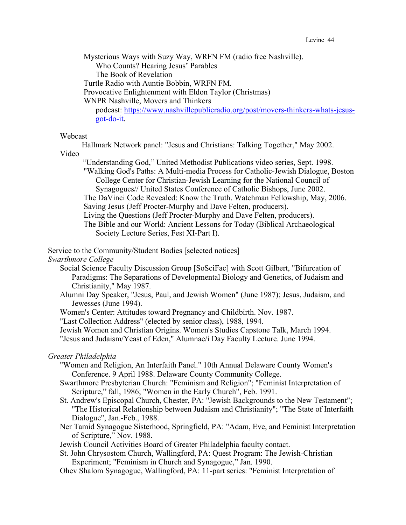Mysterious Ways with Suzy Way, WRFN FM (radio free Nashville).

Who Counts? Hearing Jesus' Parables

The Book of Revelation

Turtle Radio with Auntie Bobbin, WRFN FM.

Provocative Enlightenment with Eldon Taylor (Christmas)

WNPR Nashville, Movers and Thinkers

podcast: https://www.nashvillepublicradio.org/post/movers-thinkers-whats-jesusgot-do-it.

## Webcast

Hallmark Network panel: "Jesus and Christians: Talking Together," May 2002.

Video

"Understanding God," United Methodist Publications video series, Sept. 1998. "Walking God's Paths: A Multi-media Process for Catholic-Jewish Dialogue, Boston College Center for Christian-Jewish Learning for the National Council of Synagogues// United States Conference of Catholic Bishops, June 2002.

The DaVinci Code Revealed: Know the Truth. Watchman Fellowship, May, 2006. Saving Jesus (Jeff Procter-Murphy and Dave Felten, producers).

Living the Questions (Jeff Procter-Murphy and Dave Felten, producers).

The Bible and our World: Ancient Lessons for Today (Biblical Archaeological Society Lecture Series, Fest XI-Part I).

Service to the Community/Student Bodies [selected notices]

*Swarthmore College*

- Social Science Faculty Discussion Group [SoSciFac] with Scott Gilbert, "Bifurcation of Paradigms: The Separations of Developmental Biology and Genetics, of Judaism and Christianity," May 1987.
- Alumni Day Speaker, "Jesus, Paul, and Jewish Women" (June 1987); Jesus, Judaism, and Jewesses (June 1994).
- Women's Center: Attitudes toward Pregnancy and Childbirth. Nov. 1987.

"Last Collection Address" (elected by senior class), 1988, 1994.

Jewish Women and Christian Origins. Women's Studies Capstone Talk, March 1994.

"Jesus and Judaism/Yeast of Eden," Alumnae/i Day Faculty Lecture. June 1994.

## *Greater Philadelphia*

- "Women and Religion, An Interfaith Panel." 10th Annual Delaware County Women's Conference. 9 April 1988. Delaware County Community College.
- Swarthmore Presbyterian Church: "Feminism and Religion"; "Feminist Interpretation of Scripture," fall, 1986; "Women in the Early Church", Feb. 1991.
- St. Andrew's Episcopal Church, Chester, PA: "Jewish Backgrounds to the New Testament"; "The Historical Relationship between Judaism and Christianity"; "The State of Interfaith Dialogue", Jan.-Feb., 1988.
- Ner Tamid Synagogue Sisterhood, Springfield, PA: "Adam, Eve, and Feminist Interpretation of Scripture," Nov. 1988.

Jewish Council Activities Board of Greater Philadelphia faculty contact.

St. John Chrysostom Church, Wallingford, PA: Quest Program: The Jewish-Christian Experiment; "Feminism in Church and Synagogue," Jan. 1990.

Ohev Shalom Synagogue, Wallingford, PA: 11-part series: "Feminist Interpretation of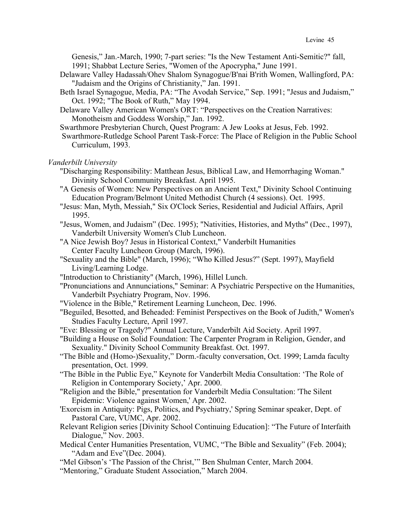Genesis," Jan.-March, 1990; 7-part series: "Is the New Testament Anti-Semitic?" fall, 1991; Shabbat Lecture Series, "Women of the Apocrypha," June 1991.

- Delaware Valley Hadassah/Ohev Shalom Synagogue/B'nai B'rith Women, Wallingford, PA: "Judaism and the Origins of Christianity," Jan. 1991.
- Beth Israel Synagogue, Media, PA: "The Avodah Service," Sep. 1991; "Jesus and Judaism," Oct. 1992; "The Book of Ruth," May 1994.
- Delaware Valley American Women's ORT: "Perspectives on the Creation Narratives: Monotheism and Goddess Worship," Jan. 1992.
- Swarthmore Presbyterian Church, Quest Program: A Jew Looks at Jesus, Feb. 1992.
- Swarthmore-Rutledge School Parent Task-Force: The Place of Religion in the Public School Curriculum, 1993.

### *Vanderbilt University*

- "Discharging Responsibility: Matthean Jesus, Biblical Law, and Hemorrhaging Woman." Divinity School Community Breakfast. April 1995.
- "A Genesis of Women: New Perspectives on an Ancient Text," Divinity School Continuing Education Program/Belmont United Methodist Church (4 sessions). Oct. 1995.
- "Jesus: Man, Myth, Messiah," Six O'Clock Series, Residential and Judicial Affairs, April 1995.
- "Jesus, Women, and Judaism" (Dec. 1995); "Nativities, Histories, and Myths" (Dec., 1997), Vanderbilt University Women's Club Luncheon.
- "A Nice Jewish Boy? Jesus in Historical Context," Vanderbilt Humanities Center Faculty Luncheon Group (March, 1996).
- "Sexuality and the Bible" (March, 1996); "Who Killed Jesus?" (Sept. 1997), Mayfield Living/Learning Lodge.
- "Introduction to Christianity" (March, 1996), Hillel Lunch.
- "Pronunciations and Annunciations," Seminar: A Psychiatric Perspective on the Humanities, Vanderbilt Psychiatry Program, Nov. 1996.
- "Violence in the Bible," Retirement Learning Luncheon, Dec. 1996.
- "Beguiled, Besotted, and Beheaded: Feminist Perspectives on the Book of Judith," Women's Studies Faculty Lecture, April 1997.
- "Eve: Blessing or Tragedy?" Annual Lecture, Vanderbilt Aid Society. April 1997.
- "Building a House on Solid Foundation: The Carpenter Program in Religion, Gender, and Sexuality." Divinity School Community Breakfast. Oct. 1997.
- "The Bible and (Homo-)Sexuality," Dorm.-faculty conversation, Oct. 1999; Lamda faculty presentation, Oct. 1999.
- "The Bible in the Public Eye," Keynote for Vanderbilt Media Consultation: 'The Role of Religion in Contemporary Society,' Apr. 2000.
- "Religion and the Bible," presentation for Vanderbilt Media Consultation: 'The Silent Epidemic: Violence against Women,' Apr. 2002.
- 'Exorcism in Antiquity: Pigs, Politics, and Psychiatry,' Spring Seminar speaker, Dept. of Pastoral Care, VUMC, Apr. 2002.
- Relevant Religion series [Divinity School Continuing Education]: "The Future of Interfaith Dialogue," Nov. 2003.
- Medical Center Humanities Presentation, VUMC, "The Bible and Sexuality" (Feb. 2004); "Adam and Eve"(Dec. 2004).
- "Mel Gibson's 'The Passion of the Christ,'" Ben Shulman Center, March 2004.
- "Mentoring," Graduate Student Association," March 2004.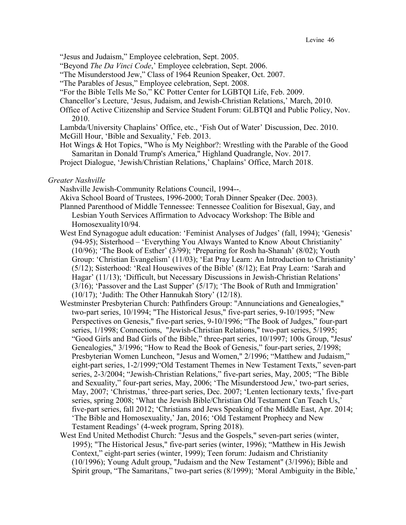"Jesus and Judaism," Employee celebration, Sept. 2005.

"Beyond *The Da Vinci Code*,' Employee celebration, Sept. 2006.

"The Misunderstood Jew," Class of 1964 Reunion Speaker, Oct. 2007.

- "The Parables of Jesus," Employee celebration, Sept. 2008.
- "For the Bible Tells Me So," KC Potter Center for LGBTQI Life, Feb. 2009.
- Chancellor's Lecture, 'Jesus, Judaism, and Jewish-Christian Relations,' March, 2010.
- Office of Active Citizenship and Service Student Forum: GLBTQI and Public Policy, Nov. 2010.

Lambda/University Chaplains' Office, etc., 'Fish Out of Water' Discussion, Dec. 2010. McGill Hour, 'Bible and Sexuality,' Feb. 2013.

Hot Wings & Hot Topics, "Who is My Neighbor?: Wrestling with the Parable of the Good Samaritan in Donald Trump's America," Highland Quadrangle, Nov. 2017.

Project Dialogue, 'Jewish/Christian Relations,' Chaplains' Office, March 2018.

#### *Greater Nashville*

Nashville Jewish-Community Relations Council, 1994--.

- Akiva School Board of Trustees, 1996-2000; Torah Dinner Speaker (Dec. 2003).
- Planned Parenthood of Middle Tennessee: Tennessee Coalition for Bisexual, Gay, and Lesbian Youth Services Affirmation to Advocacy Workshop: The Bible and Homosexuality10/94.
- West End Synagogue adult education: 'Feminist Analyses of Judges' (fall, 1994); 'Genesis' (94-95); Sisterhood – 'Everything You Always Wanted to Know About Christianity' (10/96); 'The Book of Esther' (3/99); 'Preparing for Rosh ha-Shanah' (8/02); Youth Group: 'Christian Evangelism' (11/03); 'Eat Pray Learn: An Introduction to Christianity' (5/12); Sisterhood: 'Real Housewives of the Bible' (8/12); Eat Pray Learn: 'Sarah and Hagar' (11/13); 'Difficult, but Necessary Discussions in Jewish-Christian Relations' (3/16); 'Passover and the Last Supper' (5/17); 'The Book of Ruth and Immigration' (10/17); 'Judith: The Other Hannukah Story' (12/18).
- Westminster Presbyterian Church: Pathfinders Group: "Annunciations and Genealogies," two-part series, 10/1994; "The Historical Jesus," five-part series, 9-10/1995; "New Perspectives on Genesis," five-part series, 9-10/1996; "The Book of Judges," four-part series, 1/1998; Connections, "Jewish-Christian Relations," two-part series, 5/1995; "Good Girls and Bad Girls of the Bible," three-part series, 10/1997; 100s Group, "Jesus' Genealogies," 3/1996; "How to Read the Book of Genesis," four-part series, 2/1998; Presbyterian Women Luncheon, "Jesus and Women," 2/1996; "Matthew and Judaism," eight-part series, 1-2/1999;"Old Testament Themes in New Testament Texts," seven-part series, 2-3/2004; "Jewish-Christian Relations," five-part series, May, 2005; "The Bible and Sexuality," four-part series, May, 2006; 'The Misunderstood Jew,' two-part series, May, 2007; 'Christmas,' three-part series, Dec. 2007; 'Lenten lectionary texts,' five-part series, spring 2008; 'What the Jewish Bible/Christian Old Testament Can Teach Us,' five-part series, fall 2012; 'Christians and Jews Speaking of the Middle East, Apr. 2014; 'The Bible and Homosexuality,' Jan, 2016; 'Old Testament Prophecy and New Testament Readings' (4-week program, Spring 2018).
- West End United Methodist Church: "Jesus and the Gospels," seven-part series (winter, 1995); "The Historical Jesus," five-part series (winter, 1996); "Matthew in His Jewish Context," eight-part series (winter, 1999); Teen forum: Judaism and Christianity (10/1996); Young Adult group, "Judaism and the New Testament" (3/1996); Bible and Spirit group, "The Samaritans," two-part series (8/1999); 'Moral Ambiguity in the Bible,'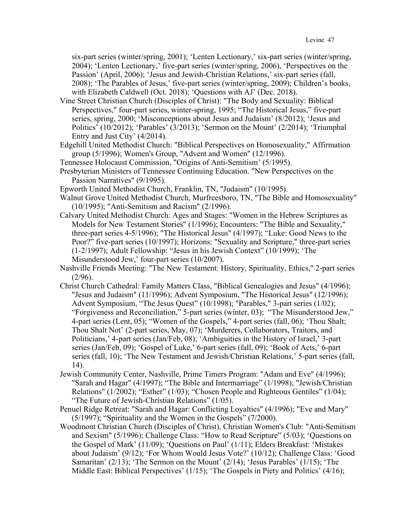six-part series (winter/spring, 2001); 'Lenten Lectionary,' six-part series (winter/spring, 2004); 'Lenten Lectionary,' five-part series (winter/spring, 2006), 'Perspectives on the Passion' (April, 2006); 'Jesus and Jewish-Christian Relations,' six-part series (fall, 2008); 'The Parables of Jesus,' five-part series (winter/spring, 2009); Children's books, with Elizabeth Caldwell (Oct. 2018); 'Questions with AJ' (Dec. 2018).

- Vine Street Christian Church (Disciples of Christ): "The Body and Sexuality: Biblical Perspectives," four-part series, winter-spring, 1995; "The Historical Jesus," five-part series, spring, 2000; 'Misconceptions about Jesus and Judaism' (8/2012); 'Jesus and Politics' (10/2012); 'Parables' (3/2013); 'Sermon on the Mount' (2/2014); 'Triumphal Entry and Just City' (4/2014).
- Edgehill United Methodist Church: "Biblical Perspectives on Homosexuality," Affirmation group (5/1996); Women's Group, "Advent and Women" (12/1996).
- Tennessee Holocaust Commission, "Origins of Anti-Semitism' (5/1995).
- Presbyterian Ministers of Tennessee Continuing Education. "New Perspectives on the Passion Narratives" (9/1995).
- Epworth United Methodist Church, Franklin, TN, "Judaism" (10/1995).
- Walnut Grove United Methodist Church, Murfreesboro, TN, "The Bible and Homosexuality" (10/1995); "Anti-Semitism and Racism" (2/1996).
- Calvary United Methodist Church: Ages and Stages: "Women in the Hebrew Scriptures as Models for New Testament Stories" (1/1996); Encounters: "The Bible and Sexuality," three-part series 4-5/1996); "The Historical Jesus" (4/1997); "Luke: Good News to the Poor?" five-part series (10/1997); Horizons: "Sexuality and Scripture," three-part series (1-2/1997); Adult Fellowship: "Jesus in his Jewish Context" (10/1999); 'The Misunderstood Jew,' four-part series (10/2007).
- Nashville Friends Meeting: "The New Testament: History, Spirituality, Ethics," 2-part series  $(2/96).$
- Christ Church Cathedral: Family Matters Class, "Biblical Genealogies and Jesus" (4/1996); "Jesus and Judaism" (11/1996); Advent Symposium, "The Historical Jesus" (12/1996); Advent Symposium, "The Jesus Quest" (10/1998); "Parables," 3-part series (1/02); "Forgiveness and Reconciliation," 5-part series (winter, 03); "The Misunderstood Jew," 4-part series (Lent, 05); "Women of the Gospels," 4-part series (fall, 06); 'Thou Shalt; Thou Shalt Not' (2-part series, May, 07); 'Murderers, Collaborators, Traitors, and Politicians,' 4-part series (Jan/Feb, 08); 'Ambiguities in the History of Israel,' 3-part series (Jan/Feb, 09); 'Gospel of Luke,' 6-part series (fall, 09); 'Book of Acts,' 6-part series (fall, 10); 'The New Testament and Jewish/Christian Relations,' 5-part series (fall, 14).
- Jewish Community Center, Nashville, Prime Timers Program: "Adam and Eve" (4/1996); "Sarah and Hagar" (4/1997); "The Bible and Intermarriage" (1/1998); "Jewish/Christian Relations" (1/2002); "Esther" (1/03); "Chosen People and Righteous Gentiles" (1/04); "The Future of Jewish-Christian Relations" (1/05).
- Penuel Ridge Retreat: "Sarah and Hagar: Conflicting Loyalties" (4/1996); "Eve and Mary" (5/1997); "Spirituality and the Women in the Gospels" (7/2000).
- Woodmont Christian Church (Disciples of Christ), Christian Women's Club: "Anti-Semitism and Sexism" (5/1996); Challenge Class: "How to Read Scripture" (5/03); 'Questions on the Gospel of Mark' (11/09); 'Questions on Paul' (1/11); Elders Breakfast: 'Mistakes about Judaism' (9/12); 'For Whom Would Jesus Vote?' (10/12); Challenge Class: 'Good Samaritan' (2/13); 'The Sermon on the Mount' (2/14); 'Jesus Parables' (1/15); 'The Middle East: Biblical Perspectives' (1/15); 'The Gospels in Piety and Politics' (4/16);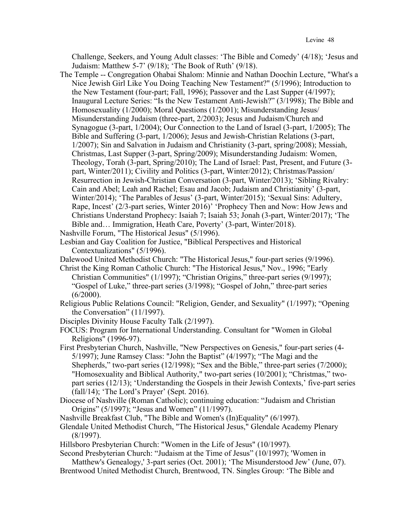Challenge, Seekers, and Young Adult classes: 'The Bible and Comedy' (4/18); 'Jesus and Judaism: Matthew 5-7' (9/18); 'The Book of Ruth' (9/18).

- The Temple -- Congregation Ohabai Shalom: Minnie and Nathan Doochin Lecture, "What's a Nice Jewish Girl Like You Doing Teaching New Testament?" (5/1996); Introduction to the New Testament (four-part; Fall, 1996); Passover and the Last Supper (4/1997); Inaugural Lecture Series: "Is the New Testament Anti-Jewish?" (3/1998); The Bible and Homosexuality (1/2000); Moral Questions (1/2001); Misunderstanding Jesus/ Misunderstanding Judaism (three-part, 2/2003); Jesus and Judaism/Church and Synagogue (3-part, 1/2004); Our Connection to the Land of Israel (3-part, 1/2005); The Bible and Suffering (3-part, 1/2006); Jesus and Jewish-Christian Relations (3-part, 1/2007); Sin and Salvation in Judaism and Christianity (3-part, spring/2008); Messiah, Christmas, Last Supper (3-part, Spring/2009); Misunderstanding Judaism: Women, Theology, Torah (3-part, Spring/2010); The Land of Israel: Past, Present, and Future (3 part, Winter/2011); Civility and Politics (3-part, Winter/2012); Christmas/Passion/ Resurrection in Jewish-Christian Conversation (3-part, Winter/2013); 'Sibling Rivalry: Cain and Abel; Leah and Rachel; Esau and Jacob; Judaism and Christianity' (3-part, Winter/2014); 'The Parables of Jesus' (3-part, Winter/2015); 'Sexual Sins: Adultery, Rape, Incest' (2/3-part series, Winter 2016)' 'Prophecy Then and Now: How Jews and Christians Understand Prophecy: Isaiah 7; Isaiah 53; Jonah (3-part, Winter/2017); 'The Bible and… Immigration, Heath Care, Poverty' (3-part, Winter/2018). Nashville Forum, "The Historical Jesus" (5/1996).
- Lesbian and Gay Coalition for Justice, "Biblical Perspectives and Historical Contextualizations" (5/1996).
- Dalewood United Methodist Church: "The Historical Jesus," four-part series (9/1996).
- Christ the King Roman Catholic Church: "The Historical Jesus," Nov., 1996; "Early Christian Communities" (1/1997); "Christian Origins," three-part series (9/1997); "Gospel of Luke," three-part series (3/1998); "Gospel of John," three-part series  $(6/2000)$ .
- Religious Public Relations Council: "Religion, Gender, and Sexuality" (1/1997); "Opening the Conversation" (11/1997).
- Disciples Divinity House Faculty Talk (2/1997).

FOCUS: Program for International Understanding. Consultant for "Women in Global Religions" (1996-97).

- First Presbyterian Church, Nashville, "New Perspectives on Genesis," four-part series (4- 5/1997); June Ramsey Class: "John the Baptist" (4/1997); "The Magi and the Shepherds," two-part series (12/1998); "Sex and the Bible," three-part series (7/2000); "Homosexuality and Biblical Authority," two-part series (10/2001); "Christmas," twopart series (12/13); 'Understanding the Gospels in their Jewish Contexts,' five-part series (fall/14); 'The Lord's Prayer' (Sept. 2016).
- Diocese of Nashville (Roman Catholic); continuing education: "Judaism and Christian Origins" (5/1997); "Jesus and Women" (11/1997).
- Nashville Breakfast Club, "The Bible and Women's (In)Equality" (6/1997).
- Glendale United Methodist Church, "The Historical Jesus," Glendale Academy Plenary (8/1997).
- Hillsboro Presbyterian Church: "Women in the Life of Jesus" (10/1997).

Second Presbyterian Church: "Judaism at the Time of Jesus" (10/1997); 'Women in Matthew's Genealogy,' 3-part series (Oct. 2001); 'The Misunderstood Jew' (June, 07).

Brentwood United Methodist Church, Brentwood, TN. Singles Group: 'The Bible and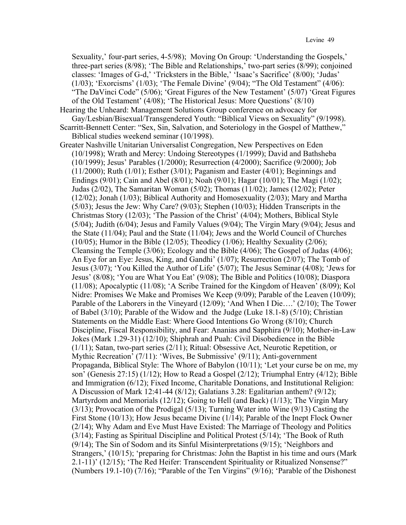Sexuality,' four-part series, 4-5/98); Moving On Group: 'Understanding the Gospels,' three-part series (8/98); 'The Bible and Relationships,' two-part series (8/99); conjoined classes: 'Images of G-d,' 'Tricksters in the Bible,' 'Isaac's Sacrifice' (8/00); 'Judas' (1/03); 'Exorcisms' (1/03); 'The Female Divine' (9/04); "The Old Testament" (4/06): "The DaVinci Code" (5/06); 'Great Figures of the New Testament' (5/07) 'Great Figures of the Old Testament' (4/08); 'The Historical Jesus: More Questions' (8/10)

Hearing the Unheard: Management Solutions Group conference on advocacy for Gay/Lesbian/Bisexual/Transgendered Youth: "Biblical Views on Sexuality" (9/1998). Scarritt-Bennett Center: "Sex, Sin, Salvation, and Soteriology in the Gospel of Matthew,"

Biblical studies weekend seminar (10/1998).

Greater Nashville Unitarian Universalist Congregation, New Perspectives on Eden (10/1998); Wrath and Mercy: Undoing Stereotypes (1/1999); David and Bathsheba (10/1999); Jesus' Parables (1/2000); Resurrection (4/2000); Sacrifice (9/2000); Job (11/2000); Ruth (1/01); Esther (3/01); Paganism and Easter (4/01); Beginnings and Endings (9/01); Cain and Abel (8/01); Noah (9/01); Hagar (10/01); The Magi (1/02); Judas (2/02), The Samaritan Woman (5/02); Thomas (11/02); James (12/02); Peter (12/02); Jonah (1/03); Biblical Authority and Homosexuality (2/03); Mary and Martha (5/03); Jesus the Jew: Why Care? (9/03); Stephen (10/03); Hidden Transcripts in the Christmas Story (12/03); 'The Passion of the Christ' (4/04); Mothers, Biblical Style (5/04); Judith (6/04); Jesus and Family Values (9/04); The Virgin Mary (9/04); Jesus and the State (11/04); Paul and the State (11/04); Jews and the World Council of Churches  $(10/05)$ ; Humor in the Bible  $(12/05)$ ; Theodicy  $(1/06)$ ; Healthy Sexuality  $(2/06)$ ; Cleansing the Temple (3/06); Ecology and the Bible (4/06); The Gospel of Judas (4/06); An Eye for an Eye: Jesus, King, and Gandhi' (1/07); Resurrection (2/07); The Tomb of Jesus (3/07); 'You Killed the Author of Life' (5/07); The Jesus Seminar (4/08); 'Jews for Jesus' (8/08); 'You are What You Eat' (9/08); The Bible and Politics (10/08); Diaspora (11/08); Apocalyptic (11/08); 'A Scribe Trained for the Kingdom of Heaven' (8/09); Kol Nidre: Promises We Make and Promises We Keep (9/09); Parable of the Leaven (10/09); Parable of the Laborers in the Vineyard (12/09); 'And When I Die….' (2/10); The Tower of Babel (3/10); Parable of the Widow and the Judge (Luke 18.1-8) (5/10); Christian Statements on the Middle East: Where Good Intentions Go Wrong (8/10); Church Discipline, Fiscal Responsibility, and Fear: Ananias and Sapphira (9/10); Mother-in-Law Jokes (Mark 1.29-31) (12/10); Shiphrah and Puah: Civil Disobedience in the Bible (1/11); Satan, two-part series (2/11); Ritual: Obsessive Act, Neurotic Repetition, or Mythic Recreation' (7/11): 'Wives, Be Submissive' (9/11); Anti-government Propaganda, Biblical Style: The Whore of Babylon (10/11); 'Let your curse be on me, my son' (Genesis 27:15) (1/12); How to Read a Gospel (2/12); Triumphal Entry (4/12); Bible and Immigration (6/12); Fixed Income, Charitable Donations, and Institutional Religion: A Discussion of Mark 12:41-44 (8/12); Galatians 3.28: Egalitarian anthem? (9/12); Martyrdom and Memorials (12/12); Going to Hell (and Back) (1/13); The Virgin Mary (3/13); Provocation of the Prodigal (5/13); Turning Water into Wine (9/13) Casting the First Stone (10/13); How Jesus became Divine (1/14); Parable of the Inept Flock Owner (2/14); Why Adam and Eve Must Have Existed: The Marriage of Theology and Politics (3/14); Fasting as Spiritual Discipline and Political Protest (5/14); 'The Book of Ruth (9/14); The Sin of Sodom and its Sinful Misinterpretations (9/15); 'Neighbors and Strangers,' (10/15); 'preparing for Christmas: John the Baptist in his time and ours (Mark 2.1-11)' (12/15); 'The Red Heifer: Transcendent Spirituality or Ritualized Nonsense?" (Numbers 19.1-10) (7/16); "Parable of the Ten Virgins" (9/16); 'Parable of the Dishonest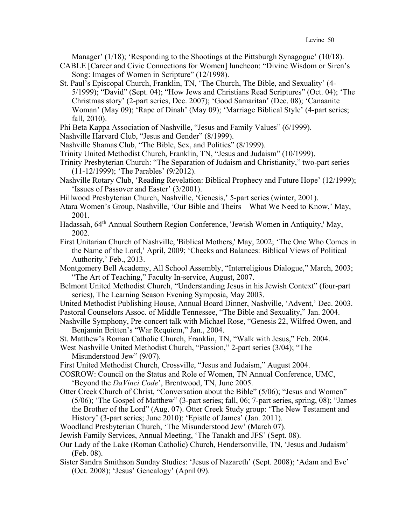Manager' (1/18); 'Responding to the Shootings at the Pittsburgh Synagogue' (10/18).

- CABLE [Career and Civic Connections for Women] luncheon: "Divine Wisdom or Siren's Song: Images of Women in Scripture" (12/1998).
- St. Paul's Episcopal Church, Franklin, TN, 'The Church, The Bible, and Sexuality' (4- 5/1999); "David" (Sept. 04); "How Jews and Christians Read Scriptures" (Oct. 04); 'The Christmas story' (2-part series, Dec. 2007); 'Good Samaritan' (Dec. 08); 'Canaanite Woman' (May 09); 'Rape of Dinah' (May 09); 'Marriage Biblical Style' (4-part series; fall, 2010).
- Phi Beta Kappa Association of Nashville, "Jesus and Family Values" (6/1999).
- Nashville Harvard Club, "Jesus and Gender" (8/1999).
- Nashville Shamas Club, "The Bible, Sex, and Politics" (8/1999).
- Trinity United Methodist Church, Franklin, TN, "Jesus and Judaism" (10/1999).
- Trinity Presbyterian Church: "The Separation of Judaism and Christianity," two-part series (11-12/1999); 'The Parables' (9/2012).
- Nashville Rotary Club, 'Reading Revelation: Biblical Prophecy and Future Hope' (12/1999); 'Issues of Passover and Easter' (3/2001).
- Hillwood Presbyterian Church, Nashville, 'Genesis,' 5-part series (winter, 2001).
- Atara Women's Group, Nashville, 'Our Bible and Theirs—What We Need to Know,' May, 2001.
- Hadassah, 64th Annual Southern Region Conference, 'Jewish Women in Antiquity,' May, 2002.
- First Unitarian Church of Nashville, 'Biblical Mothers,' May, 2002; 'The One Who Comes in the Name of the Lord,' April, 2009; 'Checks and Balances: Biblical Views of Political Authority,' Feb., 2013.
- Montgomery Bell Academy, All School Assembly, "Interreligious Dialogue," March, 2003; "The Art of Teaching," Faculty In-service, August, 2007.
- Belmont United Methodist Church, "Understanding Jesus in his Jewish Context" (four-part series), The Learning Season Evening Symposia, May 2003.

United Methodist Publishing House, Annual Board Dinner, Nashville, 'Advent,' Dec. 2003. Pastoral Counselors Assoc. of Middle Tennessee, "The Bible and Sexuality," Jan. 2004.

- Nashville Symphony, Pre-concert talk with Michael Rose, "Genesis 22, Wilfred Owen, and Benjamin Britten's "War Requiem," Jan., 2004.
- St. Matthew's Roman Catholic Church, Franklin, TN, "Walk with Jesus," Feb. 2004.
- West Nashville United Methodist Church, "Passion," 2-part series (3/04); "The Misunderstood Jew" (9/07).
- First United Methodist Church, Crossville, "Jesus and Judaism," August 2004.
- COSROW: Council on the Status and Role of Women, TN Annual Conference, UMC, 'Beyond the *DaVinci Code*', Brentwood, TN, June 2005.
- Otter Creek Church of Christ, "Conversation about the Bible" (5/06); "Jesus and Women" (5/06); 'The Gospel of Matthew" (3-part series; fall, 06; 7-part series, spring, 08); "James the Brother of the Lord" (Aug. 07). Otter Creek Study group: 'The New Testament and History' (3-part series; June 2010); 'Epistle of James' (Jan. 2011).
- Woodland Presbyterian Church, 'The Misunderstood Jew' (March 07).
- Jewish Family Services, Annual Meeting, 'The Tanakh and JFS' (Sept. 08).
- Our Lady of the Lake (Roman Catholic) Church, Hendersonville, TN, 'Jesus and Judaism' (Feb. 08).
- Sister Sandra Smithson Sunday Studies: 'Jesus of Nazareth' (Sept. 2008); 'Adam and Eve' (Oct. 2008); 'Jesus' Genealogy' (April 09).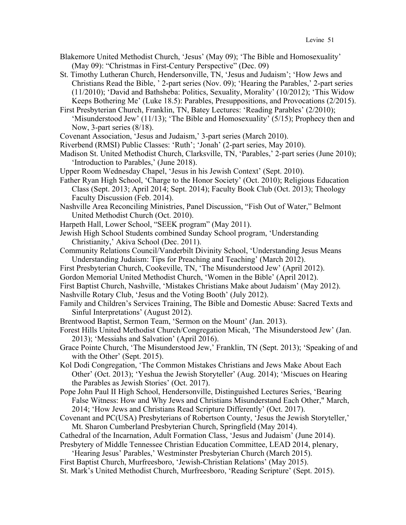- Blakemore United Methodist Church, 'Jesus' (May 09); 'The Bible and Homosexuality' (May 09): "Christmas in First-Century Perspective" (Dec. 09)
- St. Timothy Lutheran Church, Hendersonville, TN, 'Jesus and Judaism'; 'How Jews and Christians Read the Bible, ' 2-part series (Nov. 09); 'Hearing the Parables,' 2-part series (11/2010); 'David and Bathsheba: Politics, Sexuality, Morality' (10/2012); 'This Widow Keeps Bothering Me' (Luke 18.5): Parables, Presuppositions, and Provocations (2/2015).
- First Presbyterian Church, Franklin, TN, Batey Lectures: 'Reading Parables' (2/2010); 'Misunderstood Jew' (11/13); 'The Bible and Homosexuality' (5/15); Prophecy then and Now, 3-part series (8/18).
- Covenant Association, 'Jesus and Judaism,' 3-part series (March 2010).
- Riverbend (RMSI) Public Classes: 'Ruth'; 'Jonah' (2-part series, May 2010).
- Madison St. United Methodist Church, Clarksville, TN, 'Parables,' 2-part series (June 2010); 'Introduction to Parables,' (June 2018).
- Upper Room Wednesday Chapel, 'Jesus in his Jewish Context' (Sept. 2010).
- Father Ryan High School, 'Charge to the Honor Society' (Oct. 2010); Religious Education Class (Sept. 2013; April 2014; Sept. 2014); Faculty Book Club (Oct. 2013); Theology Faculty Discussion (Feb. 2014).
- Nashville Area Reconciling Ministries, Panel Discussion, "Fish Out of Water," Belmont United Methodist Church (Oct. 2010).
- Harpeth Hall, Lower School, "SEEK program" (May 2011).
- Jewish High School Students combined Sunday School program, 'Understanding Christianity,' Akiva School (Dec. 2011).
- Community Relations Council/Vanderbilt Divinity School, 'Understanding Jesus Means Understanding Judaism: Tips for Preaching and Teaching' (March 2012).
- First Presbyterian Church, Cookeville, TN, 'The Misunderstood Jew' (April 2012).
- Gordon Memorial United Methodist Church, 'Women in the Bible' (April 2012).
- First Baptist Church, Nashville, 'Mistakes Christians Make about Judaism' (May 2012).
- Nashville Rotary Club, 'Jesus and the Voting Booth' (July 2012).
- Family and Children's Services Training, The Bible and Domestic Abuse: Sacred Texts and Sinful Interpretations' (August 2012).
- Brentwood Baptist, Sermon Team, 'Sermon on the Mount' (Jan. 2013).
- Forest Hills United Methodist Church/Congregation Micah, 'The Misunderstood Jew' (Jan. 2013); 'Messiahs and Salvation' (April 2016).
- Grace Pointe Church, 'The Misunderstood Jew,' Franklin, TN (Sept. 2013); 'Speaking of and with the Other' (Sept. 2015).
- Kol Dodi Congregation, 'The Common Mistakes Christians and Jews Make About Each Other' (Oct. 2013); 'Yeshua the Jewish Storyteller' (Aug. 2014); 'Miscues on Hearing the Parables as Jewish Stories' (Oct. 2017).
- Pope John Paul II High School, Hendersonville, Distinguished Lectures Series, 'Bearing False Witness: How and Why Jews and Christians Misunderstand Each Other," March, 2014; 'How Jews and Christians Read Scripture Differently' (Oct. 2017).
- Covenant and PC(USA) Presbyterians of Robertson County, 'Jesus the Jewish Storyteller,' Mt. Sharon Cumberland Presbyterian Church, Springfield (May 2014).
- Cathedral of the Incarnation, Adult Formation Class, 'Jesus and Judaism' (June 2014). Presbytery of Middle Tennessee Christian Education Committee, LEAD 2014, plenary,
- 'Hearing Jesus' Parables,' Westminster Presbyterian Church (March 2015).
- First Baptist Church, Murfreesboro, 'Jewish-Christian Relations' (May 2015).
- St. Mark's United Methodist Church, Murfreesboro, 'Reading Scripture' (Sept. 2015).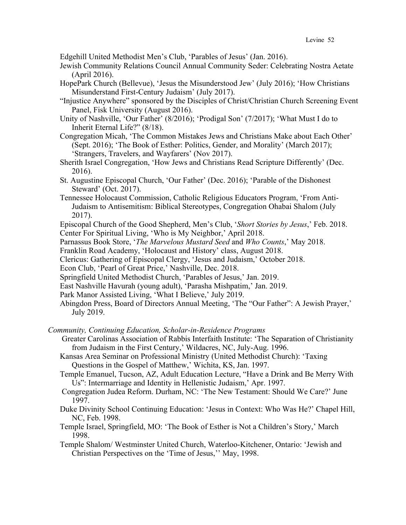Edgehill United Methodist Men's Club, 'Parables of Jesus' (Jan. 2016).

- Jewish Community Relations Council Annual Community Seder: Celebrating Nostra Aetate (April 2016).
- HopePark Church (Bellevue), 'Jesus the Misunderstood Jew' (July 2016); 'How Christians Misunderstand First-Century Judaism' (July 2017).
- "Injustice Anywhere" sponsored by the Disciples of Christ/Christian Church Screening Event Panel, Fisk University (August 2016).
- Unity of Nashville, 'Our Father' (8/2016); 'Prodigal Son' (7/2017); 'What Must I do to Inherit Eternal Life?" (8/18).
- Congregation Micah, 'The Common Mistakes Jews and Christians Make about Each Other' (Sept. 2016); 'The Book of Esther: Politics, Gender, and Morality' (March 2017); 'Strangers, Travelers, and Wayfarers' (Nov 2017).
- Sherith Israel Congregation, 'How Jews and Christians Read Scripture Differently' (Dec. 2016).
- St. Augustine Episcopal Church, 'Our Father' (Dec. 2016); 'Parable of the Dishonest Steward' (Oct. 2017).
- Tennessee Holocaust Commission, Catholic Religious Educators Program, 'From Anti-Judaism to Antisemitism: Biblical Stereotypes, Congregation Ohabai Shalom (July 2017).
- Episcopal Church of the Good Shepherd, Men's Club, '*Short Stories by Jesus*,' Feb. 2018. Center For Spiritual Living, 'Who is My Neighbor,' April 2018.
- Parnassus Book Store, '*The Marvelous Mustard Seed* and *Who Counts*,' May 2018.
- Franklin Road Academy, 'Holocaust and History' class, August 2018.
- Clericus: Gathering of Episcopal Clergy, 'Jesus and Judaism,' October 2018.
- Econ Club, 'Pearl of Great Price,' Nashville, Dec. 2018.
- Springfield United Methodist Church, 'Parables of Jesus,' Jan. 2019.
- East Nashville Havurah (young adult), 'Parasha Mishpatim,' Jan. 2019.
- Park Manor Assisted Living, 'What I Believe,' July 2019.
- Abingdon Press, Board of Directors Annual Meeting, 'The "Our Father": A Jewish Prayer,' July 2019.

*Community, Continuing Education, Scholar-in-Residence Programs*

- Greater Carolinas Association of Rabbis Interfaith Institute: 'The Separation of Christianity from Judaism in the First Century,' Wildacres, NC, July-Aug. 1996.
- Kansas Area Seminar on Professional Ministry (United Methodist Church): 'Taxing Questions in the Gospel of Matthew,' Wichita, KS, Jan. 1997.
- Temple Emanuel, Tucson, AZ, Adult Education Lecture, "Have a Drink and Be Merry With Us": Intermarriage and Identity in Hellenistic Judaism,' Apr. 1997.
- Congregation Judea Reform. Durham, NC: 'The New Testament: Should We Care?' June 1997.
- Duke Divinity School Continuing Education: 'Jesus in Context: Who Was He?' Chapel Hill, NC, Feb. 1998.
- Temple Israel, Springfield, MO: 'The Book of Esther is Not a Children's Story,' March 1998.

Temple Shalom/ Westminster United Church, Waterloo-Kitchener, Ontario: 'Jewish and Christian Perspectives on the 'Time of Jesus,'' May, 1998.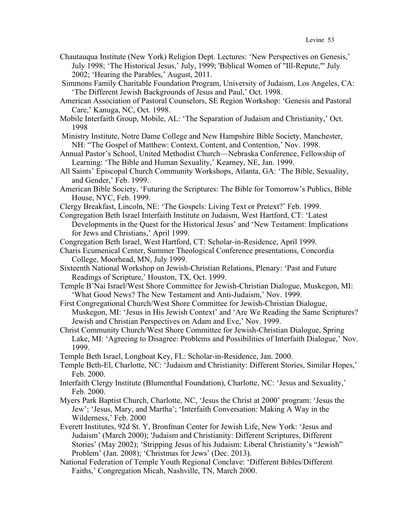- Chautauqua Institute (New York) Religion Dept. Lectures: 'New Perspectives on Genesis,' July 1998; 'The Historical Jesus,' July, 1999; 'Biblical Women of "Ill-Repute,"' July 2002; 'Hearing the Parables,' August, 2011.
- Simmons Family Charitable Foundation Program, University of Judaism, Los Angeles, CA: 'The Different Jewish Backgrounds of Jesus and Paul,' Oct. 1998.
- American Association of Pastoral Counselors, SE Region Workshop: 'Genesis and Pastoral Care,' Kanuga, NC, Oct. 1998.
- Mobile Interfaith Group, Mobile, AL: 'The Separation of Judaism and Christianity,' Oct. 1998
- Ministry Institute, Notre Dame College and New Hampshire Bible Society, Manchester, NH: "The Gospel of Matthew: Context, Content, and Contention,' Nov. 1998.
- Annual Pastor's School, United Methodist Church—Nebraska Conference, Fellowship of Learning: 'The Bible and Human Sexuality,' Kearney, NE, Jan. 1999.
- All Saints' Episcopal Church Community Workshops, Atlanta, GA: 'The Bible, Sexuality, and Gender,' Feb. 1999.
- American Bible Society, 'Futuring the Scriptures: The Bible for Tomorrow's Publics, Bible House, NYC, Feb. 1999.
- Clergy Breakfast, Lincoln, NE: 'The Gospels: Living Text or Pretext?' Feb. 1999.
- Congregation Beth Israel Interfaith Institute on Judaism, West Hartford, CT: 'Latest Developments in the Quest for the Historical Jesus' and 'New Testament: Implications for Jews and Christians,' April 1999.
- Congregation Beth Israel, West Hartford, CT: Scholar-in-Residence, April 1999.
- Charis Ecumenical Center, Summer Theological Conference presentations, Concordia College, Moorhead, MN, July 1999.
- Sixteenth National Workshop on Jewish-Christian Relations, Plenary: 'Past and Future Readings of Scripture,' Houston, TX, Oct. 1999.
- Temple B'Nai Israel/West Shore Committee for Jewish-Christian Dialogue, Muskegon, MI: 'What Good News? The New Testament and Anti-Judaism,' Nov. 1999.
- First Congregational Church/West Shore Committee for Jewish-Christian Dialogue, Muskegon, MI: 'Jesus in His Jewish Context' and 'Are We Reading the Same Scriptures? Jewish and Christian Perspectives on Adam and Eve,' Nov. 1999.
- Christ Community Church/West Shore Committee for Jewish-Christian Dialogue, Spring Lake, MI: 'Agreeing to Disagree: Problems and Possibilities of Interfaith Dialogue,' Nov. 1999.
- Temple Beth Israel, Longboat Key, FL: Scholar-in-Residence, Jan. 2000.
- Temple Beth-El, Charlotte, NC: 'Judaism and Christianity: Different Stories, Similar Hopes,' Feb. 2000.
- Interfaith Clergy Institute (Blumenthal Foundation), Charlotte, NC: 'Jesus and Sexuality,' Feb. 2000.
- Myers Park Baptist Church, Charlotte, NC, 'Jesus the Christ at 2000' program: 'Jesus the Jew'; 'Jesus, Mary, and Martha'; 'Interfaith Conversation: Making A Way in the Wilderness,' Feb. 2000
- Everett Institutes, 92d St. Y, Bronfman Center for Jewish Life, New York: 'Jesus and Judaism' (March 2000); 'Judaism and Christianity: Different Scriptures, Different Stories' (May 2002); 'Stripping Jesus of his Judaism: Liberal Christianity's "Jewish" Problem' (Jan. 2008); 'Christmas for Jews' (Dec. 2013).
- National Federation of Temple Youth Regional Conclave: 'Different Bibles/Different Faiths,' Congregation Micah, Nashville, TN, March 2000.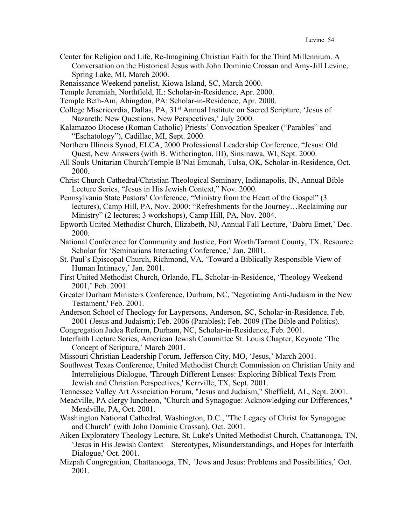Center for Religion and Life, Re-Imagining Christian Faith for the Third Millennium. A Conversation on the Historical Jesus with John Dominic Crossan and Amy-Jill Levine, Spring Lake, MI, March 2000.

Renaissance Weekend panelist, Kiowa Island, SC, March 2000.

Temple Jeremiah, Northfield, IL: Scholar-in-Residence, Apr. 2000.

Temple Beth-Am, Abingdon, PA: Scholar-in-Residence, Apr. 2000.

College Misericordia, Dallas, PA, 31<sup>st</sup> Annual Institute on Sacred Scripture, 'Jesus of Nazareth: New Questions, New Perspectives,' July 2000.

Kalamazoo Diocese (Roman Catholic) Priests' Convocation Speaker ("Parables" and "Eschatology"), Cadillac, MI, Sept. 2000.

Northern Illinois Synod, ELCA, 2000 Professional Leadership Conference, "Jesus: Old Quest, New Answers (with B. Witherington, III), Sinsinawa, WI, Sept. 2000.

All Souls Unitarian Church/Temple B'Nai Emunah, Tulsa, OK, Scholar-in-Residence, Oct. 2000.

Christ Church Cathedral/Christian Theological Seminary, Indianapolis, IN, Annual Bible Lecture Series, "Jesus in His Jewish Context," Nov. 2000.

Pennsylvania State Pastors' Conference, "Ministry from the Heart of the Gospel" (3 lectures), Camp Hill, PA, Nov. 2000: "Refreshments for the Journey…Reclaiming our Ministry" (2 lectures; 3 workshops), Camp Hill, PA, Nov. 2004.

Epworth United Methodist Church, Elizabeth, NJ, Annual Fall Lecture, 'Dabru Emet,' Dec. 2000.

- National Conference for Community and Justice, Fort Worth/Tarrant County, TX. Resource Scholar for 'Seminarians Interacting Conference,' Jan. 2001.
- St. Paul's Episcopal Church, Richmond, VA, 'Toward a Biblically Responsible View of Human Intimacy,' Jan. 2001.
- First United Methodist Church, Orlando, FL, Scholar-in-Residence, 'Theology Weekend 2001,' Feb. 2001.
- Greater Durham Ministers Conference, Durham, NC, 'Negotiating Anti-Judaism in the New Testament,' Feb. 2001.
- Anderson School of Theology for Laypersons, Anderson, SC, Scholar-in-Residence, Feb. 2001 (Jesus and Judaism); Feb. 2006 (Parables); Feb. 2009 (The Bible and Politics).

Congregation Judea Reform, Durham, NC, Scholar-in-Residence, Feb. 2001.

Interfaith Lecture Series, American Jewish Committee St. Louis Chapter, Keynote 'The Concept of Scripture,' March 2001.

Missouri Christian Leadership Forum, Jefferson City, MO, 'Jesus,' March 2001.

Southwest Texas Conference, United Methodist Church Commission on Christian Unity and Interreligious Dialogue, 'Through Different Lenses: Exploring Biblical Texts From Jewish and Christian Perspectives,' Kerrville, TX, Sept. 2001.

Tennessee Valley Art Association Forum, "Jesus and Judaism," Sheffield, AL, Sept. 2001.

Meadville, PA clergy luncheon, "Church and Synagogue: Acknowledging our Differences," Meadville, PA, Oct. 2001.

Washington National Cathedral, Washington, D.C., "The Legacy of Christ for Synagogue and Church" (with John Dominic Crossan), Oct. 2001.

Aiken Exploratory Theology Lecture, St. Luke's United Methodist Church, Chattanooga, TN, 'Jesus in His Jewish Context—Stereotypes, Misunderstandings, and Hopes for Interfaith Dialogue,' Oct. 2001.

Mizpah Congregation, Chattanooga, TN, 'Jews and Jesus: Problems and Possibilities,' Oct. 2001.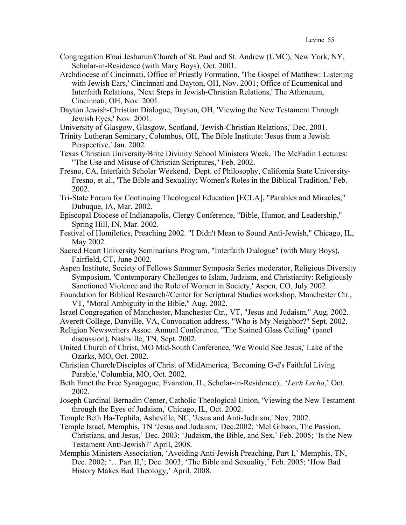- Congregation B'nai Jeshurun/Church of St. Paul and St. Andrew (UMC), New York, NY, Scholar-in-Residence (with Mary Boys), Oct. 2001.
- Archdiocese of Cincinnati, Office of Priestly Formation, 'The Gospel of Matthew: Listening with Jewish Ears,' Cincinnati and Dayton, OH, Nov. 2001; Office of Ecumenical and Interfaith Relations, 'Next Steps in Jewish-Christian Relations,' The Atheneum, Cincinnati, OH, Nov. 2001.
- Dayton Jewish-Christian Dialogue, Dayton, OH, 'Viewing the New Testament Through Jewish Eyes,' Nov. 2001.
- University of Glasgow, Glasgow, Scotland, 'Jewish-Christian Relations,' Dec. 2001.
- Trinity Lutheran Seminary, Columbus, OH, The Bible Institute: 'Jesus from a Jewish Perspective,' Jan. 2002.
- Texas Christian University/Brite Divinity School Ministers Week, The McFadin Lectures: "The Use and Misuse of Christian Scriptures," Feb. 2002.
- Fresno, CA, Interfaith Scholar Weekend, Dept. of Philosophy, California State University-Fresno, et al., 'The Bible and Sexuality: Women's Roles in the Biblical Tradition,' Feb. 2002.
- Tri-State Forum for Continuing Theological Education [ECLA], "Parables and Miracles," Dubuque, IA, Mar. 2002.
- Episcopal Diocese of Indianapolis, Clergy Conference, "Bible, Humor, and Leadership," Spring Hill, IN, Mar. 2002.
- Festival of Homiletics, Preaching 2002. "I Didn't Mean to Sound Anti-Jewish," Chicago, IL, May 2002.
- Sacred Heart University Seminarians Program, "Interfaith Dialogue" (with Mary Boys), Fairfield, CT, June 2002.
- Aspen Institute, Society of Fellows Summer Symposia Series moderator, Religious Diversity Symposium. 'Contemporary Challenges to Islam, Judaism, and Christianity: Religiously Sanctioned Violence and the Role of Women in Society,' Aspen, CO, July 2002.
- Foundation for Biblical Research//Center for Scriptural Studies workshop, Manchester Ctr., VT, "Moral Ambiguity in the Bible," Aug. 2002.
- Israel Congregation of Manchester, Manchester Ctr., VT, "Jesus and Judaism," Aug. 2002.
- Averett College, Danville, VA, Convocation address, "Who is My Neighbor?" Sept. 2002.
- Religion Newswriters Assoc. Annual Conference, "The Stained Glass Ceiling" (panel discussion), Nashville, TN, Sept. 2002.
- United Church of Christ, MO Mid-South Conference, 'We Would See Jesus,' Lake of the Ozarks, MO, Oct. 2002.
- Christian Church/Disciples of Christ of MidAmerica, 'Becoming G-d's Faithful Living Parable,' Columbia, MO, Oct. 2002.
- Beth Emet the Free Synagogue, Evanston, IL, Scholar-in-Residence), '*Lech Lecha*,' Oct. 2002.
- Joseph Cardinal Bernadin Center, Catholic Theological Union, 'Viewing the New Testament through the Eyes of Judaism,' Chicago, IL, Oct. 2002.
- Temple Beth Ha-Tephila, Asheville, NC, 'Jesus and Anti-Judaism,' Nov. 2002.
- Temple Israel, Memphis, TN 'Jesus and Judaism,' Dec.2002; 'Mel Gibson, The Passion, Christians, and Jesus,' Dec. 2003; 'Judaism, the Bible, and Sex,' Feb. 2005; 'Is the New Testament Anti-Jewish?' April, 2008.
- Memphis Ministers Association, 'Avoiding Anti-Jewish Preaching, Part I,' Memphis, TN, Dec. 2002; '…Part II,'; Dec. 2003; 'The Bible and Sexuality,' Feb. 2005; 'How Bad History Makes Bad Theology,' April, 2008.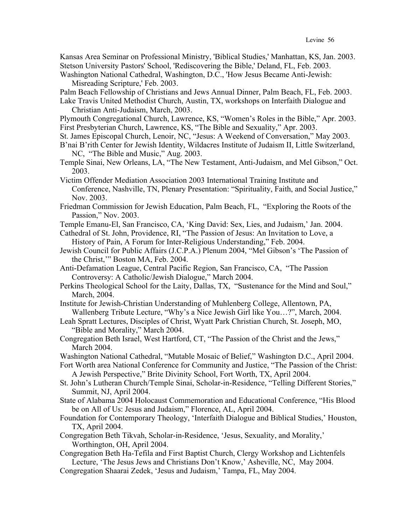Kansas Area Seminar on Professional Ministry, 'Biblical Studies,' Manhattan, KS, Jan. 2003. Stetson University Pastors' School, 'Rediscovering the Bible,' Deland, FL, Feb. 2003. Washington National Cathedral, Washington, D.C., 'How Jesus Became Anti-Jewish:

Misreading Scripture,' Feb. 2003.

Palm Beach Fellowship of Christians and Jews Annual Dinner, Palm Beach, FL, Feb. 2003.

Lake Travis United Methodist Church, Austin, TX, workshops on Interfaith Dialogue and Christian Anti-Judaism, March, 2003.

Plymouth Congregational Church, Lawrence, KS, "Women's Roles in the Bible," Apr. 2003. First Presbyterian Church, Lawrence, KS, "The Bible and Sexuality," Apr. 2003.

- St. James Episcopal Church, Lenoir, NC, "Jesus: A Weekend of Conversation," May 2003.
- B'nai B'rith Center for Jewish Identity, Wildacres Institute of Judaism II, Little Switzerland, NC, "The Bible and Music," Aug. 2003.
- Temple Sinai, New Orleans, LA, "The New Testament, Anti-Judaism, and Mel Gibson," Oct. 2003.
- Victim Offender Mediation Association 2003 International Training Institute and Conference, Nashville, TN, Plenary Presentation: "Spirituality, Faith, and Social Justice," Nov. 2003.
- Friedman Commission for Jewish Education, Palm Beach, FL, "Exploring the Roots of the Passion," Nov. 2003.
- Temple Emanu-El, San Francisco, CA, 'King David: Sex, Lies, and Judaism,' Jan. 2004.
- Cathedral of St. John, Providence, RI, "The Passion of Jesus: An Invitation to Love, a History of Pain, A Forum for Inter-Religious Understanding," Feb. 2004.
- Jewish Council for Public Affairs (J.C.P.A.) Plenum 2004, "Mel Gibson's 'The Passion of the Christ,'" Boston MA, Feb. 2004.
- Anti-Defamation League, Central Pacific Region, San Francisco, CA, "The Passion Controversy: A Catholic/Jewish Dialogue," March 2004.
- Perkins Theological School for the Laity, Dallas, TX, "Sustenance for the Mind and Soul," March, 2004.
- Institute for Jewish-Christian Understanding of Muhlenberg College, Allentown, PA, Wallenberg Tribute Lecture, "Why's a Nice Jewish Girl like You…?", March, 2004.
- Leah Spratt Lectures, Disciples of Christ, Wyatt Park Christian Church, St. Joseph, MO, "Bible and Morality," March 2004.
- Congregation Beth Israel, West Hartford, CT, "The Passion of the Christ and the Jews," March 2004.
- Washington National Cathedral, "Mutable Mosaic of Belief," Washington D.C., April 2004.
- Fort Worth area National Conference for Community and Justice, "The Passion of the Christ: A Jewish Perspective," Brite Divinity School, Fort Worth, TX, April 2004.
- St. John's Lutheran Church/Temple Sinai, Scholar-in-Residence, "Telling Different Stories," Summit, NJ, April 2004.
- State of Alabama 2004 Holocaust Commemoration and Educational Conference, "His Blood be on All of Us: Jesus and Judaism," Florence, AL, April 2004.
- Foundation for Contemporary Theology, 'Interfaith Dialogue and Biblical Studies,' Houston, TX, April 2004.
- Congregation Beth Tikvah, Scholar-in-Residence, 'Jesus, Sexuality, and Morality,' Worthington, OH, April 2004.
- Congregation Beth Ha-Tefila and First Baptist Church, Clergy Workshop and Lichtenfels Lecture, 'The Jesus Jews and Christians Don't Know,' Asheville, NC, May 2004.

Congregation Shaarai Zedek, 'Jesus and Judaism,' Tampa, FL, May 2004.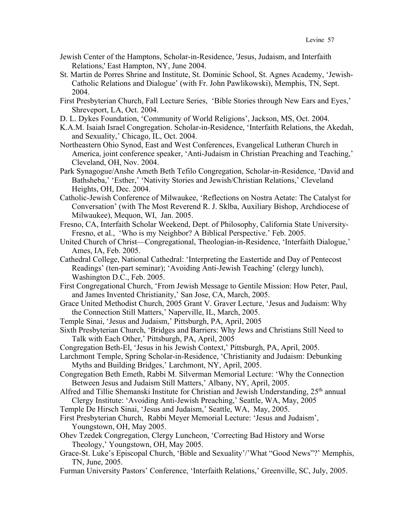- Jewish Center of the Hamptons, Scholar-in-Residence, 'Jesus, Judaism, and Interfaith Relations,' East Hampton, NY, June 2004.
- St. Martin de Porres Shrine and Institute, St. Dominic School, St. Agnes Academy, 'Jewish-Catholic Relations and Dialogue' (with Fr. John Pawlikowski), Memphis, TN, Sept. 2004.
- First Presbyterian Church, Fall Lecture Series, 'Bible Stories through New Ears and Eyes,' Shreveport, LA, Oct. 2004.
- D. L. Dykes Foundation, 'Community of World Religions', Jackson, MS, Oct. 2004.
- K.A.M. Isaiah Israel Congregation. Scholar-in-Residence, 'Interfaith Relations, the Akedah, and Sexuality,' Chicago, IL, Oct. 2004.
- Northeastern Ohio Synod, East and West Conferences, Evangelical Lutheran Church in America, joint conference speaker, 'Anti-Judaism in Christian Preaching and Teaching,' Cleveland, OH, Nov. 2004.
- Park Synagogue/Anshe Ameth Beth Tefilo Congregation, Scholar-in-Residence, 'David and Bathsheba,' 'Esther,' 'Nativity Stories and Jewish/Christian Relations,' Cleveland Heights, OH, Dec. 2004.
- Catholic-Jewish Conference of Milwaukee, 'Reflections on Nostra Aetate: The Catalyst for Conversation' (with The Most Reverend R. J. Sklba, Auxiliary Bishop, Archdiocese of Milwaukee), Mequon, WI, Jan. 2005.
- Fresno, CA, Interfaith Scholar Weekend, Dept. of Philosophy, California State University-Fresno, et al., 'Who is my Neighbor? A Biblical Perspective.' Feb. 2005.
- United Church of Christ—Congregational, Theologian-in-Residence, 'Interfaith Dialogue,' Ames, IA, Feb. 2005.
- Cathedral College, National Cathedral: 'Interpreting the Eastertide and Day of Pentecost Readings' (ten-part seminar); 'Avoiding Anti-Jewish Teaching' (clergy lunch), Washington D.C., Feb. 2005.
- First Congregational Church, 'From Jewish Message to Gentile Mission: How Peter, Paul, and James Invented Christianity,' San Jose, CA, March, 2005.
- Grace United Methodist Church, 2005 Grant V. Graver Lecture, 'Jesus and Judaism: Why the Connection Still Matters,' Naperville, IL, March, 2005.
- Temple Sinai, 'Jesus and Judaism,' Pittsburgh, PA, April, 2005
- Sixth Presbyterian Church, 'Bridges and Barriers: Why Jews and Christians Still Need to Talk with Each Other,' Pittsburgh, PA, April, 2005
- Congregation Beth-El, 'Jesus in his Jewish Context,' Pittsburgh, PA, April, 2005.
- Larchmont Temple, Spring Scholar-in-Residence, 'Christianity and Judaism: Debunking Myths and Building Bridges,' Larchmont, NY, April, 2005.
- Congregation Beth Emeth, Rabbi M. Silverman Memorial Lecture: 'Why the Connection Between Jesus and Judaism Still Matters,' Albany, NY, April, 2005.
- Alfred and Tillie Shemanski Institute for Christian and Jewish Understanding,  $25<sup>th</sup>$  annual Clergy Institute: 'Avoiding Anti-Jewish Preaching,' Seattle, WA, May, 2005
- Temple De Hirsch Sinai, 'Jesus and Judaism,' Seattle, WA, May, 2005.
- First Presbyterian Church, Rabbi Meyer Memorial Lecture: 'Jesus and Judaism', Youngstown, OH, May 2005.
- Ohev Tzedek Congregation, Clergy Luncheon, 'Correcting Bad History and Worse Theology,' Youngstown, OH, May 2005.
- Grace-St. Luke's Episcopal Church, 'Bible and Sexuality'/'What "Good News"?' Memphis, TN, June, 2005.
- Furman University Pastors' Conference, 'Interfaith Relations,' Greenville, SC, July, 2005.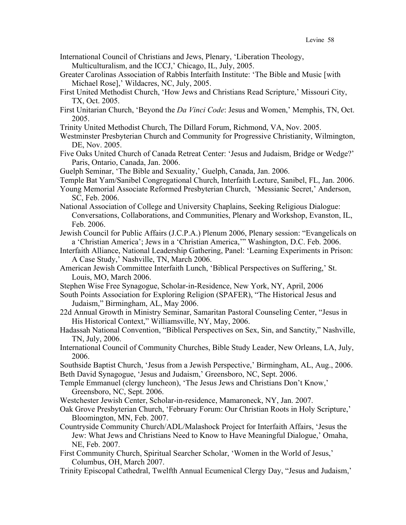- International Council of Christians and Jews, Plenary, 'Liberation Theology,
	- Multiculturalism, and the ICCJ,' Chicago, IL, July, 2005.
- Greater Carolinas Association of Rabbis Interfaith Institute: 'The Bible and Music [with Michael Rose],' Wildacres, NC, July, 2005.
- First United Methodist Church, 'How Jews and Christians Read Scripture,' Missouri City, TX, Oct. 2005.
- First Unitarian Church, 'Beyond the *Da Vinci Code*: Jesus and Women,' Memphis, TN, Oct. 2005.
- Trinity United Methodist Church, The Dillard Forum, Richmond, VA, Nov. 2005.
- Westminster Presbyterian Church and Community for Progressive Christianity, Wilmington, DE, Nov. 2005.
- Five Oaks United Church of Canada Retreat Center: 'Jesus and Judaism, Bridge or Wedge?' Paris, Ontario, Canada, Jan. 2006.
- Guelph Seminar, 'The Bible and Sexuality,' Guelph, Canada, Jan. 2006.
- Temple Bat Yam/Sanibel Congregational Church, Interfaith Lecture, Sanibel, FL, Jan. 2006.
- Young Memorial Associate Reformed Presbyterian Church, 'Messianic Secret,' Anderson, SC, Feb. 2006.
- National Association of College and University Chaplains, Seeking Religious Dialogue: Conversations, Collaborations, and Communities, Plenary and Workshop, Evanston, IL, Feb. 2006.
- Jewish Council for Public Affairs (J.C.P.A.) Plenum 2006, Plenary session: "Evangelicals on a 'Christian America'; Jews in a 'Christian America,'" Washington, D.C. Feb. 2006.
- Interfaith Alliance, National Leadership Gathering, Panel: 'Learning Experiments in Prison: A Case Study,' Nashville, TN, March 2006.
- American Jewish Committee Interfaith Lunch, 'Biblical Perspectives on Suffering,' St. Louis, MO, March 2006.
- Stephen Wise Free Synagogue, Scholar-in-Residence, New York, NY, April, 2006
- South Points Association for Exploring Religion (SPAFER), "The Historical Jesus and Judaism," Birmingham, AL, May 2006.
- 22d Annual Growth in Ministry Seminar, Samaritan Pastoral Counseling Center, "Jesus in His Historical Context," Williamsville, NY, May, 2006.
- Hadassah National Convention, "Biblical Perspectives on Sex, Sin, and Sanctity," Nashville, TN, July, 2006.
- International Council of Community Churches, Bible Study Leader, New Orleans, LA, July, 2006.
- Southside Baptist Church, 'Jesus from a Jewish Perspective,' Birmingham, AL, Aug., 2006. Beth David Synagogue, 'Jesus and Judaism,' Greensboro, NC, Sept. 2006.
- Temple Emmanuel (clergy luncheon), 'The Jesus Jews and Christians Don't Know,' Greensboro, NC, Sept. 2006.
- Westchester Jewish Center, Scholar-in-residence, Mamaroneck, NY, Jan. 2007.
- Oak Grove Presbyterian Church, 'February Forum: Our Christian Roots in Holy Scripture,' Bloomington, MN, Feb. 2007.
- Countryside Community Church/ADL/Malashock Project for Interfaith Affairs, 'Jesus the Jew: What Jews and Christians Need to Know to Have Meaningful Dialogue,' Omaha, NE, Feb. 2007.
- First Community Church, Spiritual Searcher Scholar, 'Women in the World of Jesus,' Columbus, OH, March 2007.
- Trinity Episcopal Cathedral, Twelfth Annual Ecumenical Clergy Day, "Jesus and Judaism,'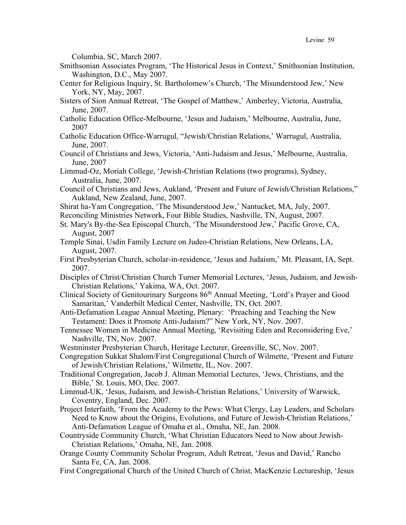Columbia, SC, March 2007.

- Smithsonian Associates Program, 'The Historical Jesus in Context,' Smithsonian Institution, Washington, D.C., May 2007.
- Center for Religious Inquiry, St. Bartholomew's Church, 'The Misunderstood Jew,' New York, NY, May, 2007.
- Sisters of Sion Annual Retreat, 'The Gospel of Matthew,' Amberley, Victoria, Australia, June, 2007.
- Catholic Education Office-Melbourne, 'Jesus and Judaism,' Melbourne, Australia, June, 2007
- Catholic Education Office-Warrugul, "Jewish/Christian Relations,' Warrugul, Australia, June, 2007.
- Council of Christians and Jews, Victoria, 'Anti-Judaism and Jesus,' Melbourne, Australia, June, 2007
- Limmud-Oz, Moriah College, 'Jewish-Christian Relations (two programs), Sydney, Australia, June, 2007.
- Council of Christians and Jews, Aukland, 'Present and Future of Jewish/Christian Relations," Aukland, New Zealand, June, 2007.
- Shirat ha-Yam Congregation, 'The Misunderstood Jew,' Nantucket, MA, July, 2007.
- Reconciling Ministries Network, Four Bible Studies, Nashville, TN, August, 2007.
- St. Mary's By-the-Sea Episcopal Church, 'The Misunderstood Jew,' Pacific Grove, CA, August, 2007
- Temple Sinai, Usdin Family Lecture on Judeo-Christian Relations, New Orleans, LA, August, 2007.
- First Presbyterian Church, scholar-in-residence, 'Jesus and Judaism,' Mt. Pleasant, IA, Sept. 2007.
- Disciples of Christ/Christian Church Turner Memorial Lectures, 'Jesus, Judaism, and Jewish-Christian Relations,' Yakima, WA, Oct. 2007.
- Clinical Society of Genitourinary Surgeons 86th Annual Meeting, 'Lord's Prayer and Good Samaritan,' Vanderbilt Medical Center, Nashville, TN, Oct. 2007.
- Anti-Defamation League Annual Meeting, Plenary: 'Preaching and Teaching the New Testament: Does it Promote Anti-Judaism?" New York, NY, Nov. 2007.
- Tennessee Women in Medicine Annual Meeting, 'Revisiting Eden and Reconsidering Eve,' Nashville, TN, Nov. 2007.
- Westminster Presbyterian Church, Heritage Lecturer, Greenville, SC, Nov. 2007.
- Congregation Sukkat Shalom/First Congregational Church of Wilmette, 'Present and Future of Jewish/Christian Relations,' Wilmette, IL, Nov. 2007.
- Traditional Congregation, Jacob J. Altman Memorial Lectures, 'Jews, Christians, and the Bible,' St. Louis, MO, Dec. 2007.
- Limmud-UK, 'Jesus, Judaism, and Jewish-Christian Relations,' University of Warwick, Coventry, England, Dec. 2007.
- Project Interfaith, 'From the Academy to the Pews: What Clergy, Lay Leaders, and Scholars Need to Know about the Origins, Evolutions, and Future of Jewish-Christian Relations,' Anti-Defamation League of Omaha et al., Omaha, NE, Jan. 2008.
- Countryside Community Church, 'What Christian Educators Need to Now about Jewish-Christian Relations,' Omaha, NE, Jan. 2008.
- Orange County Community Scholar Program, Adult Retreat, 'Jesus and David,' Rancho Santa Fe, CA, Jan. 2008.
- First Congregational Church of the United Church of Christ, MacKenzie Lectureship, 'Jesus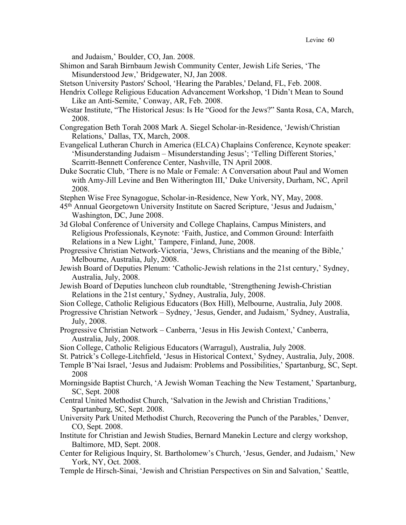and Judaism,' Boulder, CO, Jan. 2008.

Shimon and Sarah Birnbaum Jewish Community Center, Jewish Life Series, 'The Misunderstood Jew,' Bridgewater, NJ, Jan 2008.

Stetson University Pastors' School, 'Hearing the Parables,' Deland, FL, Feb. 2008.

- Hendrix College Religious Education Advancement Workshop, 'I Didn't Mean to Sound Like an Anti-Semite,' Conway, AR, Feb. 2008.
- Westar Institute, "The Historical Jesus: Is He "Good for the Jews?" Santa Rosa, CA, March, 2008.
- Congregation Beth Torah 2008 Mark A. Siegel Scholar-in-Residence, 'Jewish/Christian Relations,' Dallas, TX, March, 2008.
- Evangelical Lutheran Church in America (ELCA) Chaplains Conference, Keynote speaker: 'Misunderstanding Judaism – Misunderstanding Jesus'; 'Telling Different Stories,' Scarritt-Bennett Conference Center, Nashville, TN April 2008.
- Duke Socratic Club, 'There is no Male or Female: A Conversation about Paul and Women with Amy-Jill Levine and Ben Witherington III,' Duke University, Durham, NC, April 2008.
- Stephen Wise Free Synagogue, Scholar-in-Residence, New York, NY, May, 2008.
- 45th Annual Georgetown University Institute on Sacred Scripture, 'Jesus and Judaism,' Washington, DC, June 2008.
- 3d Global Conference of University and College Chaplains, Campus Ministers, and Religious Professionals, Keynote: 'Faith, Justice, and Common Ground: Interfaith Relations in a New Light,' Tampere, Finland, June, 2008.
- Progressive Christian Network-Victoria, 'Jews, Christians and the meaning of the Bible,' Melbourne, Australia, July, 2008.
- Jewish Board of Deputies Plenum: 'Catholic-Jewish relations in the 21st century,' Sydney, Australia, July, 2008.
- Jewish Board of Deputies luncheon club roundtable, 'Strengthening Jewish-Christian Relations in the 21st century,' Sydney, Australia, July, 2008.
- Sion College, Catholic Religious Educators (Box Hill), Melbourne, Australia, July 2008.
- Progressive Christian Network Sydney, 'Jesus, Gender, and Judaism,' Sydney, Australia, July, 2008.
- Progressive Christian Network Canberra, 'Jesus in His Jewish Context,' Canberra, Australia, July, 2008.
- Sion College, Catholic Religious Educators (Warragul), Australia, July 2008.
- St. Patrick's College-Litchfield, 'Jesus in Historical Context,' Sydney, Australia, July, 2008.
- Temple B'Nai Israel, 'Jesus and Judaism: Problems and Possibilities,' Spartanburg, SC, Sept. 2008
- Morningside Baptist Church, 'A Jewish Woman Teaching the New Testament,' Spartanburg, SC, Sept. 2008
- Central United Methodist Church, 'Salvation in the Jewish and Christian Traditions,' Spartanburg, SC, Sept. 2008.
- University Park United Methodist Church, Recovering the Punch of the Parables,' Denver, CO, Sept. 2008.
- Institute for Christian and Jewish Studies, Bernard Manekin Lecture and clergy workshop, Baltimore, MD, Sept. 2008.
- Center for Religious Inquiry, St. Bartholomew's Church, 'Jesus, Gender, and Judaism,' New York, NY, Oct. 2008.
- Temple de Hirsch-Sinai, 'Jewish and Christian Perspectives on Sin and Salvation,' Seattle,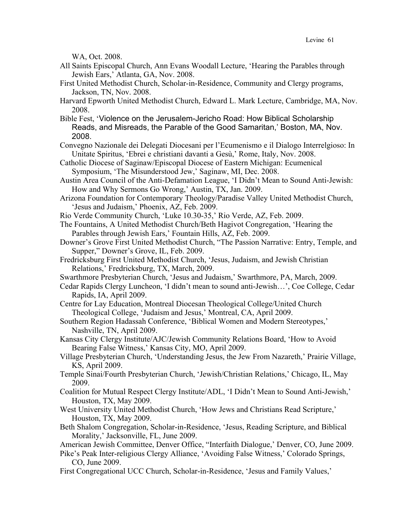WA, Oct. 2008.

- All Saints Episcopal Church, Ann Evans Woodall Lecture, 'Hearing the Parables through Jewish Ears,' Atlanta, GA, Nov. 2008.
- First United Methodist Church, Scholar-in-Residence, Community and Clergy programs, Jackson, TN, Nov. 2008.
- Harvard Epworth United Methodist Church, Edward L. Mark Lecture, Cambridge, MA, Nov. 2008.
- Bible Fest, 'Violence on the Jerusalem-Jericho Road: How Biblical Scholarship Reads, and Misreads, the Parable of the Good Samaritan,' Boston, MA, Nov. 2008.
- Convegno Nazionale dei Delegati Diocesani per l'Ecumenismo e il Dialogo Interrelgioso: In Unitate Spiritus, 'Ebrei e christiani davanti a Gesù,' Rome, Italy, Nov. 2008.
- Catholic Diocese of Saginaw/Episcopal Diocese of Eastern Michigan: Ecumenical Symposium, 'The Misunderstood Jew,' Saginaw, MI, Dec. 2008.
- Austin Area Council of the Anti-Defamation League, 'I Didn't Mean to Sound Anti-Jewish: How and Why Sermons Go Wrong,' Austin, TX, Jan. 2009.
- Arizona Foundation for Contemporary Theology/Paradise Valley United Methodist Church, 'Jesus and Judaism,' Phoenix, AZ, Feb. 2009.
- Rio Verde Community Church, 'Luke 10.30-35,' Rio Verde, AZ, Feb. 2009.
- The Fountains, A United Methodist Church/Beth Hagivot Congregation, 'Hearing the Parables through Jewish Ears,' Fountain Hills, AZ, Feb. 2009.
- Downer's Grove First United Methodist Church, "The Passion Narrative: Entry, Temple, and Supper," Downer's Grove, IL, Feb. 2009.
- Fredricksburg First United Methodist Church, 'Jesus, Judaism, and Jewish Christian Relations,' Fredricksburg, TX, March, 2009.
- Swarthmore Presbyterian Church, 'Jesus and Judaism,' Swarthmore, PA, March, 2009.
- Cedar Rapids Clergy Luncheon, 'I didn't mean to sound anti-Jewish…', Coe College, Cedar Rapids, IA, April 2009.
- Centre for Lay Education, Montreal Diocesan Theological College/United Church Theological College, 'Judaism and Jesus,' Montreal, CA, April 2009.
- Southern Region Hadassah Conference, 'Biblical Women and Modern Stereotypes,' Nashville, TN, April 2009.
- Kansas City Clergy Institute/AJC/Jewish Community Relations Board, 'How to Avoid Bearing False Witness,' Kansas City, MO, April 2009.
- Village Presbyterian Church, 'Understanding Jesus, the Jew From Nazareth,' Prairie Village, KS, April 2009.
- Temple Sinai/Fourth Presbyterian Church, 'Jewish/Christian Relations,' Chicago, IL, May 2009.
- Coalition for Mutual Respect Clergy Institute/ADL, 'I Didn't Mean to Sound Anti-Jewish,' Houston, TX, May 2009.
- West University United Methodist Church, 'How Jews and Christians Read Scripture,' Houston, TX, May 2009.
- Beth Shalom Congregation, Scholar-in-Residence, 'Jesus, Reading Scripture, and Biblical Morality,' Jacksonville, FL, June 2009.
- American Jewish Committee, Denver Office, "Interfaith Dialogue,' Denver, CO, June 2009.
- Pike's Peak Inter-religious Clergy Alliance, 'Avoiding False Witness,' Colorado Springs, CO, June 2009.
- First Congregational UCC Church, Scholar-in-Residence, 'Jesus and Family Values,'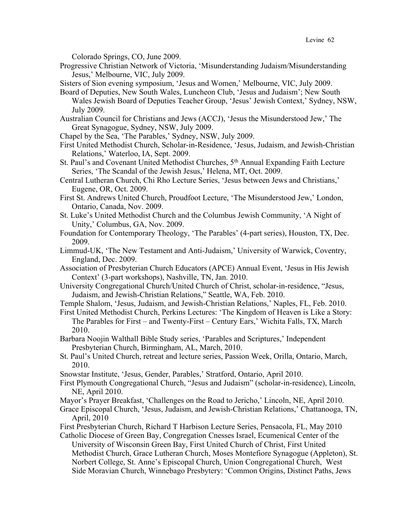Colorado Springs, CO, June 2009.

Progressive Christian Network of Victoria, 'Misunderstanding Judaism/Misunderstanding Jesus,' Melbourne, VIC, July 2009.

Sisters of Sion evening symposium, 'Jesus and Women,' Melbourne, VIC, July 2009.

- Board of Deputies, New South Wales, Luncheon Club, 'Jesus and Judaism'; New South Wales Jewish Board of Deputies Teacher Group, 'Jesus' Jewish Context,' Sydney, NSW, July 2009.
- Australian Council for Christians and Jews (ACCJ), 'Jesus the Misunderstood Jew,' The Great Synagogue, Sydney, NSW, July 2009.
- Chapel by the Sea, 'The Parables,' Sydney, NSW, July 2009.
- First United Methodist Church, Scholar-in-Residence, 'Jesus, Judaism, and Jewish-Christian Relations,' Waterloo, IA, Sept. 2009.
- St. Paul's and Covenant United Methodist Churches, 5<sup>th</sup> Annual Expanding Faith Lecture Series, 'The Scandal of the Jewish Jesus,' Helena, MT, Oct. 2009.
- Central Lutheran Church, Chi Rho Lecture Series, 'Jesus between Jews and Christians,' Eugene, OR, Oct. 2009.
- First St. Andrews United Church, Proudfoot Lecture, 'The Misunderstood Jew,' London, Ontario, Canada, Nov. 2009.
- St. Luke's United Methodist Church and the Columbus Jewish Community, 'A Night of Unity,' Columbus, GA, Nov. 2009.
- Foundation for Contemporary Theology, 'The Parables' (4-part series), Houston, TX, Dec. 2009.
- Limmud-UK, 'The New Testament and Anti-Judaism,' University of Warwick, Coventry, England, Dec. 2009.
- Association of Presbyterian Church Educators (APCE) Annual Event, 'Jesus in His Jewish Context' (3-part workshops), Nashville, TN, Jan. 2010.
- University Congregational Church/United Church of Christ, scholar-in-residence, "Jesus, Judaism, and Jewish-Christian Relations," Seattle, WA, Feb. 2010.

Temple Shalom, 'Jesus, Judaism, and Jewish-Christian Relations,' Naples, FL, Feb. 2010.

- First United Methodist Church, Perkins Lectures: 'The Kingdom of Heaven is Like a Story: The Parables for First – and Twenty-First – Century Ears,' Wichita Falls, TX, March 2010.
- Barbara Noojin Walthall Bible Study series, 'Parables and Scriptures,' Independent Presbyterian Church, Birmingham, AL, March, 2010.
- St. Paul's United Church, retreat and lecture series, Passion Week, Orilla, Ontario, March, 2010.
- Snowstar Institute, 'Jesus, Gender, Parables,' Stratford, Ontario, April 2010.
- First Plymouth Congregational Church, "Jesus and Judaism" (scholar-in-residence), Lincoln, NE, April 2010.
- Mayor's Prayer Breakfast, 'Challenges on the Road to Jericho,' Lincoln, NE, April 2010.
- Grace Episcopal Church, 'Jesus, Judaism, and Jewish-Christian Relations,' Chattanooga, TN, April, 2010
- First Presbyterian Church, Richard T Harbison Lecture Series, Pensacola, FL, May 2010
- Catholic Diocese of Green Bay, Congregation Cnesses Israel, Ecumenical Center of the University of Wisconsin Green Bay, First United Church of Christ, First United Methodist Church, Grace Lutheran Church, Moses Montefiore Synagogue (Appleton), St. Norbert College, St. Anne's Episcopal Church, Union Congregational Church, West Side Moravian Church, Winnebago Presbytery: 'Common Origins, Distinct Paths, Jews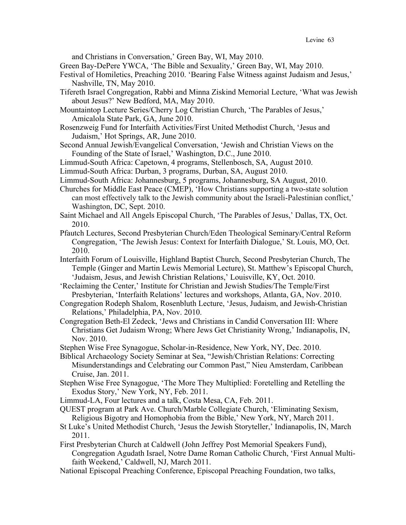and Christians in Conversation,' Green Bay, WI, May 2010.

Green Bay-DePere YWCA, 'The Bible and Sexuality,' Green Bay, WI, May 2010.

- Festival of Homiletics, Preaching 2010. 'Bearing False Witness against Judaism and Jesus,' Nashville, TN, May 2010.
- Tifereth Israel Congregation, Rabbi and Minna Ziskind Memorial Lecture, 'What was Jewish about Jesus?' New Bedford, MA, May 2010.
- Mountaintop Lecture Series/Cherry Log Christian Church, 'The Parables of Jesus,' Amicalola State Park, GA, June 2010.
- Rosenzweig Fund for Interfaith Activities/First United Methodist Church, 'Jesus and Judaism,' Hot Springs, AR, June 2010.
- Second Annual Jewish/Evangelical Conversation, 'Jewish and Christian Views on the Founding of the State of Israel,' Washington, D.C., June 2010.
- Limmud-South Africa: Capetown, 4 programs, Stellenbosch, SA, August 2010.
- Limmud-South Africa: Durban, 3 programs, Durban, SA, August 2010.
- Limmud-South Africa: Johannesburg, 5 programs, Johannesburg, SA August, 2010.
- Churches for Middle East Peace (CMEP), 'How Christians supporting a two-state solution can most effectively talk to the Jewish community about the Israeli-Palestinian conflict,' Washington, DC, Sept. 2010.
- Saint Michael and All Angels Episcopal Church, 'The Parables of Jesus,' Dallas, TX, Oct. 2010.
- Pfautch Lectures, Second Presbyterian Church/Eden Theological Seminary/Central Reform Congregation, 'The Jewish Jesus: Context for Interfaith Dialogue,' St. Louis, MO, Oct. 2010.
- Interfaith Forum of Louisville, Highland Baptist Church, Second Presbyterian Church, The Temple (Ginger and Martin Lewis Memorial Lecture), St. Matthew's Episcopal Church, 'Judaism, Jesus, and Jewish Christian Relations,' Louisville, KY, Oct. 2010.
- 'Reclaiming the Center,' Institute for Christian and Jewish Studies/The Temple/First Presbyterian, 'Interfaith Relations' lectures and workshops, Atlanta, GA, Nov. 2010.
- Congregation Rodeph Shalom, Rosenbluth Lecture, 'Jesus, Judaism, and Jewish-Christian Relations,' Philadelphia, PA, Nov. 2010.
- Congregation Beth-El Zedeck, 'Jews and Christians in Candid Conversation III: Where Christians Get Judaism Wrong; Where Jews Get Christianity Wrong,' Indianapolis, IN, Nov. 2010.
- Stephen Wise Free Synagogue, Scholar-in-Residence, New York, NY, Dec. 2010.
- Biblical Archaeology Society Seminar at Sea, "Jewish/Christian Relations: Correcting Misunderstandings and Celebrating our Common Past," Nieu Amsterdam, Caribbean Cruise, Jan. 2011.
- Stephen Wise Free Synagogue, 'The More They Multiplied: Foretelling and Retelling the Exodus Story,' New York, NY, Feb. 2011.

Limmud-LA, Four lectures and a talk, Costa Mesa, CA, Feb. 2011.

- QUEST program at Park Ave. Church/Marble Collegiate Church, 'Eliminating Sexism, Religious Bigotry and Homophobia from the Bible,' New York, NY, March 2011.
- St Luke's United Methodist Church, 'Jesus the Jewish Storyteller,' Indianapolis, IN, March 2011.
- First Presbyterian Church at Caldwell (John Jeffrey Post Memorial Speakers Fund), Congregation Agudath Israel, Notre Dame Roman Catholic Church, 'First Annual Multifaith Weekend,' Caldwell, NJ, March 2011.
- National Episcopal Preaching Conference, Episcopal Preaching Foundation, two talks,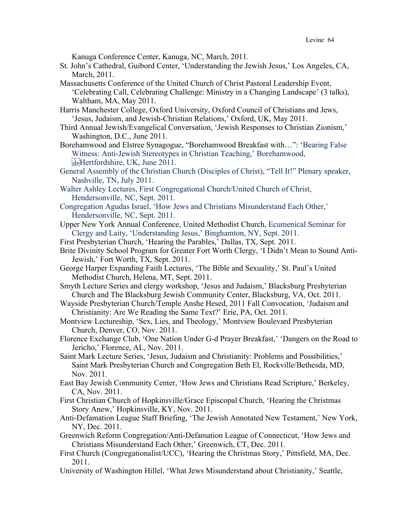Kanuga Conference Center, Kanuga, NC, March, 2011.

- St. John's Cathedral, Guibord Center, 'Understanding the Jewish Jesus,' Los Angeles, CA, March, 2011.
- Massachusetts Conference of the United Church of Christ Pastoral Leadership Event, 'Celebrating Call, Celebrating Challenge: Ministry in a Changing Landscape' (3 talks), Waltham, MA, May 2011.
- Harris Manchester College, Oxford University, Oxford Council of Christians and Jews, 'Jesus, Judaism, and Jewish-Christian Relations,' Oxford, UK, May 2011.
- Third Annual Jewish/Evangelical Conversation, 'Jewish Responses to Christian Zionism,' Washington, D.C., June 2011.
- Borehamwood and Elstree Synagogue, "Borehamwood Breakfast with…": 'Bearing False Witness: Anti-Jewish Stereotypes in Christian Teaching,' Borehamwood, Hertfordshire, UK, June 2011.
- General Assembly of the Christian Church (Disciples of Christ), "Tell It!" Plenary speaker, Nashville, TN, July 2011.
- Walter Ashley Lectures, First Congregational Church/United Church of Christ, Hendersonville, NC, Sept. 2011.
- Congregation Agudas Israel, 'How Jews and Christians Misunderstand Each Other,' Hendersonville, NC, Sept. 2011.
- Upper New York Annual Conference, United Methodist Church, Ecumenical Seminar for Clergy and Laity, 'Understanding Jesus,' Binghamton, NY, Sept. 2011.
- First Presbyterian Church, 'Hearing the Parables,' Dallas, TX, Sept. 2011.
- Brite Divinity School Program for Greater Fort Worth Clergy, 'I Didn't Mean to Sound Anti-Jewish,' Fort Worth, TX, Sept. 2011.
- George Harper Expanding Faith Lectures, 'The Bible and Sexuality,' St. Paul's United Methodist Church, Helena, MT, Sept. 2011.
- Smyth Lecture Series and clergy workshop, 'Jesus and Judaism,' Blacksburg Presbyterian Church and The Blacksburg Jewish Community Center, Blacksburg, VA, Oct. 2011.
- Wayside Presbyterian Church/Temple Anshe Hesed, 2011 Fall Convocation, 'Judaism and Christianity: Are We Reading the Same Text?' Erie, PA, Oct. 2011.
- Montview Lectureship, 'Sex, Lies, and Theology,' Montview Boulevard Presbyterian Church, Denver, CO, Nov. 2011.
- Florence Exchange Club, 'One Nation Under G-d Prayer Breakfast,' 'Dangers on the Road to Jericho,' Florence, AL, Nov. 2011.
- Saint Mark Lecture Series, 'Jesus, Judaism and Christianity: Problems and Possibilities,' Saint Mark Presbyterian Church and Congregation Beth El, Rockville/Bethesda, MD, Nov. 2011.
- East Bay Jewish Community Center, 'How Jews and Christians Read Scripture,' Berkeley, CA, Nov. 2011.
- First Christian Church of Hopkinsville/Grace Episcopal Church, 'Hearing the Christmas Story Anew,' Hopkinsville, KY, Nov. 2011.
- Anti-Defamation League Staff Briefing, 'The Jewish Annotated New Testament,' New York, NY, Dec. 2011.
- Greenwich Reform Congregation/Anti-Defamation League of Connecticut, 'How Jews and Christians Misunderstand Each Other,' Greenwich, CT, Dec. 2011.
- First Church (Congregationalist/UCC), 'Hearing the Christmas Story,' Pittsfield, MA, Dec. 2011.
- University of Washington Hillel, 'What Jews Misunderstand about Christianity,' Seattle,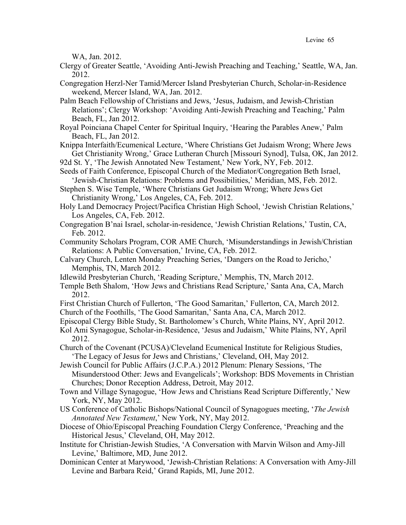WA, Jan. 2012.

- Clergy of Greater Seattle, 'Avoiding Anti-Jewish Preaching and Teaching,' Seattle, WA, Jan. 2012.
- Congregation Herzl-Ner Tamid/Mercer Island Presbyterian Church, Scholar-in-Residence weekend, Mercer Island, WA, Jan. 2012.
- Palm Beach Fellowship of Christians and Jews, 'Jesus, Judaism, and Jewish-Christian Relations'; Clergy Workshop: 'Avoiding Anti-Jewish Preaching and Teaching,' Palm Beach, FL, Jan 2012.
- Royal Poinciana Chapel Center for Spiritual Inquiry, 'Hearing the Parables Anew,' Palm Beach, FL, Jan 2012.
- Knippa Interfaith/Ecumenical Lecture, 'Where Christians Get Judaism Wrong; Where Jews Get Christianity Wrong,' Grace Lutheran Church [Missouri Synod], Tulsa, OK, Jan 2012.

92d St. Y, 'The Jewish Annotated New Testament,' New York, NY, Feb. 2012.

Seeds of Faith Conference, Episcopal Church of the Mediator/Congregation Beth Israel, 'Jewish-Christian Relations: Problems and Possibilities,' Meridian, MS, Feb. 2012.

Stephen S. Wise Temple, 'Where Christians Get Judaism Wrong; Where Jews Get Christianity Wrong,' Los Angeles, CA, Feb. 2012.

- Holy Land Democracy Project/Pacifica Christian High School, 'Jewish Christian Relations,' Los Angeles, CA, Feb. 2012.
- Congregation B'nai Israel, scholar-in-residence, 'Jewish Christian Relations,' Tustin, CA, Feb. 2012.
- Community Scholars Program, COR AME Church, 'Misunderstandings in Jewish/Christian Relations: A Public Conversation,' Irvine, CA, Feb. 2012.
- Calvary Church, Lenten Monday Preaching Series, 'Dangers on the Road to Jericho,' Memphis, TN, March 2012.
- Idlewild Presbyterian Church, 'Reading Scripture,' Memphis, TN, March 2012.
- Temple Beth Shalom, 'How Jews and Christians Read Scripture,' Santa Ana, CA, March 2012.
- First Christian Church of Fullerton, 'The Good Samaritan,' Fullerton, CA, March 2012. Church of the Foothills, 'The Good Samaritan,' Santa Ana, CA, March 2012.
- Episcopal Clergy Bible Study, St. Bartholomew's Church, White Plains, NY, April 2012.
- Kol Ami Synagogue, Scholar-in-Residence, 'Jesus and Judaism,' White Plains, NY, April 2012.

Church of the Covenant (PCUSA)/Cleveland Ecumenical Institute for Religious Studies, 'The Legacy of Jesus for Jews and Christians,' Cleveland, OH, May 2012.

Jewish Council for Public Affairs (J.C.P.A.) 2012 Plenum: Plenary Sessions, 'The Misunderstood Other: Jews and Evangelicals'; Workshop: BDS Movements in Christian Churches; Donor Reception Address, Detroit, May 2012.

- Town and Village Synagogue, 'How Jews and Christians Read Scripture Differently,' New York, NY, May 2012.
- US Conference of Catholic Bishops/National Council of Synagogues meeting, '*The Jewish Annotated New Testament*,' New York, NY, May 2012.
- Diocese of Ohio/Episcopal Preaching Foundation Clergy Conference, 'Preaching and the Historical Jesus,' Cleveland, OH, May 2012.
- Institute for Christian-Jewish Studies, 'A Conversation with Marvin Wilson and Amy-Jill Levine,' Baltimore, MD, June 2012.
- Dominican Center at Marywood, 'Jewish-Christian Relations: A Conversation with Amy-Jill Levine and Barbara Reid,' Grand Rapids, MI, June 2012.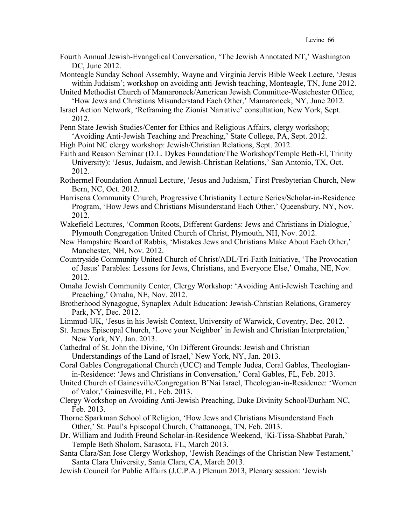- Fourth Annual Jewish-Evangelical Conversation, 'The Jewish Annotated NT,' Washington DC, June 2012.
- Monteagle Sunday School Assembly, Wayne and Virginia Jervis Bible Week Lecture, 'Jesus within Judaism'; workshop on avoiding anti-Jewish teaching, Monteagle, TN, June 2012.
- United Methodist Church of Mamaroneck/American Jewish Committee-Westchester Office, 'How Jews and Christians Misunderstand Each Other,' Mamaroneck, NY, June 2012.
- Israel Action Network, 'Reframing the Zionist Narrative' consultation, New York, Sept. 2012.
- Penn State Jewish Studies/Center for Ethics and Religious Affairs, clergy workshop; 'Avoiding Anti-Jewish Teaching and Preaching,' State College, PA, Sept. 2012.
- High Point NC clergy workshop: Jewish/Christian Relations, Sept. 2012.
- Faith and Reason Seminar (D.L. Dykes Foundation/The Workshop/Temple Beth-El, Trinity University): 'Jesus, Judaism, and Jewish-Christian Relations,' San Antonio, TX, Oct. 2012.
- Rothermel Foundation Annual Lecture, 'Jesus and Judaism,' First Presbyterian Church, New Bern, NC, Oct. 2012.
- Harrisena Community Church, Progressive Christianity Lecture Series/Scholar-in-Residence Program, 'How Jews and Christians Misunderstand Each Other,' Queensbury, NY, Nov. 2012.
- Wakefield Lectures, 'Common Roots, Different Gardens: Jews and Christians in Dialogue,' Plymouth Congregation United Church of Christ, Plymouth, NH, Nov. 2012.
- New Hampshire Board of Rabbis, 'Mistakes Jews and Christians Make About Each Other,' Manchester, NH, Nov. 2012.
- Countryside Community United Church of Christ/ADL/Tri-Faith Initiative, 'The Provocation of Jesus' Parables: Lessons for Jews, Christians, and Everyone Else,' Omaha, NE, Nov. 2012.
- Omaha Jewish Community Center, Clergy Workshop: 'Avoiding Anti-Jewish Teaching and Preaching,' Omaha, NE, Nov. 2012.
- Brotherhood Synagogue, Synaplex Adult Education: Jewish-Christian Relations, Gramercy Park, NY, Dec. 2012.
- Limmud-UK, 'Jesus in his Jewish Context, University of Warwick, Coventry, Dec. 2012.
- St. James Episcopal Church, 'Love your Neighbor' in Jewish and Christian Interpretation,' New York, NY, Jan. 2013.
- Cathedral of St. John the Divine, 'On Different Grounds: Jewish and Christian Understandings of the Land of Israel,' New York, NY, Jan. 2013.
- Coral Gables Congregational Church (UCC) and Temple Judea, Coral Gables, Theologianin-Residence: 'Jews and Christians in Conversation,' Coral Gables, FL, Feb. 2013.
- United Church of Gainesville/Congregation B'Nai Israel, Theologian-in-Residence: 'Women of Valor,' Gainesville, FL, Feb. 2013.
- Clergy Workshop on Avoiding Anti-Jewish Preaching, Duke Divinity School/Durham NC, Feb. 2013.
- Thorne Sparkman School of Religion, 'How Jews and Christians Misunderstand Each Other,' St. Paul's Episcopal Church, Chattanooga, TN, Feb. 2013.
- Dr. William and Judith Freund Scholar-in-Residence Weekend, 'Ki-Tissa-Shabbat Parah,' Temple Beth Sholom, Sarasota, FL, March 2013.
- Santa Clara/San Jose Clergy Workshop, 'Jewish Readings of the Christian New Testament,' Santa Clara University, Santa Clara, CA, March 2013.
- Jewish Council for Public Affairs (J.C.P.A.) Plenum 2013, Plenary session: 'Jewish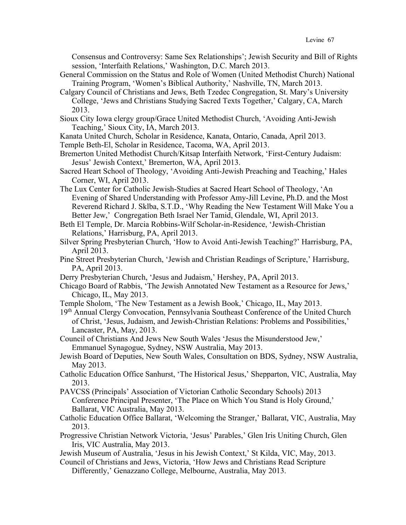Consensus and Controversy: Same Sex Relationships'; Jewish Security and Bill of Rights session, 'Interfaith Relations,' Washington, D.C. March 2013.

- General Commission on the Status and Role of Women (United Methodist Church) National Training Program, 'Women's Biblical Authority,' Nashville, TN, March 2013.
- Calgary Council of Christians and Jews, Beth Tzedec Congregation, St. Mary's University College, 'Jews and Christians Studying Sacred Texts Together,' Calgary, CA, March 2013.
- Sioux City Iowa clergy group/Grace United Methodist Church, 'Avoiding Anti-Jewish Teaching,' Sioux City, IA, March 2013.
- Kanata United Church, Scholar in Residence, Kanata, Ontario, Canada, April 2013.

Temple Beth-El, Scholar in Residence, Tacoma, WA, April 2013.

- Bremerton United Methodist Church/Kitsap Interfaith Network, 'First-Century Judaism: Jesus' Jewish Context,' Bremerton, WA, April 2013.
- Sacred Heart School of Theology, 'Avoiding Anti-Jewish Preaching and Teaching,' Hales Corner, WI, April 2013.
- The Lux Center for Catholic Jewish-Studies at Sacred Heart School of Theology, 'An Evening of Shared Understanding with Professor Amy-Jill Levine, Ph.D. and the Most Reverend Richard J. Sklba, S.T.D., 'Why Reading the New Testament Will Make You a Better Jew,' Congregation Beth Israel Ner Tamid, Glendale, WI, April 2013.
- Beth El Temple, Dr. Marcia Robbins-Wilf Scholar-in-Residence, 'Jewish-Christian Relations,' Harrisburg, PA, April 2013.
- Silver Spring Presbyterian Church, 'How to Avoid Anti-Jewish Teaching?' Harrisburg, PA, April 2013.
- Pine Street Presbyterian Church, 'Jewish and Christian Readings of Scripture,' Harrisburg, PA, April 2013.
- Derry Presbyterian Church, 'Jesus and Judaism,' Hershey, PA, April 2013.
- Chicago Board of Rabbis, 'The Jewish Annotated New Testament as a Resource for Jews,' Chicago, IL, May 2013.
- Temple Sholom, 'The New Testament as a Jewish Book,' Chicago, IL, May 2013.
- 19<sup>th</sup> Annual Clergy Convocation, Pennsylvania Southeast Conference of the United Church of Christ, 'Jesus, Judaism, and Jewish-Christian Relations: Problems and Possibilities,' Lancaster, PA, May, 2013.
- Council of Christians And Jews New South Wales 'Jesus the Misunderstood Jew,' Emmanuel Synagogue, Sydney, NSW Australia, May 2013.
- Jewish Board of Deputies, New South Wales, Consultation on BDS, Sydney, NSW Australia, May 2013.
- Catholic Education Office Sanhurst, 'The Historical Jesus,' Shepparton, VIC, Australia, May 2013.
- PAVCSS (Principals' Association of Victorian Catholic Secondary Schools) 2013 Conference Principal Presenter, 'The Place on Which You Stand is Holy Ground,' Ballarat, VIC Australia, May 2013.
- Catholic Education Office Ballarat, 'Welcoming the Stranger,' Ballarat, VIC, Australia, May 2013.
- Progressive Christian Network Victoria, 'Jesus' Parables,' Glen Iris Uniting Church, Glen Iris, VIC Australia, May 2013.
- Jewish Museum of Australia, 'Jesus in his Jewish Context,' St Kilda, VIC, May, 2013.
- Council of Christians and Jews, Victoria, 'How Jews and Christians Read Scripture Differently,' Genazzano College, Melbourne, Australia, May 2013.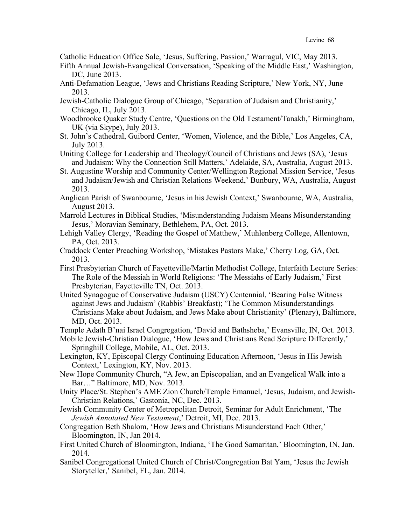Catholic Education Office Sale, 'Jesus, Suffering, Passion,' Warragul, VIC, May 2013.

- Fifth Annual Jewish-Evangelical Conversation, 'Speaking of the Middle East,' Washington, DC, June 2013.
- Anti-Defamation League, 'Jews and Christians Reading Scripture,' New York, NY, June 2013.
- Jewish-Catholic Dialogue Group of Chicago, 'Separation of Judaism and Christianity,' Chicago, IL, July 2013.
- Woodbrooke Quaker Study Centre, 'Questions on the Old Testament/Tanakh,' Birmingham, UK (via Skype), July 2013.
- St. John's Cathedral, Guibord Center, 'Women, Violence, and the Bible,' Los Angeles, CA, July 2013.
- Uniting College for Leadership and Theology/Council of Christians and Jews (SA), 'Jesus and Judaism: Why the Connection Still Matters,' Adelaide, SA, Australia, August 2013.
- St. Augustine Worship and Community Center/Wellington Regional Mission Service, 'Jesus and Judaism/Jewish and Christian Relations Weekend,' Bunbury, WA, Australia, August 2013.
- Anglican Parish of Swanbourne, 'Jesus in his Jewish Context,' Swanbourne, WA, Australia, August 2013.
- Marrold Lectures in Biblical Studies, 'Misunderstanding Judaism Means Misunderstanding Jesus,' Moravian Seminary, Bethlehem, PA, Oct. 2013.
- Lehigh Valley Clergy, 'Reading the Gospel of Matthew,' Muhlenberg College, Allentown, PA, Oct. 2013.
- Craddock Center Preaching Workshop, 'Mistakes Pastors Make,' Cherry Log, GA, Oct. 2013.
- First Presbyterian Church of Fayetteville/Martin Methodist College, Interfaith Lecture Series: The Role of the Messiah in World Religions: 'The Messiahs of Early Judaism,' First Presbyterian, Fayetteville TN, Oct. 2013.
- United Synagogue of Conservative Judaism (USCY) Centennial, 'Bearing False Witness against Jews and Judaism' (Rabbis' Breakfast); 'The Common Misunderstandings Christians Make about Judaism, and Jews Make about Christianity' (Plenary), Baltimore, MD, Oct. 2013.
- Temple Adath B'nai Israel Congregation, 'David and Bathsheba,' Evansville, IN, Oct. 2013.

Mobile Jewish-Christian Dialogue, 'How Jews and Christians Read Scripture Differently,' Springhill College, Mobile, AL, Oct. 2013.

- Lexington, KY, Episcopal Clergy Continuing Education Afternoon, 'Jesus in His Jewish Context,' Lexington, KY, Nov. 2013.
- New Hope Community Church, "A Jew, an Episcopalian, and an Evangelical Walk into a Bar…" Baltimore, MD, Nov. 2013.
- Unity Place/St. Stephen's AME Zion Church/Temple Emanuel, 'Jesus, Judaism, and Jewish-Christian Relations,' Gastonia, NC, Dec. 2013.
- Jewish Community Center of Metropolitan Detroit, Seminar for Adult Enrichment, 'The *Jewish Annotated New Testament*,' Detroit, MI, Dec. 2013.
- Congregation Beth Shalom, 'How Jews and Christians Misunderstand Each Other,' Bloomington, IN, Jan 2014.
- First United Church of Bloomington, Indiana, 'The Good Samaritan,' Bloomington, IN, Jan. 2014.
- Sanibel Congregational United Church of Christ/Congregation Bat Yam, 'Jesus the Jewish Storyteller,' Sanibel, FL, Jan. 2014.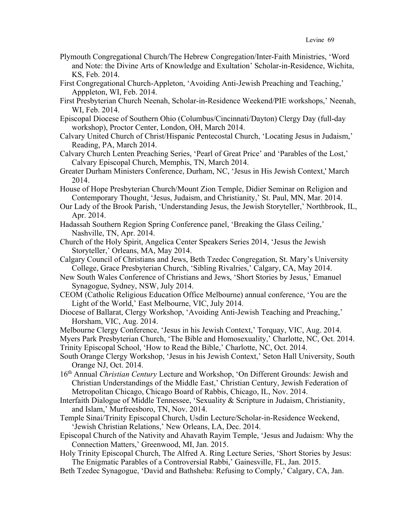- Plymouth Congregational Church/The Hebrew Congregation/Inter-Faith Ministries, 'Word and Note: the Divine Arts of Knowledge and Exultation' Scholar-in-Residence, Wichita, KS, Feb. 2014.
- First Congregational Church-Appleton, 'Avoiding Anti-Jewish Preaching and Teaching,' Apppleton, WI, Feb. 2014.
- First Presbyterian Church Neenah, Scholar-in-Residence Weekend/PIE workshops,' Neenah, WI, Feb. 2014.
- Episcopal Diocese of Southern Ohio (Columbus/Cincinnati/Dayton) Clergy Day (full-day workshop), Proctor Center, London, OH, March 2014.
- Calvary United Church of Christ/Hispanic Pentecostal Church, 'Locating Jesus in Judaism,' Reading, PA, March 2014.
- Calvary Church Lenten Preaching Series, 'Pearl of Great Price' and 'Parables of the Lost,' Calvary Episcopal Church, Memphis, TN, March 2014.
- Greater Durham Ministers Conference, Durham, NC, 'Jesus in His Jewish Context,' March 2014.
- House of Hope Presbyterian Church/Mount Zion Temple, Didier Seminar on Religion and Contemporary Thought, 'Jesus, Judaism, and Christianity,' St. Paul, MN, Mar. 2014.
- Our Lady of the Brook Parish, 'Understanding Jesus, the Jewish Storyteller,' Northbrook, IL, Apr. 2014.
- Hadassah Southern Region Spring Conference panel, 'Breaking the Glass Ceiling,' Nashville, TN, Apr. 2014.
- Church of the Holy Spirit, Angelica Center Speakers Series 2014, 'Jesus the Jewish Storyteller,' Orleans, MA, May 2014.
- Calgary Council of Christians and Jews, Beth Tzedec Congregation, St. Mary's University College, Grace Presbyterian Church, 'Sibling Rivalries,' Calgary, CA, May 2014.
- New South Wales Conference of Christians and Jews, 'Short Stories by Jesus,' Emanuel Synagogue, Sydney, NSW, July 2014.
- CEOM (Catholic Religious Education Office Melbourne) annual conference, 'You are the Light of the World,' East Melbourne, VIC, July 2014.
- Diocese of Ballarat, Clergy Workshop, 'Avoiding Anti-Jewish Teaching and Preaching,' Horsham, VIC, Aug. 2014.
- Melbourne Clergy Conference, 'Jesus in his Jewish Context,' Torquay, VIC, Aug. 2014.
- Myers Park Presbyterian Church, 'The Bible and Homosexuality,' Charlotte, NC, Oct. 2014.
- Trinity Episcopal School, 'How to Read the Bible,' Charlotte, NC, Oct. 2014.
- South Orange Clergy Workshop, 'Jesus in his Jewish Context,' Seton Hall University, South Orange NJ, Oct. 2014.
- 16th Annual *Christian Century* Lecture and Workshop, 'On Different Grounds: Jewish and Christian Understandings of the Middle East,' Christian Century, Jewish Federation of Metropolitan Chicago, Chicago Board of Rabbis, Chicago, IL, Nov. 2014.
- Interfaith Dialogue of Middle Tennessee, 'Sexuality & Scripture in Judaism, Christianity, and Islam,' Murfreesboro, TN, Nov. 2014.
- Temple Sinai/Trinity Episcopal Church, Usdin Lecture/Scholar-in-Residence Weekend, 'Jewish Christian Relations,' New Orleans, LA, Dec. 2014.
- Episcopal Church of the Nativity and Ahavath Rayim Temple, 'Jesus and Judaism: Why the Connection Matters,' Greenwood, MI, Jan. 2015.
- Holy Trinity Episcopal Church, The Alfred A. Ring Lecture Series, 'Short Stories by Jesus: The Enigmatic Parables of a Controversial Rabbi,' Gainesville, FL, Jan. 2015.
- Beth Tzedec Synagogue, 'David and Bathsheba: Refusing to Comply,' Calgary, CA, Jan.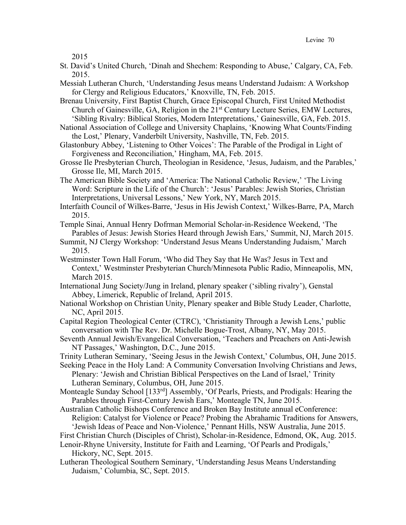2015

- St. David's United Church, 'Dinah and Shechem: Responding to Abuse,' Calgary, CA, Feb. 2015.
- Messiah Lutheran Church, 'Understanding Jesus means Understand Judaism: A Workshop for Clergy and Religious Educators,' Knoxville, TN, Feb. 2015.
- Brenau University, First Baptist Church, Grace Episcopal Church, First United Methodist Church of Gainesville, GA, Religion in the  $21<sup>st</sup>$  Century Lecture Series, EMW Lectures, 'Sibling Rivalry: Biblical Stories, Modern Interpretations,' Gainesville, GA, Feb. 2015.
- National Association of College and University Chaplains, 'Knowing What Counts/Finding the Lost,' Plenary, Vanderbilt University, Nashville, TN, Feb. 2015.
- Glastonbury Abbey, 'Listening to Other Voices': The Parable of the Prodigal in Light of Forgiveness and Reconciliation,' Hingham, MA, Feb. 2015.
- Grosse Ile Presbyterian Church, Theologian in Residence, 'Jesus, Judaism, and the Parables,' Grosse Ile, MI, March 2015.
- The American Bible Society and 'America: The National Catholic Review,' 'The Living Word: Scripture in the Life of the Church': 'Jesus' Parables: Jewish Stories, Christian Interpretations, Universal Lessons,' New York, NY, March 2015.

Interfaith Council of Wilkes-Barre, 'Jesus in His Jewish Context,' Wilkes-Barre, PA, March 2015.

Temple Sinai, Annual Henry Dofrman Memorial Scholar-in-Residence Weekend, 'The Parables of Jesus: Jewish Stories Heard through Jewish Ears,' Summit, NJ, March 2015.

- Summit, NJ Clergy Workshop: 'Understand Jesus Means Understanding Judaism,' March 2015.
- Westminster Town Hall Forum, 'Who did They Say that He Was? Jesus in Text and Context,' Westminster Presbyterian Church/Minnesota Public Radio, Minneapolis, MN, March 2015.
- International Jung Society/Jung in Ireland, plenary speaker ('sibling rivalry'), Genstal Abbey, Limerick, Republic of Ireland, April 2015.

National Workshop on Christian Unity, Plenary speaker and Bible Study Leader, Charlotte, NC, April 2015.

- Capital Region Theological Center (CTRC), 'Christianity Through a Jewish Lens,' public conversation with The Rev. Dr. Michelle Bogue-Trost, Albany, NY, May 2015.
- Seventh Annual Jewish/Evangelical Conversation, 'Teachers and Preachers on Anti-Jewish NT Passages,' Washington, D.C., June 2015.

Trinity Lutheran Seminary, 'Seeing Jesus in the Jewish Context,' Columbus, OH, June 2015.

- Seeking Peace in the Holy Land: A Community Conversation Involving Christians and Jews, Plenary: 'Jewish and Christian Biblical Perspectives on the Land of Israel,' Trinity Lutheran Seminary, Columbus, OH, June 2015.
- Monteagle Sunday School [133<sup>rd</sup>] Assembly, 'Of Pearls, Priests, and Prodigals: Hearing the Parables through First-Century Jewish Ears,' Monteagle TN, June 2015.
- Australian Catholic Bishops Conference and Broken Bay Institute annual eConference: Religion: Catalyst for Violence or Peace? Probing the Abrahamic Traditions for Answers, 'Jewish Ideas of Peace and Non-Violence,' Pennant Hills, NSW Australia, June 2015.
- First Christian Church (Disciples of Christ), Scholar-in-Residence, Edmond, OK, Aug. 2015.
- Lenoir-Rhyne University, Institute for Faith and Learning, 'Of Pearls and Prodigals,' Hickory, NC, Sept. 2015.
- Lutheran Theological Southern Seminary, 'Understanding Jesus Means Understanding Judaism,' Columbia, SC, Sept. 2015.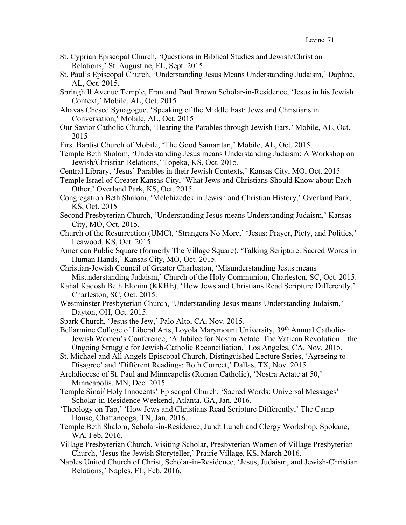- St. Cyprian Episcopal Church, 'Questions in Biblical Studies and Jewish/Christian Relations,' St. Augustine, FL, Sept. 2015.
- St. Paul's Episcopal Church, 'Understanding Jesus Means Understanding Judaism,' Daphne, AL, Oct. 2015.
- Springhill Avenue Temple, Fran and Paul Brown Scholar-in-Residence, 'Jesus in his Jewish Context,' Mobile, AL, Oct. 2015
- Ahavas Chesed Synagogue, 'Speaking of the Middle East: Jews and Christians in Conversation,' Mobile, AL, Oct. 2015
- Our Savior Catholic Church, 'Hearing the Parables through Jewish Ears,' Mobile, AL, Oct. 2015
- First Baptist Church of Mobile, 'The Good Samaritan,' Mobile, AL, Oct. 2015.
- Temple Beth Sholom, 'Understanding Jesus means Understanding Judaism: A Workshop on Jewish/Christian Relations,' Topeka, KS, Oct. 2015.
- Central Library, 'Jesus' Parables in their Jewish Contexts,' Kansas City, MO, Oct. 2015
- Temple Israel of Greater Kansas City, 'What Jews and Christians Should Know about Each Other,' Overland Park, KS, Oct. 2015.
- Congregation Beth Shalom, 'Melchizedek in Jewish and Christian History,' Overland Park, KS, Oct. 2015
- Second Presbyterian Church, 'Understanding Jesus means Understanding Judaism,' Kansas City, MO, Oct. 2015.
- Church of the Resurrection (UMC), 'Strangers No More,' 'Jesus: Prayer, Piety, and Politics,' Leawood, KS, Oct. 2015.
- American Public Square (formerly The Village Square), 'Talking Scripture: Sacred Words in Human Hands,' Kansas City, MO, Oct. 2015.
- Christian-Jewish Council of Greater Charleston, 'Misunderstanding Jesus means Misunderstanding Judaism,' Church of the Holy Communion, Charleston, SC, Oct. 2015.
- Kahal Kadosh Beth Elohim (KKBE), 'How Jews and Christians Read Scripture Differently,' Charleston, SC, Oct. 2015.
- Westminster Presbyterian Church, 'Understanding Jesus means Understanding Judaism,' Dayton, OH, Oct. 2015.
- Spark Church, 'Jesus the Jew,' Palo Alto, CA, Nov. 2015.
- Bellarmine College of Liberal Arts, Loyola Marymount University, 39<sup>th</sup> Annual Catholic-Jewish Women's Conference, 'A Jubilee for Nostra Aetate: The Vatican Revolution – the Ongoing Struggle for Jewish-Catholic Reconciliation,' Los Angeles, CA, Nov. 2015.
- St. Michael and All Angels Episcopal Church, Distinguished Lecture Series, 'Agreeing to Disagree' and 'Different Readings: Both Correct,' Dallas, TX, Nov. 2015.
- Archdiocese of St. Paul and Minneapolis (Roman Catholic), 'Nostra Aetate at 50,' Minneapolis, MN, Dec. 2015.
- Temple Sinai/ Holy Innocents' Episcopal Church, 'Sacred Words: Universal Messages' Scholar-in-Residence Weekend, Atlanta, GA, Jan. 2016.
- 'Theology on Tap,' 'How Jews and Christians Read Scripture Differently,' The Camp House, Chattanooga, TN, Jan. 2016.
- Temple Beth Shalom, Scholar-in-Residence; Jundt Lunch and Clergy Workshop, Spokane, WA, Feb. 2016.
- Village Presbyterian Church, Visiting Scholar, Presbyterian Women of Village Presbyterian Church, 'Jesus the Jewish Storyteller,' Prairie Village, KS, March 2016.
- Naples United Church of Christ, Scholar-in-Residence, 'Jesus, Judaism, and Jewish-Christian Relations,' Naples, FL, Feb. 2016.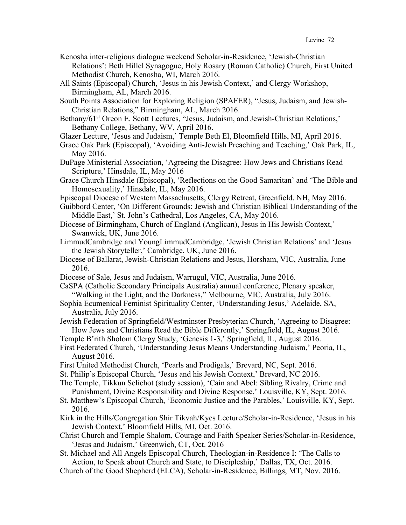- Kenosha inter-religious dialogue weekend Scholar-in-Residence, 'Jewish-Christian Relations': Beth Hillel Synagogue, Holy Rosary (Roman Catholic) Church, First United Methodist Church, Kenosha, WI, March 2016.
- All Saints (Episcopal) Church, 'Jesus in his Jewish Context,' and Clergy Workshop, Birmingham, AL, March 2016.
- South Points Association for Exploring Religion (SPAFER), "Jesus, Judaism, and Jewish-Christian Relations," Birmingham, AL, March 2016.
- Bethany/61<sup>st</sup> Oreon E. Scott Lectures, "Jesus, Judaism, and Jewish-Christian Relations," Bethany College, Bethany, WV, April 2016.
- Glazer Lecture, 'Jesus and Judaism,' Temple Beth El, Bloomfield Hills, MI, April 2016.
- Grace Oak Park (Episcopal), 'Avoiding Anti-Jewish Preaching and Teaching,' Oak Park, IL, May 2016.
- DuPage Ministerial Association, 'Agreeing the Disagree: How Jews and Christians Read Scripture,' Hinsdale, IL, May 2016
- Grace Church Hinsdale (Episcopal), 'Reflections on the Good Samaritan' and 'The Bible and Homosexuality,' Hinsdale, IL, May 2016.
- Episcopal Diocese of Western Massachusetts, Clergy Retreat, Greenfield, NH, May 2016.
- Guibbord Center, 'On Different Grounds: Jewish and Christian Biblical Understanding of the Middle East,' St. John's Cathedral, Los Angeles, CA, May 2016.
- Diocese of Birmingham, Church of England (Anglican), Jesus in His Jewish Context,' Swanwick, UK, June 2016.
- LimmudCambridge and YoungLimmudCambridge, 'Jewish Christian Relations' and 'Jesus the Jewish Storyteller,' Cambridge, UK, June 2016.
- Diocese of Ballarat, Jewish-Christian Relations and Jesus, Horsham, VIC, Australia, June 2016.
- Diocese of Sale, Jesus and Judaism, Warrugul, VIC, Australia, June 2016.
- CaSPA (Catholic Secondary Principals Australia) annual conference, Plenary speaker, "Walking in the Light, and the Darkness," Melbourne, VIC, Australia, July 2016.
- Sophia Ecumenical Feminist Spirituality Center, 'Understanding Jesus,' Adelaide, SA, Australia, July 2016.
- Jewish Federation of Springfield/Westminster Presbyterian Church, 'Agreeing to Disagree: How Jews and Christians Read the Bible Differently,' Springfield, IL, August 2016.
- Temple B'rith Sholom Clergy Study, 'Genesis 1-3,' Springfield, IL, August 2016.
- First Federated Church, 'Understanding Jesus Means Understanding Judaism,' Peoria, IL, August 2016.
- First United Methodist Church, 'Pearls and Prodigals,' Brevard, NC, Sept. 2016.
- St. Philip's Episcopal Church, 'Jesus and his Jewish Context,' Brevard, NC 2016.
- The Temple, Tikkun Selichot (study session), 'Cain and Abel: Sibling Rivalry, Crime and Punishment, Divine Responsibility and Divine Response,' Louisville, KY, Sept. 2016.
- St. Matthew's Episcopal Church, 'Economic Justice and the Parables,' Louisville, KY, Sept. 2016.
- Kirk in the Hills/Congregation Shir Tikvah/Kyes Lecture/Scholar-in-Residence, 'Jesus in his Jewish Context,' Bloomfield Hills, MI, Oct. 2016.
- Christ Church and Temple Shalom, Courage and Faith Speaker Series/Scholar-in-Residence, 'Jesus and Judaism,' Greenwich, CT, Oct. 2016
- St. Michael and All Angels Episcopal Church, Theologian-in-Residence I: 'The Calls to Action, to Speak about Church and State, to Discipleship,' Dallas, TX, Oct. 2016.
- Church of the Good Shepherd (ELCA), Scholar-in-Residence, Billings, MT, Nov. 2016.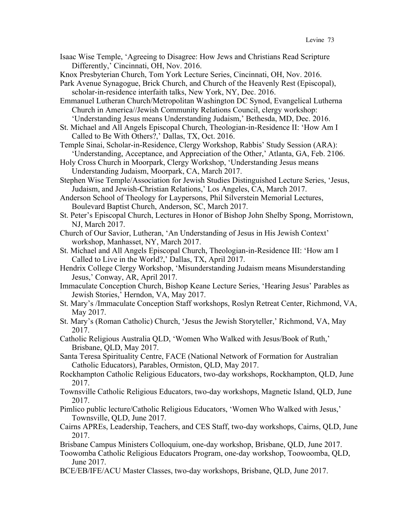Isaac Wise Temple, 'Agreeing to Disagree: How Jews and Christians Read Scripture Differently,' Cincinnati, OH, Nov. 2016.

Knox Presbyterian Church, Tom York Lecture Series, Cincinnati, OH, Nov. 2016.

Park Avenue Synagogue, Brick Church, and Church of the Heavenly Rest (Episcopal), scholar-in-residence interfaith talks, New York, NY, Dec. 2016.

Emmanuel Lutheran Church/Metropolitan Washington DC Synod, Evangelical Lutherna Church in America//Jewish Community Relations Council, clergy workshop: 'Understanding Jesus means Understanding Judaism,' Bethesda, MD, Dec. 2016.

St. Michael and All Angels Episcopal Church, Theologian-in-Residence II: 'How Am I Called to Be With Others?,' Dallas, TX, Oct. 2016.

Temple Sinai, Scholar-in-Residence, Clergy Workshop, Rabbis' Study Session (ARA): 'Understanding, Acceptance, and Appreciation of the Other,' Atlanta, GA, Feb. 2106.

- Holy Cross Church in Moorpark, Clergy Workshop, 'Understanding Jesus means Understanding Judaism, Moorpark, CA, March 2017.
- Stephen Wise Temple/Association for Jewish Studies Distinguished Lecture Series, 'Jesus, Judaism, and Jewish-Christian Relations,' Los Angeles, CA, March 2017.

Anderson School of Theology for Laypersons, Phil Silverstein Memorial Lectures, Boulevard Baptist Church, Anderson, SC, March 2017.

- St. Peter's Episcopal Church, Lectures in Honor of Bishop John Shelby Spong, Morristown, NJ, March 2017.
- Church of Our Savior, Lutheran, 'An Understanding of Jesus in His Jewish Context' workshop, Manhasset, NY, March 2017.
- St. Michael and All Angels Episcopal Church, Theologian-in-Residence III: 'How am I Called to Live in the World?,' Dallas, TX, April 2017.

Hendrix College Clergy Workshop, 'Misunderstanding Judaism means Misunderstanding Jesus,' Conway, AR, April 2017.

Immaculate Conception Church, Bishop Keane Lecture Series, 'Hearing Jesus' Parables as Jewish Stories,' Herndon, VA, May 2017.

St. Mary's /Immaculate Conception Staff workshops, Roslyn Retreat Center, Richmond, VA, May 2017.

St. Mary's (Roman Catholic) Church, 'Jesus the Jewish Storyteller,' Richmond, VA, May 2017.

Catholic Religious Australia QLD, 'Women Who Walked with Jesus/Book of Ruth,' Brisbane, QLD, May 2017.

Santa Teresa Spirituality Centre, FACE (National Network of Formation for Australian Catholic Educators), Parables, Ormiston, QLD, May 2017.

- Rockhampton Catholic Religious Educators, two-day workshops, Rockhampton, QLD, June 2017.
- Townsville Catholic Religious Educators, two-day workshops, Magnetic Island, QLD, June 2017.
- Pimlico public lecture/Catholic Religious Educators, 'Women Who Walked with Jesus,' Townsville, QLD, June 2017.
- Cairns APREs, Leadership, Teachers, and CES Staff, two-day workshops, Cairns, QLD, June 2017.
- Brisbane Campus Ministers Colloquium, one-day workshop, Brisbane, QLD, June 2017.
- Toowomba Catholic Religious Educators Program, one-day workshop, Toowoomba, QLD, June 2017.
- BCE/EB/IFE/ACU Master Classes, two-day workshops, Brisbane, QLD, June 2017.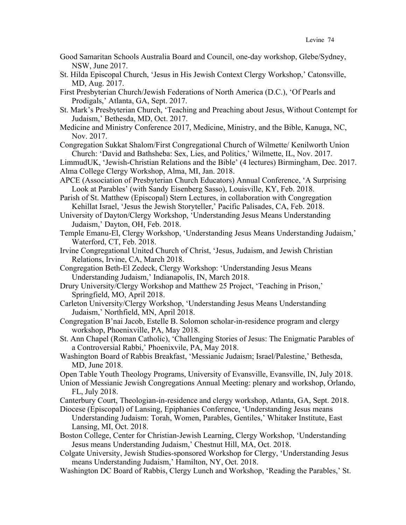- Good Samaritan Schools Australia Board and Council, one-day workshop, Glebe/Sydney, NSW, June 2017.
- St. Hilda Episcopal Church, 'Jesus in His Jewish Context Clergy Workshop,' Catonsville, MD, Aug. 2017.
- First Presbyterian Church/Jewish Federations of North America (D.C.), 'Of Pearls and Prodigals,' Atlanta, GA, Sept. 2017.
- St. Mark's Presbyterian Church, 'Teaching and Preaching about Jesus, Without Contempt for Judaism,' Bethesda, MD, Oct. 2017.
- Medicine and Ministry Conference 2017, Medicine, Ministry, and the Bible, Kanuga, NC, Nov. 2017.
- Congregation Sukkat Shalom/First Congregational Church of Wilmette/ Kenilworth Union Church: 'David and Bathsheba: Sex, Lies, and Politics,' Wilmette, IL, Nov. 2017.

LimmudUK, 'Jewish-Christian Relations and the Bible' (4 lectures) Birmingham, Dec. 2017. Alma College Clergy Workshop, Alma, MI, Jan. 2018.

APCE (Association of Presbyterian Church Educators) Annual Conference, 'A Surprising Look at Parables' (with Sandy Eisenberg Sasso), Louisville, KY, Feb. 2018.

Parish of St. Matthew (Episcopal) Stern Lectures, in collaboration with Congregation Kehillat Israel, 'Jesus the Jewish Storyteller,' Pacific Palisades, CA, Feb. 2018.

University of Dayton/Clergy Workshop, 'Understanding Jesus Means Understanding Judaism,' Dayton, OH, Feb. 2018.

- Temple Emanu-El, Clergy Workshop, 'Understanding Jesus Means Understanding Judaism,' Waterford, CT, Feb. 2018.
- Irvine Congregational United Church of Christ, 'Jesus, Judaism, and Jewish Christian Relations, Irvine, CA, March 2018.
- Congregation Beth-El Zedeck, Clergy Workshop: 'Understanding Jesus Means Understanding Judaism,' Indianapolis, IN, March 2018.
- Drury University/Clergy Workshop and Matthew 25 Project, 'Teaching in Prison,' Springfield, MO, April 2018.
- Carleton University/Clergy Workshop, 'Understanding Jesus Means Understanding Judaism,' Northfield, MN, April 2018.
- Congregation B'nai Jacob, Estelle B. Solomon scholar-in-residence program and clergy workshop, Phoenixville, PA, May 2018.
- St. Ann Chapel (Roman Catholic), 'Challenging Stories of Jesus: The Enigmatic Parables of a Controversial Rabbi,' Phoenixvile, PA, May 2018.

Washington Board of Rabbis Breakfast, 'Messianic Judaism; Israel/Palestine,' Bethesda, MD, June 2018.

- Open Table Youth Theology Programs, University of Evansville, Evansville, IN, July 2018.
- Union of Messianic Jewish Congregations Annual Meeting: plenary and workshop, Orlando, FL, July 2018.

Canterbury Court, Theologian-in-residence and clergy workshop, Atlanta, GA, Sept. 2018.

- Diocese (Episcopal) of Lansing, Epiphanies Conference, 'Understanding Jesus means Understanding Judaism: Torah, Women, Parables, Gentiles,' Whitaker Institute, East Lansing, MI, Oct. 2018.
- Boston College, Center for Christian-Jewish Learning, Clergy Workshop, 'Understanding Jesus means Understanding Judaism,' Chestnut Hill, MA, Oct. 2018.
- Colgate University, Jewish Studies-sponsored Workshop for Clergy, 'Understanding Jesus means Understanding Judaism,' Hamilton, NY, Oct. 2018.
- Washington DC Board of Rabbis, Clergy Lunch and Workshop, 'Reading the Parables,' St.